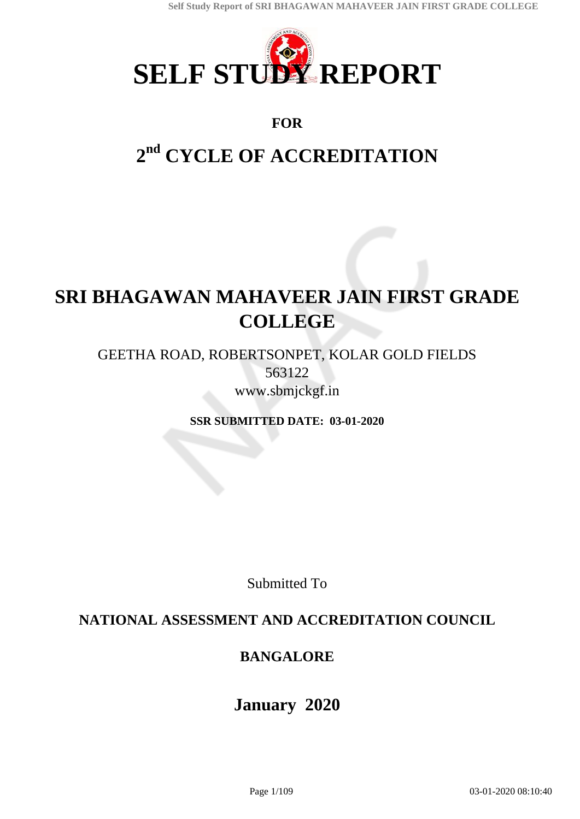

# **FOR**

# **2 nd CYCLE OF ACCREDITATION**

# **SRI BHAGAWAN MAHAVEER JAIN FIRST GRADE COLLEGE**

GEETHA ROAD, ROBERTSONPET, KOLAR GOLD FIELDS 563122 www.sbmjckgf.in

**SSR SUBMITTED DATE: 03-01-2020**

Submitted To

# **NATIONAL ASSESSMENT AND ACCREDITATION COUNCIL**

# **BANGALORE**

**January 2020**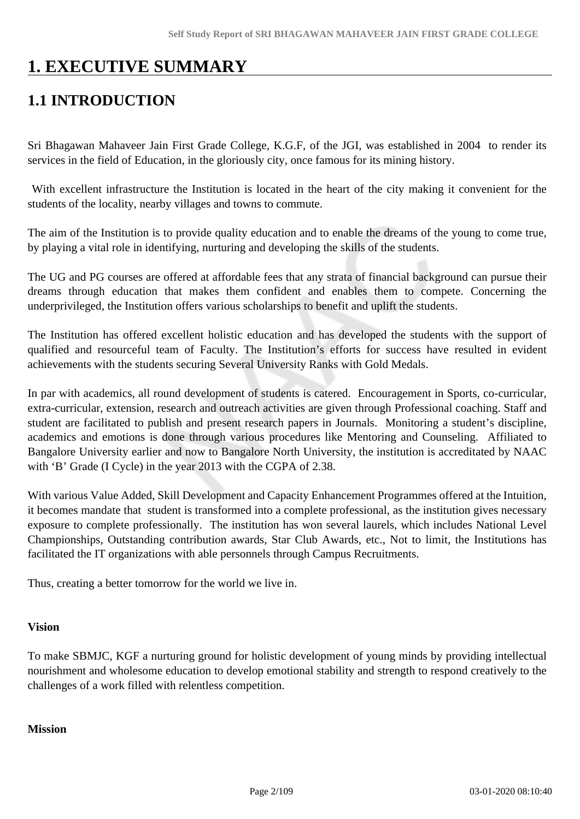# **1. EXECUTIVE SUMMARY**

# **1.1 INTRODUCTION**

Sri Bhagawan Mahaveer Jain First Grade College, K.G.F, of the JGI, was established in 2004 to render its services in the field of Education, in the gloriously city, once famous for its mining history.

 With excellent infrastructure the Institution is located in the heart of the city making it convenient for the students of the locality, nearby villages and towns to commute.

The aim of the Institution is to provide quality education and to enable the dreams of the young to come true, by playing a vital role in identifying, nurturing and developing the skills of the students.

The UG and PG courses are offered at affordable fees that any strata of financial background can pursue their dreams through education that makes them confident and enables them to compete. Concerning the underprivileged, the Institution offers various scholarships to benefit and uplift the students.

The Institution has offered excellent holistic education and has developed the students with the support of qualified and resourceful team of Faculty. The Institution's efforts for success have resulted in evident achievements with the students securing Several University Ranks with Gold Medals.

In par with academics, all round development of students is catered. Encouragement in Sports, co-curricular, extra-curricular, extension, research and outreach activities are given through Professional coaching. Staff and student are facilitated to publish and present research papers in Journals. Monitoring a student's discipline, academics and emotions is done through various procedures like Mentoring and Counseling. Affiliated to Bangalore University earlier and now to Bangalore North University, the institution is accreditated by NAAC with 'B' Grade (I Cycle) in the year 2013 with the CGPA of 2.38.

With various Value Added, Skill Development and Capacity Enhancement Programmes offered at the Intuition, it becomes mandate that student is transformed into a complete professional, as the institution gives necessary exposure to complete professionally. The institution has won several laurels, which includes National Level Championships, Outstanding contribution awards, Star Club Awards, etc., Not to limit, the Institutions has facilitated the IT organizations with able personnels through Campus Recruitments.

Thus, creating a better tomorrow for the world we live in.

#### **Vision**

To make SBMJC, KGF a nurturing ground for holistic development of young minds by providing intellectual nourishment and wholesome education to develop emotional stability and strength to respond creatively to the challenges of a work filled with relentless competition.

#### **Mission**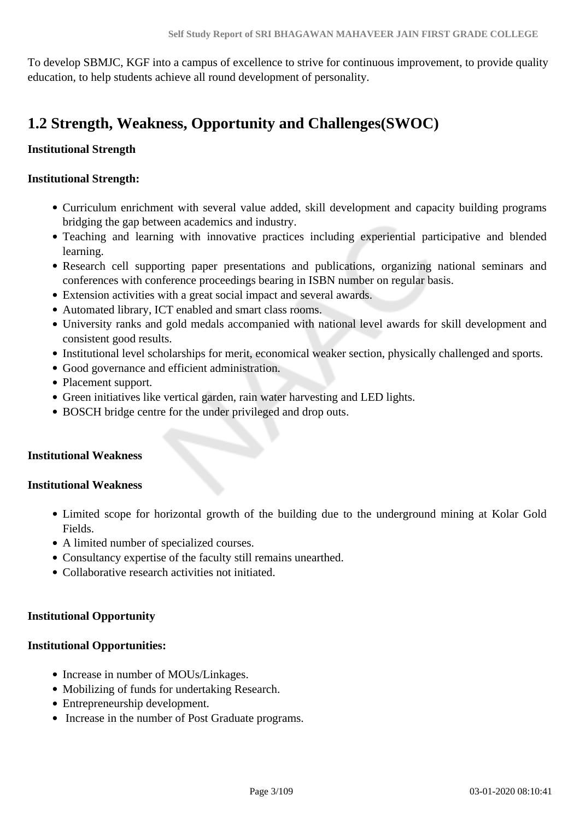To develop SBMJC, KGF into a campus of excellence to strive for continuous improvement, to provide quality education, to help students achieve all round development of personality.

# **1.2 Strength, Weakness, Opportunity and Challenges(SWOC)**

# **Institutional Strength**

### **Institutional Strength:**

- Curriculum enrichment with several value added, skill development and capacity building programs bridging the gap between academics and industry.
- Teaching and learning with innovative practices including experiential participative and blended learning.
- Research cell supporting paper presentations and publications, organizing national seminars and conferences with conference proceedings bearing in ISBN number on regular basis.
- Extension activities with a great social impact and several awards.
- Automated library, ICT enabled and smart class rooms.
- University ranks and gold medals accompanied with national level awards for skill development and consistent good results.
- Institutional level scholarships for merit, economical weaker section, physically challenged and sports.
- Good governance and efficient administration.
- Placement support.
- Green initiatives like vertical garden, rain water harvesting and LED lights.
- BOSCH bridge centre for the under privileged and drop outs.

# **Institutional Weakness**

#### **Institutional Weakness**

- Limited scope for horizontal growth of the building due to the underground mining at Kolar Gold Fields.
- A limited number of specialized courses.
- Consultancy expertise of the faculty still remains unearthed.
- Collaborative research activities not initiated.

# **Institutional Opportunity**

# **Institutional Opportunities:**

- Increase in number of MOUs/Linkages.
- Mobilizing of funds for undertaking Research.
- Entrepreneurship development.
- Increase in the number of Post Graduate programs.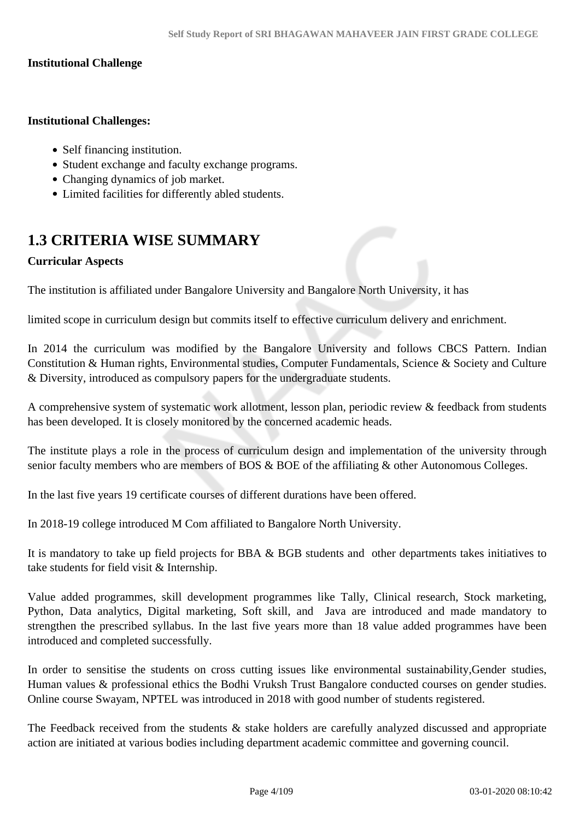#### **Institutional Challenge**

# **Institutional Challenges:**

- Self financing institution.
- Student exchange and faculty exchange programs.
- Changing dynamics of job market.
- Limited facilities for differently abled students.

# **1.3 CRITERIA WISE SUMMARY**

#### **Curricular Aspects**

The institution is affiliated under Bangalore University and Bangalore North University, it has

limited scope in curriculum design but commits itself to effective curriculum delivery and enrichment.

In 2014 the curriculum was modified by the Bangalore University and follows CBCS Pattern. Indian Constitution & Human rights, Environmental studies, Computer Fundamentals, Science & Society and Culture & Diversity, introduced as compulsory papers for the undergraduate students.

A comprehensive system of systematic work allotment, lesson plan, periodic review & feedback from students has been developed. It is closely monitored by the concerned academic heads.

The institute plays a role in the process of curriculum design and implementation of the university through senior faculty members who are members of BOS & BOE of the affiliating & other Autonomous Colleges.

In the last five years 19 certificate courses of different durations have been offered.

In 2018-19 college introduced M Com affiliated to Bangalore North University.

It is mandatory to take up field projects for BBA & BGB students and other departments takes initiatives to take students for field visit & Internship.

Value added programmes, skill development programmes like Tally, Clinical research, Stock marketing, Python, Data analytics, Digital marketing, Soft skill, and Java are introduced and made mandatory to strengthen the prescribed syllabus. In the last five years more than 18 value added programmes have been introduced and completed successfully.

In order to sensitise the students on cross cutting issues like environmental sustainability,Gender studies, Human values & professional ethics the Bodhi Vruksh Trust Bangalore conducted courses on gender studies. Online course Swayam, NPTEL was introduced in 2018 with good number of students registered.

The Feedback received from the students & stake holders are carefully analyzed discussed and appropriate action are initiated at various bodies including department academic committee and governing council.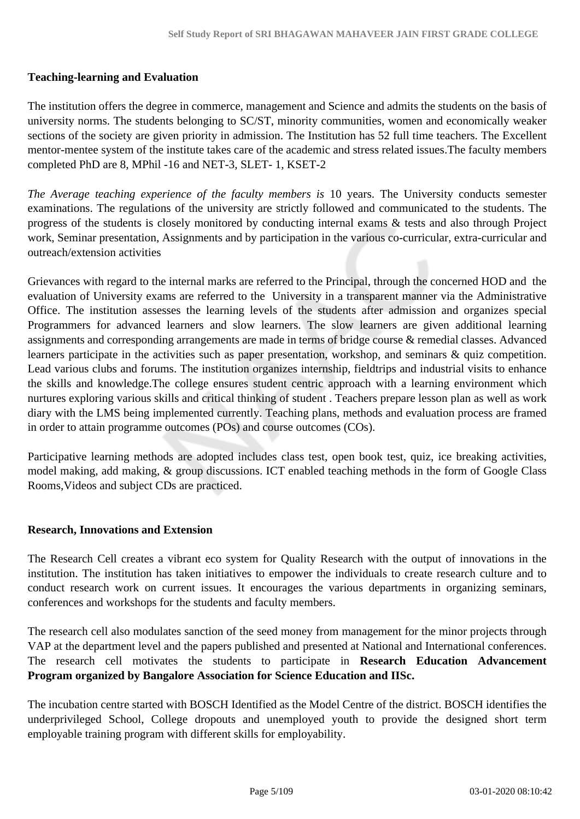# **Teaching-learning and Evaluation**

The institution offers the degree in commerce, management and Science and admits the students on the basis of university norms. The students belonging to SC/ST, minority communities, women and economically weaker sections of the society are given priority in admission. The Institution has 52 full time teachers. The Excellent mentor-mentee system of the institute takes care of the academic and stress related issues.The faculty members completed PhD are 8, MPhil -16 and NET-3, SLET- 1, KSET-2

*The Average teaching experience of the faculty members is* 10 years. The University conducts semester examinations. The regulations of the university are strictly followed and communicated to the students. The progress of the students is closely monitored by conducting internal exams & tests and also through Project work, Seminar presentation, Assignments and by participation in the various co-curricular, extra-curricular and outreach/extension activities

Grievances with regard to the internal marks are referred to the Principal, through the concerned HOD and the evaluation of University exams are referred to the University in a transparent manner via the Administrative Office. The institution assesses the learning levels of the students after admission and organizes special Programmers for advanced learners and slow learners. The slow learners are given additional learning assignments and corresponding arrangements are made in terms of bridge course & remedial classes. Advanced learners participate in the activities such as paper presentation, workshop, and seminars & quiz competition. Lead various clubs and forums. The institution organizes internship, fieldtrips and industrial visits to enhance the skills and knowledge.The college ensures student centric approach with a learning environment which nurtures exploring various skills and critical thinking of student . Teachers prepare lesson plan as well as work diary with the LMS being implemented currently. Teaching plans, methods and evaluation process are framed in order to attain programme outcomes (POs) and course outcomes (COs).

Participative learning methods are adopted includes class test, open book test, quiz, ice breaking activities, model making, add making, & group discussions. ICT enabled teaching methods in the form of Google Class Rooms,Videos and subject CDs are practiced.

# **Research, Innovations and Extension**

The Research Cell creates a vibrant eco system for Quality Research with the output of innovations in the institution. The institution has taken initiatives to empower the individuals to create research culture and to conduct research work on current issues. It encourages the various departments in organizing seminars, conferences and workshops for the students and faculty members.

The research cell also modulates sanction of the seed money from management for the minor projects through VAP at the department level and the papers published and presented at National and International conferences. The research cell motivates the students to participate in **Research Education Advancement Program organized by Bangalore Association for Science Education and IISc.**

The incubation centre started with BOSCH Identified as the Model Centre of the district. BOSCH identifies the underprivileged School, College dropouts and unemployed youth to provide the designed short term employable training program with different skills for employability.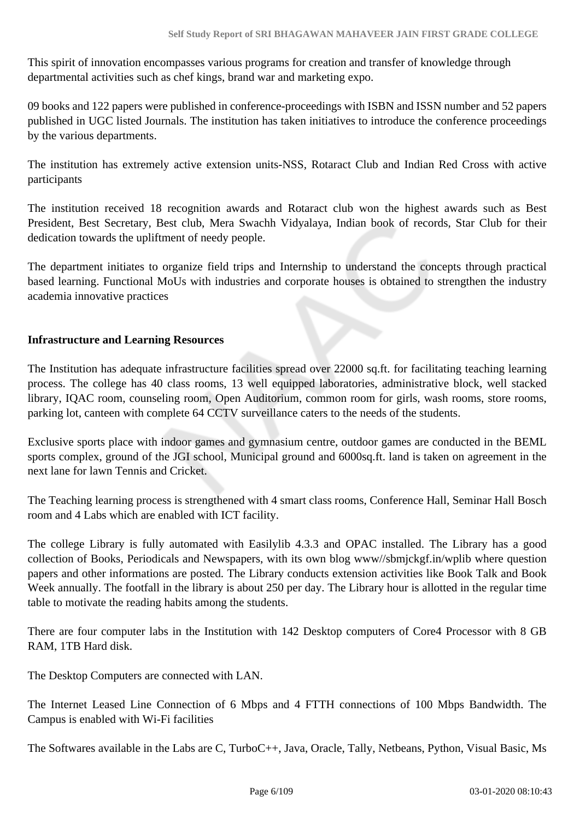This spirit of innovation encompasses various programs for creation and transfer of knowledge through departmental activities such as chef kings, brand war and marketing expo.

09 books and 122 papers were published in conference-proceedings with ISBN and ISSN number and 52 papers published in UGC listed Journals. The institution has taken initiatives to introduce the conference proceedings by the various departments.

The institution has extremely active extension units-NSS, Rotaract Club and Indian Red Cross with active participants

The institution received 18 recognition awards and Rotaract club won the highest awards such as Best President, Best Secretary, Best club, Mera Swachh Vidyalaya, Indian book of records, Star Club for their dedication towards the upliftment of needy people.

The department initiates to organize field trips and Internship to understand the concepts through practical based learning. Functional MoUs with industries and corporate houses is obtained to strengthen the industry academia innovative practices

#### **Infrastructure and Learning Resources**

The Institution has adequate infrastructure facilities spread over 22000 sq.ft. for facilitating teaching learning process. The college has 40 class rooms, 13 well equipped laboratories, administrative block, well stacked library, IQAC room, counseling room, Open Auditorium, common room for girls, wash rooms, store rooms, parking lot, canteen with complete 64 CCTV surveillance caters to the needs of the students.

Exclusive sports place with indoor games and gymnasium centre, outdoor games are conducted in the BEML sports complex, ground of the JGI school, Municipal ground and 6000sq.ft. land is taken on agreement in the next lane for lawn Tennis and Cricket.

The Teaching learning process is strengthened with 4 smart class rooms, Conference Hall, Seminar Hall Bosch room and 4 Labs which are enabled with ICT facility.

The college Library is fully automated with Easilylib 4.3.3 and OPAC installed. The Library has a good collection of Books, Periodicals and Newspapers, with its own blog www//sbmjckgf.in/wplib where question papers and other informations are posted. The Library conducts extension activities like Book Talk and Book Week annually. The footfall in the library is about 250 per day. The Library hour is allotted in the regular time table to motivate the reading habits among the students.

There are four computer labs in the Institution with 142 Desktop computers of Core4 Processor with 8 GB RAM, 1TB Hard disk.

The Desktop Computers are connected with LAN.

The Internet Leased Line Connection of 6 Mbps and 4 FTTH connections of 100 Mbps Bandwidth. The Campus is enabled with Wi-Fi facilities

The Softwares available in the Labs are C, TurboC++, Java, Oracle, Tally, Netbeans, Python, Visual Basic, Ms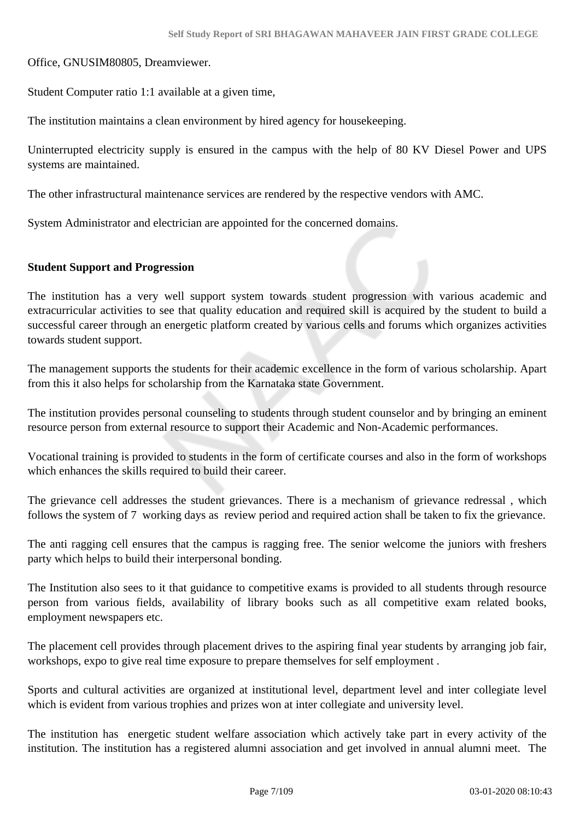Office, GNUSIM80805, Dreamviewer.

Student Computer ratio 1:1 available at a given time,

The institution maintains a clean environment by hired agency for housekeeping.

Uninterrupted electricity supply is ensured in the campus with the help of 80 KV Diesel Power and UPS systems are maintained.

The other infrastructural maintenance services are rendered by the respective vendors with AMC.

System Administrator and electrician are appointed for the concerned domains.

#### **Student Support and Progression**

The institution has a very well support system towards student progression with various academic and extracurricular activities to see that quality education and required skill is acquired by the student to build a successful career through an energetic platform created by various cells and forums which organizes activities towards student support.

The management supports the students for their academic excellence in the form of various scholarship. Apart from this it also helps for scholarship from the Karnataka state Government.

The institution provides personal counseling to students through student counselor and by bringing an eminent resource person from external resource to support their Academic and Non-Academic performances.

Vocational training is provided to students in the form of certificate courses and also in the form of workshops which enhances the skills required to build their career.

The grievance cell addresses the student grievances. There is a mechanism of grievance redressal , which follows the system of 7 working days as review period and required action shall be taken to fix the grievance.

The anti ragging cell ensures that the campus is ragging free. The senior welcome the juniors with freshers party which helps to build their interpersonal bonding.

The Institution also sees to it that guidance to competitive exams is provided to all students through resource person from various fields, availability of library books such as all competitive exam related books, employment newspapers etc.

The placement cell provides through placement drives to the aspiring final year students by arranging job fair, workshops, expo to give real time exposure to prepare themselves for self employment .

Sports and cultural activities are organized at institutional level, department level and inter collegiate level which is evident from various trophies and prizes won at inter collegiate and university level.

The institution has energetic student welfare association which actively take part in every activity of the institution. The institution has a registered alumni association and get involved in annual alumni meet. The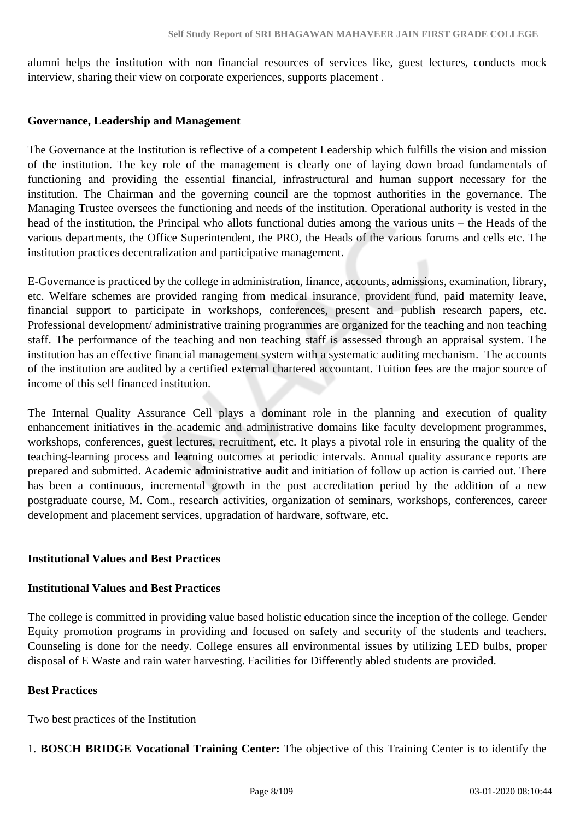alumni helps the institution with non financial resources of services like, guest lectures, conducts mock interview, sharing their view on corporate experiences, supports placement .

#### **Governance, Leadership and Management**

The Governance at the Institution is reflective of a competent Leadership which fulfills the vision and mission of the institution. The key role of the management is clearly one of laying down broad fundamentals of functioning and providing the essential financial, infrastructural and human support necessary for the institution. The Chairman and the governing council are the topmost authorities in the governance. The Managing Trustee oversees the functioning and needs of the institution. Operational authority is vested in the head of the institution, the Principal who allots functional duties among the various units – the Heads of the various departments, the Office Superintendent, the PRO, the Heads of the various forums and cells etc. The institution practices decentralization and participative management.

E-Governance is practiced by the college in administration, finance, accounts, admissions, examination, library, etc. Welfare schemes are provided ranging from medical insurance, provident fund, paid maternity leave, financial support to participate in workshops, conferences, present and publish research papers, etc. Professional development/ administrative training programmes are organized for the teaching and non teaching staff. The performance of the teaching and non teaching staff is assessed through an appraisal system. The institution has an effective financial management system with a systematic auditing mechanism. The accounts of the institution are audited by a certified external chartered accountant. Tuition fees are the major source of income of this self financed institution.

The Internal Quality Assurance Cell plays a dominant role in the planning and execution of quality enhancement initiatives in the academic and administrative domains like faculty development programmes, workshops, conferences, guest lectures, recruitment, etc. It plays a pivotal role in ensuring the quality of the teaching-learning process and learning outcomes at periodic intervals. Annual quality assurance reports are prepared and submitted. Academic administrative audit and initiation of follow up action is carried out. There has been a continuous, incremental growth in the post accreditation period by the addition of a new postgraduate course, M. Com., research activities, organization of seminars, workshops, conferences, career development and placement services, upgradation of hardware, software, etc.

#### **Institutional Values and Best Practices**

#### **Institutional Values and Best Practices**

The college is committed in providing value based holistic education since the inception of the college. Gender Equity promotion programs in providing and focused on safety and security of the students and teachers. Counseling is done for the needy. College ensures all environmental issues by utilizing LED bulbs, proper disposal of E Waste and rain water harvesting. Facilities for Differently abled students are provided.

#### **Best Practices**

Two best practices of the Institution

1. **BOSCH BRIDGE Vocational Training Center:** The objective of this Training Center is to identify the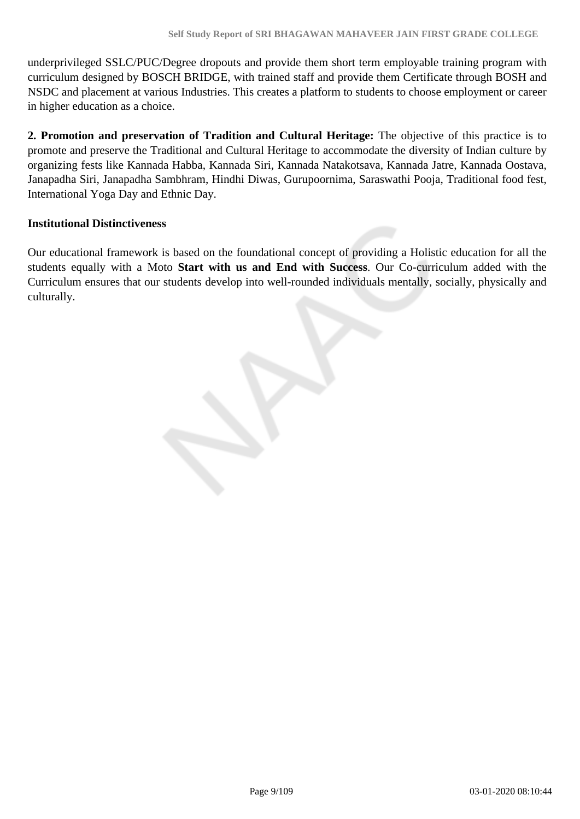underprivileged SSLC/PUC/Degree dropouts and provide them short term employable training program with curriculum designed by BOSCH BRIDGE, with trained staff and provide them Certificate through BOSH and NSDC and placement at various Industries. This creates a platform to students to choose employment or career in higher education as a choice.

**2. Promotion and preservation of Tradition and Cultural Heritage:** The objective of this practice is to promote and preserve the Traditional and Cultural Heritage to accommodate the diversity of Indian culture by organizing fests like Kannada Habba, Kannada Siri, Kannada Natakotsava, Kannada Jatre, Kannada Oostava, Janapadha Siri, Janapadha Sambhram, Hindhi Diwas, Gurupoornima, Saraswathi Pooja, Traditional food fest, International Yoga Day and Ethnic Day.

#### **Institutional Distinctiveness**

Our educational framework is based on the foundational concept of providing a Holistic education for all the students equally with a Moto **Start with us and End with Success**. Our Co-curriculum added with the Curriculum ensures that our students develop into well-rounded individuals mentally, socially, physically and culturally.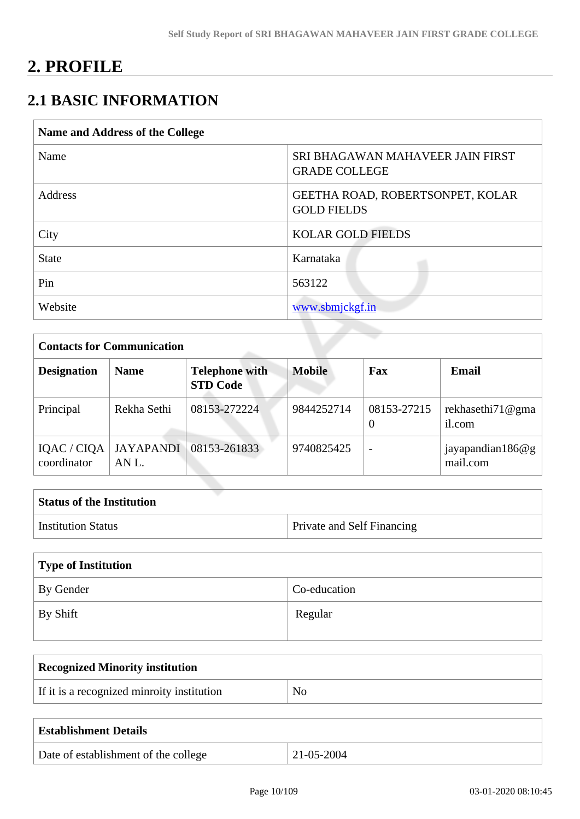# **2. PROFILE**

# **2.1 BASIC INFORMATION**

| Name and Address of the College |                                                          |  |
|---------------------------------|----------------------------------------------------------|--|
| Name                            | SRI BHAGAWAN MAHAVEER JAIN FIRST<br><b>GRADE COLLEGE</b> |  |
| Address                         | GEETHA ROAD, ROBERTSONPET, KOLAR<br><b>GOLD FIELDS</b>   |  |
| City                            | <b>KOLAR GOLD FIELDS</b>                                 |  |
| <b>State</b>                    | Karnataka                                                |  |
| Pin                             | 563122                                                   |  |
| Website                         | www.sbmjckgf.in                                          |  |
|                                 |                                                          |  |

| <b>Contacts for Communication</b> |                           |                                          |               |                          |                              |
|-----------------------------------|---------------------------|------------------------------------------|---------------|--------------------------|------------------------------|
| <b>Designation</b>                | <b>Name</b>               | <b>Telephone with</b><br><b>STD Code</b> | <b>Mobile</b> | Fax                      | <b>Email</b>                 |
| Principal                         | Rekha Sethi               | 08153-272224                             | 9844252714    | 08153-27215<br>$\theta$  | rekhasethi71@gma<br>il.com   |
| IQAC / CIQA<br>coordinator        | <b>JAYAPANDI</b><br>AN L. | 08153-261833                             | 9740825425    | $\overline{\phantom{0}}$ | jayapandian186@g<br>mail.com |

| <b>Status of the Institution</b> |                                   |
|----------------------------------|-----------------------------------|
| <b>Institution Status</b>        | <b>Private and Self Financing</b> |

| Type of Institution |              |  |
|---------------------|--------------|--|
| By Gender           | Co-education |  |
| By Shift            | Regular      |  |

| <b>Recognized Minority institution</b>     |    |
|--------------------------------------------|----|
| If it is a recognized minroity institution | No |
|                                            |    |

| <b>Establishment Details</b>         |                      |
|--------------------------------------|----------------------|
| Date of establishment of the college | $\pm 21 - 05 - 2004$ |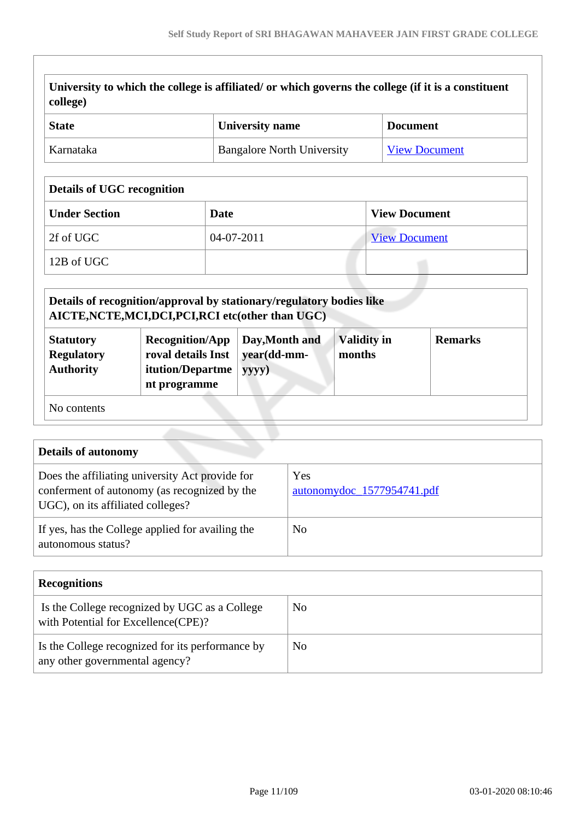| University to which the college is affiliated/ or which governs the college (if it is a constituent<br>college) |                                   |                      |  |  |
|-----------------------------------------------------------------------------------------------------------------|-----------------------------------|----------------------|--|--|
| <b>University name</b><br><b>State</b><br><b>Document</b>                                                       |                                   |                      |  |  |
| Karnataka                                                                                                       | <b>Bangalore North University</b> | <b>View Document</b> |  |  |

# **Details of UGC recognition**

| <b>Under Section</b> | Date       | <b>View Document</b> |
|----------------------|------------|----------------------|
| 2f of UGC            | 04-07-2011 | <b>View Document</b> |
| $12B$ of UGC         |            |                      |

|                                                           | Details of recognition/approval by stationary/regulatory bodies like<br>AICTE, NCTE, MCI, DCI, PCI, RCI etc(other than UGC) |                                        |                              |                |
|-----------------------------------------------------------|-----------------------------------------------------------------------------------------------------------------------------|----------------------------------------|------------------------------|----------------|
| <b>Statutory</b><br><b>Regulatory</b><br><b>Authority</b> | <b>Recognition/App</b><br>roval details Inst<br>itution/Departme<br>nt programme                                            | Day, Month and<br>year(dd-mm-<br>yyyy) | <b>Validity in</b><br>months | <b>Remarks</b> |
| No contents                                               |                                                                                                                             |                                        |                              |                |

| <b>Details of autonomy</b>                                                                                                           |                                   |
|--------------------------------------------------------------------------------------------------------------------------------------|-----------------------------------|
| Does the affiliating university Act provide for<br>conferment of autonomy (as recognized by the<br>UGC), on its affiliated colleges? | Yes<br>autonomydoc_1577954741.pdf |
| If yes, has the College applied for availing the<br>autonomous status?                                                               | N <sub>0</sub>                    |

| <b>Recognitions</b>                                                                   |    |
|---------------------------------------------------------------------------------------|----|
| Is the College recognized by UGC as a College<br>with Potential for Excellence (CPE)? | No |
| Is the College recognized for its performance by<br>any other governmental agency?    | No |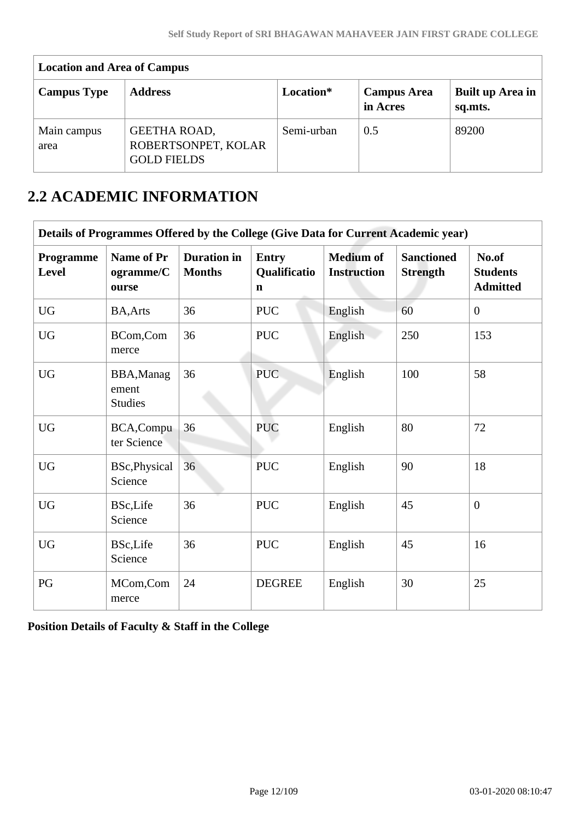| <b>Location and Area of Campus</b> |                                                                  |            |                                |                             |
|------------------------------------|------------------------------------------------------------------|------------|--------------------------------|-----------------------------|
| <b>Campus Type</b>                 | <b>Address</b>                                                   | Location*  | <b>Campus Area</b><br>in Acres | Built up Area in<br>sq.mts. |
| Main campus<br>area                | <b>GEETHA ROAD,</b><br>ROBERTSONPET, KOLAR<br><b>GOLD FIELDS</b> | Semi-urban | 0.5                            | 89200                       |

# **2.2 ACADEMIC INFORMATION**

|                                  | Details of Programmes Offered by the College (Give Data for Current Academic year) |                                     |                                             |                                        |                                      |                                             |
|----------------------------------|------------------------------------------------------------------------------------|-------------------------------------|---------------------------------------------|----------------------------------------|--------------------------------------|---------------------------------------------|
| <b>Programme</b><br><b>Level</b> | Name of Pr<br>ogramme/C<br>ourse                                                   | <b>Duration</b> in<br><b>Months</b> | <b>Entry</b><br>Qualificatio<br>$\mathbf n$ | <b>Medium of</b><br><b>Instruction</b> | <b>Sanctioned</b><br><b>Strength</b> | No.of<br><b>Students</b><br><b>Admitted</b> |
| <b>UG</b>                        | <b>BA, Arts</b>                                                                    | 36                                  | <b>PUC</b>                                  | English                                | 60                                   | $\overline{0}$                              |
| <b>UG</b>                        | BCom,Com<br>merce                                                                  | 36                                  | <b>PUC</b>                                  | English                                | 250                                  | 153                                         |
| <b>UG</b>                        | BBA, Manag<br>ement<br><b>Studies</b>                                              | 36                                  | <b>PUC</b>                                  | English                                | 100                                  | 58                                          |
| <b>UG</b>                        | BCA,Compu<br>ter Science                                                           | 36                                  | <b>PUC</b>                                  | English                                | 80                                   | 72                                          |
| <b>UG</b>                        | BSc, Physical<br>Science                                                           | 36                                  | <b>PUC</b>                                  | English                                | 90                                   | 18                                          |
| <b>UG</b>                        | <b>BSc,Life</b><br>Science                                                         | 36                                  | <b>PUC</b>                                  | English                                | 45                                   | $\mathbf{0}$                                |
| <b>UG</b>                        | <b>BSc,Life</b><br>Science                                                         | 36                                  | <b>PUC</b>                                  | English                                | 45                                   | 16                                          |
| PG                               | MCom,Com<br>merce                                                                  | 24                                  | <b>DEGREE</b>                               | English                                | 30                                   | 25                                          |

**Position Details of Faculty & Staff in the College**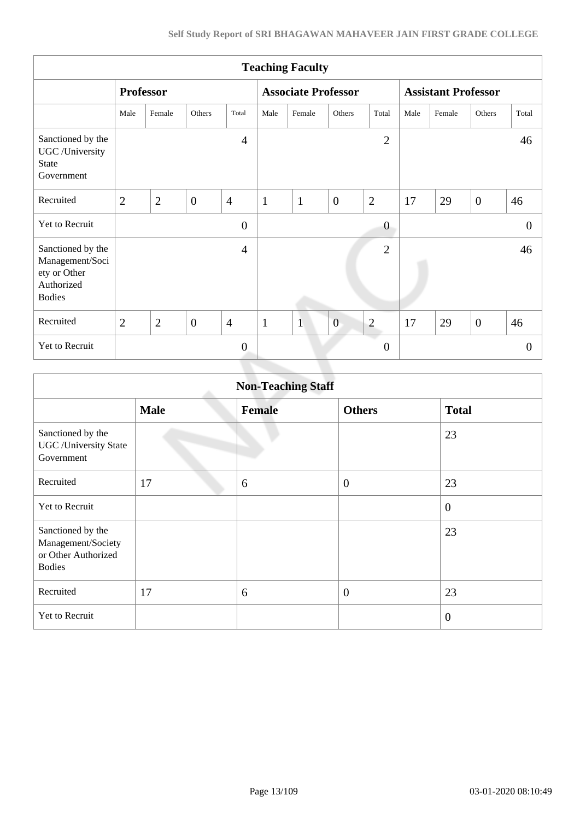| <b>Teaching Faculty</b>                                                             |                  |                |              |                            |              |              |                            |                  |      |        |                |                |
|-------------------------------------------------------------------------------------|------------------|----------------|--------------|----------------------------|--------------|--------------|----------------------------|------------------|------|--------|----------------|----------------|
|                                                                                     | <b>Professor</b> |                |              | <b>Associate Professor</b> |              |              | <b>Assistant Professor</b> |                  |      |        |                |                |
|                                                                                     | Male             | Female         | Others       | Total                      | Male         | Female       | Others                     | Total            | Male | Female | Others         | Total          |
| Sanctioned by the<br>UGC /University<br>State<br>Government                         |                  |                |              | $\overline{4}$             |              |              |                            | $\overline{2}$   |      |        |                | 46             |
| Recruited                                                                           | $\overline{2}$   | $\overline{2}$ | $\mathbf{0}$ | $\overline{4}$             | $\mathbf{1}$ | $\mathbf{1}$ | $\overline{0}$             | $\overline{2}$   | 17   | 29     | $\overline{0}$ | 46             |
| Yet to Recruit                                                                      |                  |                |              | $\overline{0}$             |              |              |                            | $\boldsymbol{0}$ |      |        |                | $\mathbf{0}$   |
| Sanctioned by the<br>Management/Soci<br>ety or Other<br>Authorized<br><b>Bodies</b> |                  |                |              | $\overline{4}$             |              |              |                            | $\overline{2}$   |      |        |                | 46             |
| Recruited                                                                           | $\overline{2}$   | $\overline{2}$ | $\mathbf{0}$ | $\overline{4}$             | $\mathbf{1}$ | $\mathbf{1}$ | $\overline{0}$             | $\overline{2}$   | 17   | 29     | $\overline{0}$ | 46             |
| Yet to Recruit                                                                      |                  |                |              | $\overline{0}$             |              |              |                            | $\overline{0}$   |      |        |                | $\overline{0}$ |

| <b>Non-Teaching Staff</b>                                                       |             |               |                  |                |  |  |  |  |
|---------------------------------------------------------------------------------|-------------|---------------|------------------|----------------|--|--|--|--|
|                                                                                 | <b>Male</b> | <b>Female</b> | <b>Others</b>    | <b>Total</b>   |  |  |  |  |
| Sanctioned by the<br><b>UGC</b> / University State<br>Government                |             |               |                  | 23             |  |  |  |  |
| Recruited                                                                       | 17          | 6             | $\overline{0}$   | 23             |  |  |  |  |
| Yet to Recruit                                                                  |             |               |                  | $\overline{0}$ |  |  |  |  |
| Sanctioned by the<br>Management/Society<br>or Other Authorized<br><b>Bodies</b> |             |               |                  | 23             |  |  |  |  |
| Recruited                                                                       | 17          | 6             | $\boldsymbol{0}$ | 23             |  |  |  |  |
| Yet to Recruit                                                                  |             |               |                  | $\overline{0}$ |  |  |  |  |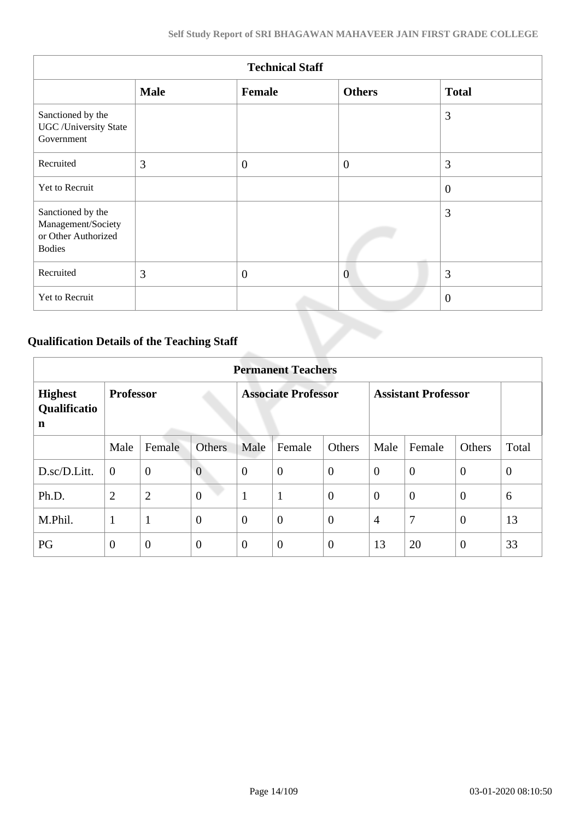| <b>Technical Staff</b>                                                          |             |              |                |                |  |  |  |  |  |
|---------------------------------------------------------------------------------|-------------|--------------|----------------|----------------|--|--|--|--|--|
|                                                                                 | <b>Male</b> | Female       | <b>Others</b>  | <b>Total</b>   |  |  |  |  |  |
| Sanctioned by the<br><b>UGC</b> / University State<br>Government                |             |              |                | 3              |  |  |  |  |  |
| Recruited                                                                       | 3           | $\theta$     | $\overline{0}$ | 3              |  |  |  |  |  |
| Yet to Recruit                                                                  |             |              |                | $\overline{0}$ |  |  |  |  |  |
| Sanctioned by the<br>Management/Society<br>or Other Authorized<br><b>Bodies</b> |             |              |                | 3              |  |  |  |  |  |
| Recruited                                                                       | 3           | $\mathbf{0}$ | $\overline{0}$ | 3              |  |  |  |  |  |
| Yet to Recruit                                                                  |             |              |                | $\overline{0}$ |  |  |  |  |  |

# **Qualification Details of the Teaching Staff**

|                                     | <b>Permanent Teachers</b> |                |                |                            |                |                |                            |                |                |                |  |
|-------------------------------------|---------------------------|----------------|----------------|----------------------------|----------------|----------------|----------------------------|----------------|----------------|----------------|--|
| <b>Highest</b><br>Qualificatio<br>n | <b>Professor</b>          |                |                | <b>Associate Professor</b> |                |                | <b>Assistant Professor</b> |                |                |                |  |
|                                     | Male                      | Female         | <b>Others</b>  | Male                       | Female         | Others         | Male                       | Female         | Others         | Total          |  |
| D.sc/D.Litt.                        | $\overline{0}$            | $\mathbf{0}$   | $\overline{0}$ | $\theta$                   | $\overline{0}$ | $\mathbf{0}$   | $\overline{0}$             | $\theta$       | $\overline{0}$ | $\overline{0}$ |  |
| Ph.D.                               | $\overline{2}$            | $\overline{2}$ | $\overline{0}$ | $\mathbf{1}$               | $\mathbf{1}$   | $\overline{0}$ | $\overline{0}$             | $\overline{0}$ | $\overline{0}$ | 6              |  |
| M.Phil.                             | 1                         | $\mathbf{1}$   | $\overline{0}$ | $\theta$                   | $\overline{0}$ | $\overline{0}$ | $\overline{4}$             | 7              | $\overline{0}$ | 13             |  |
| PG                                  | $\theta$                  | $\theta$       | $\theta$       | $\overline{0}$             | $\overline{0}$ | $\overline{0}$ | 13                         | 20             | $\overline{0}$ | 33             |  |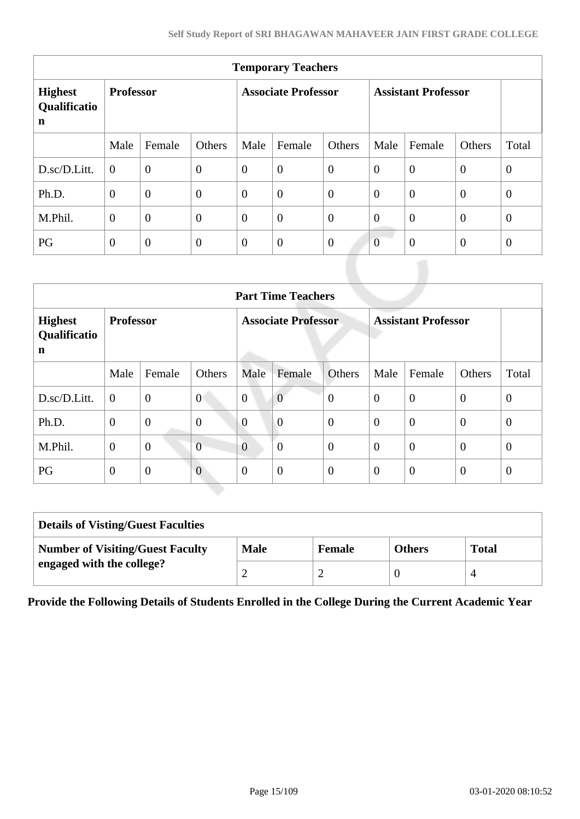| <b>Temporary Teachers</b>                     |                  |                |                            |                |                  |                            |                |                |                |                |  |
|-----------------------------------------------|------------------|----------------|----------------------------|----------------|------------------|----------------------------|----------------|----------------|----------------|----------------|--|
| <b>Highest</b><br>Qualificatio<br>$\mathbf n$ | <b>Professor</b> |                | <b>Associate Professor</b> |                |                  | <b>Assistant Professor</b> |                |                |                |                |  |
|                                               | Male             | Female         | Others                     | Male           | Female           | Others                     | Male           | Female         | Others         | Total          |  |
| D.sc/D.Litt.                                  | $\theta$         | $\overline{0}$ | $\boldsymbol{0}$           | $\overline{0}$ | $\overline{0}$   | $\overline{0}$             | $\overline{0}$ | $\overline{0}$ | $\overline{0}$ | $\overline{0}$ |  |
| Ph.D.                                         | $\overline{0}$   | $\overline{0}$ | $\overline{0}$             | $\overline{0}$ | $\boldsymbol{0}$ | $\overline{0}$             | $\overline{0}$ | $\theta$       | $\theta$       | $\overline{0}$ |  |
| M.Phil.                                       | $\overline{0}$   | $\overline{0}$ | $\overline{0}$             | $\overline{0}$ | $\overline{0}$   | $\overline{0}$             | $\overline{0}$ | $\overline{0}$ | $\theta$       | $\overline{0}$ |  |
| PG                                            | $\theta$         | $\overline{0}$ | $\theta$                   | $\overline{0}$ | $\overline{0}$   | $\theta$                   | $\overline{0}$ | $\overline{0}$ | $\overline{0}$ | $\theta$       |  |

|                                     | <b>Part Time Teachers</b> |                |                |                            |                  |                  |                            |                |                  |                |  |
|-------------------------------------|---------------------------|----------------|----------------|----------------------------|------------------|------------------|----------------------------|----------------|------------------|----------------|--|
| <b>Highest</b><br>Qualificatio<br>n | <b>Professor</b>          |                |                | <b>Associate Professor</b> |                  |                  | <b>Assistant Professor</b> |                |                  |                |  |
|                                     | Male                      | Female         | Others         | Male                       | Female           | Others           | Male                       | Female         | Others           | Total          |  |
| D.sc/D.Litt.                        | $\boldsymbol{0}$          | $\mathbf{0}$   | $\overline{0}$ | $\overline{0}$             | $\overline{0}$   | $\overline{0}$   | $\theta$                   | $\overline{0}$ | $\boldsymbol{0}$ | $\overline{0}$ |  |
| Ph.D.                               | $\overline{0}$            | $\overline{0}$ | $\overline{0}$ | $\overline{0}$             | $\overline{0}$   | $\overline{0}$   | $\Omega$                   | $\theta$       | $\overline{0}$   | $\theta$       |  |
| M.Phil.                             | $\theta$                  | $\overline{0}$ | $\overline{0}$ | $\overline{0}$             | $\boldsymbol{0}$ | $\boldsymbol{0}$ | $\theta$                   | $\overline{0}$ | $\overline{0}$   | $\theta$       |  |
| PG                                  | $\overline{0}$            | $\overline{0}$ | $\overline{0}$ | $\theta$                   | $\overline{0}$   | $\overline{0}$   | $\overline{0}$             | $\overline{0}$ | $\overline{0}$   | $\theta$       |  |

| <b>Details of Visting/Guest Faculties</b> |             |               |               |              |  |  |  |
|-------------------------------------------|-------------|---------------|---------------|--------------|--|--|--|
| <b>Number of Visiting/Guest Faculty</b>   | <b>Male</b> | <b>Female</b> | <b>Others</b> | <b>Total</b> |  |  |  |
| engaged with the college?                 |             |               |               |              |  |  |  |

**Provide the Following Details of Students Enrolled in the College During the Current Academic Year**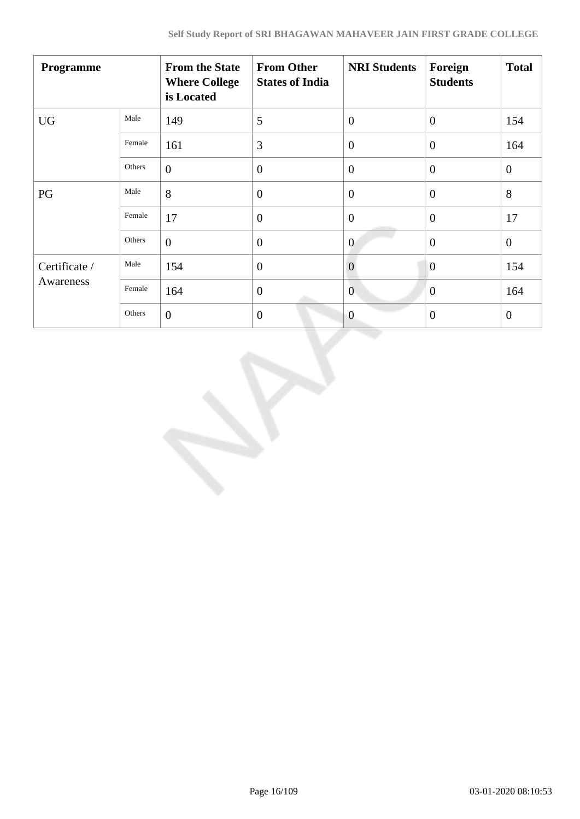| Programme     |        | <b>From the State</b><br><b>Where College</b><br>is Located | <b>From Other</b><br><b>States of India</b> | <b>NRI Students</b> | Foreign<br><b>Students</b> | <b>Total</b>   |
|---------------|--------|-------------------------------------------------------------|---------------------------------------------|---------------------|----------------------------|----------------|
| <b>UG</b>     | Male   | 149                                                         | 5                                           | $\overline{0}$      | $\overline{0}$             | 154            |
|               | Female | 161                                                         | 3                                           | $\overline{0}$      | $\theta$                   | 164            |
|               | Others | $\overline{0}$                                              | $\boldsymbol{0}$                            | $\overline{0}$      | $\overline{0}$             | $\theta$       |
| PG            | Male   | 8                                                           | $\overline{0}$                              | $\overline{0}$      | $\overline{0}$             | 8              |
|               | Female | 17                                                          | $\boldsymbol{0}$                            | $\overline{0}$      | $\mathbf{0}$               | 17             |
|               | Others | $\overline{0}$                                              | $\overline{0}$                              | $\mathbf{0}$        | $\overline{0}$             | $\overline{0}$ |
| Certificate / | Male   | 154                                                         | $\boldsymbol{0}$                            | $\overline{0}$      | $\overline{0}$             | 154            |
| Awareness     | Female | 164                                                         | $\boldsymbol{0}$                            | $\overline{0}$      | $\overline{0}$             | 164            |
|               | Others | $\overline{0}$                                              | $\overline{0}$                              | $\overline{0}$      | $\mathbf{0}$               | $\theta$       |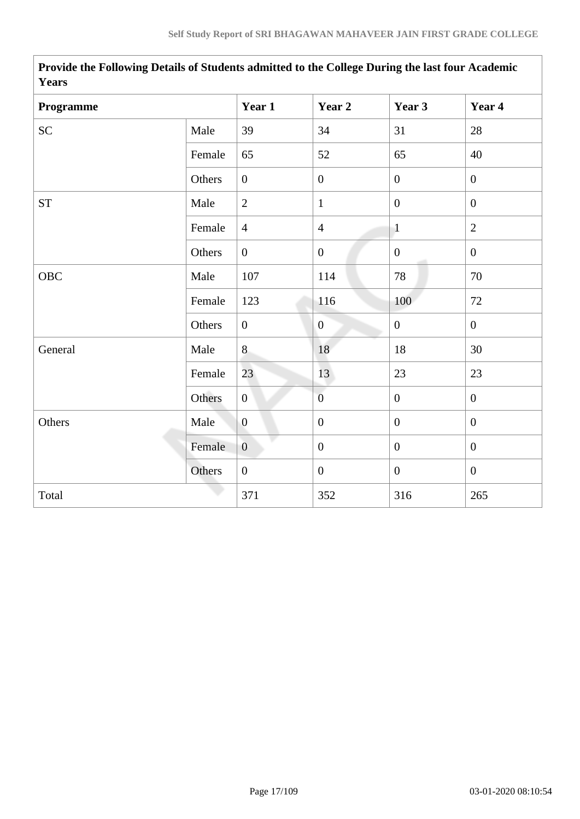| 1 cal 5             |        |                  |                  |                |                |
|---------------------|--------|------------------|------------------|----------------|----------------|
| Programme           |        | Year 1           | Year 2           | Year 3         | Year 4         |
| SC                  | Male   | 39               | 34               | 31             | 28             |
|                     | Female | 65               | 52               | 65             | 40             |
|                     | Others | $\boldsymbol{0}$ | $\mathbf{0}$     | $\overline{0}$ | $\overline{0}$ |
| $\operatorname{ST}$ | Male   | $\mathbf{2}$     | $\mathbf{1}$     | $\overline{0}$ | $\overline{0}$ |
|                     | Female | $\overline{4}$   | $\overline{4}$   | $\mathbf{1}$   | $\overline{2}$ |
|                     | Others | $\overline{0}$   | $\boldsymbol{0}$ | $\overline{0}$ | $\overline{0}$ |
| OBC                 | Male   | 107              | 114              | 78             | 70             |
|                     | Female | 123              | 116              | 100            | 72             |
|                     | Others | $\overline{0}$   | $\overline{0}$   | $\overline{0}$ | $\overline{0}$ |
| General             | Male   | 8                | 18               | $18\,$         | 30             |
|                     | Female | 23               | 13               | 23             | 23             |
|                     | Others | $\overline{0}$   | $\overline{0}$   | $\overline{0}$ | $\overline{0}$ |
| Others              | Male   | $\overline{0}$   | $\boldsymbol{0}$ | $\overline{0}$ | $\overline{0}$ |
|                     | Female | $\overline{0}$   | $\boldsymbol{0}$ | $\overline{0}$ | $\overline{0}$ |
|                     | Others | $\overline{0}$   | $\mathbf{0}$     | $\overline{0}$ | $\overline{0}$ |
| Total               |        | 371              | 352              | 316            | 265            |

**Provide the Following Details of Students admitted to the College During the last four Academic Years**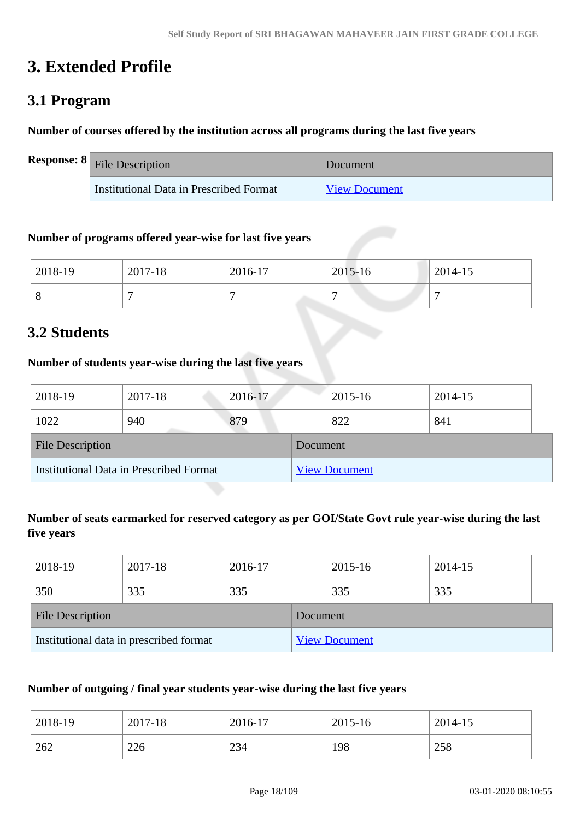# **3. Extended Profile**

# **3.1 Program**

# **Number of courses offered by the institution across all programs during the last five years**

| <b>Response:</b> $8 \vert$ File Description | Document             |
|---------------------------------------------|----------------------|
| Institutional Data in Prescribed Format     | <b>View Document</b> |

#### **Number of programs offered year-wise for last five years**

| 2018-19 | 2017-18 | 2016-17 | 2015-16 | 2014-15 |
|---------|---------|---------|---------|---------|
|         |         |         |         |         |

# **3.2 Students**

# **Number of students year-wise during the last five years**

| 2018-19                                        | 2017-18 | 2016-17 |          | 2015-16              | 2014-15 |  |
|------------------------------------------------|---------|---------|----------|----------------------|---------|--|
| 1022                                           | 940     | 879     |          | 822                  | 841     |  |
| <b>File Description</b>                        |         |         | Document |                      |         |  |
| <b>Institutional Data in Prescribed Format</b> |         |         |          | <b>View Document</b> |         |  |

# **Number of seats earmarked for reserved category as per GOI/State Govt rule year-wise during the last five years**

| 2018-19                                 | 2017-18 | 2016-17 |          | 2015-16              | 2014-15 |  |
|-----------------------------------------|---------|---------|----------|----------------------|---------|--|
| 350                                     | 335     | 335     |          | 335                  | 335     |  |
| <b>File Description</b>                 |         |         | Document |                      |         |  |
| Institutional data in prescribed format |         |         |          | <b>View Document</b> |         |  |

# **Number of outgoing / final year students year-wise during the last five years**

| 2018-19 | 2017-18 | 2016-17 | 2015-16 | 2014-15 |
|---------|---------|---------|---------|---------|
| 262     | 226     | 234     | 198     | 258     |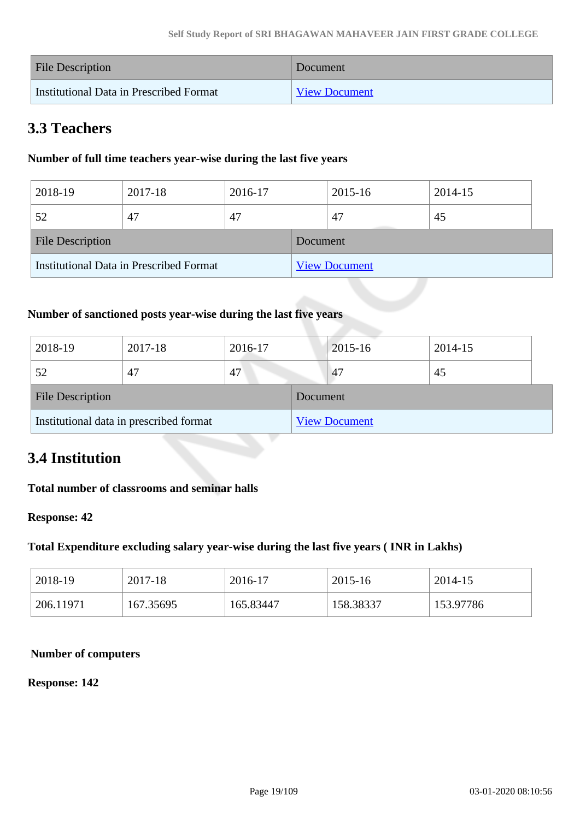| <b>File Description</b>                 | Document             |
|-----------------------------------------|----------------------|
| Institutional Data in Prescribed Format | <b>View Document</b> |

# **3.3 Teachers**

# **Number of full time teachers year-wise during the last five years**

| 2018-19                                 | 2017-18 | 2016-17 |          | 2015-16              | 2014-15 |  |
|-----------------------------------------|---------|---------|----------|----------------------|---------|--|
| 52                                      | 47      | 47      |          | 47                   | 45      |  |
| <b>File Description</b>                 |         |         | Document |                      |         |  |
| Institutional Data in Prescribed Format |         |         |          | <b>View Document</b> |         |  |

# **Number of sanctioned posts year-wise during the last five years**

| 2018-19                                 | 2017-18 | 2016-17 |          | 2015-16              | 2014-15 |
|-----------------------------------------|---------|---------|----------|----------------------|---------|
| 52                                      | 47      | 47      |          | 47                   | 45      |
| <b>File Description</b>                 |         |         | Document |                      |         |
| Institutional data in prescribed format |         |         |          | <b>View Document</b> |         |

# **3.4 Institution**

# **Total number of classrooms and seminar halls**

# **Response: 42**

# **Total Expenditure excluding salary year-wise during the last five years ( INR in Lakhs)**

| 2018-19   | 2017-18   | 2016-17   | 2015-16   | 2014-15   |
|-----------|-----------|-----------|-----------|-----------|
| 206.11971 | 167.35695 | 165.83447 | 158.38337 | 153.97786 |

#### **Number of computers**

#### **Response: 142**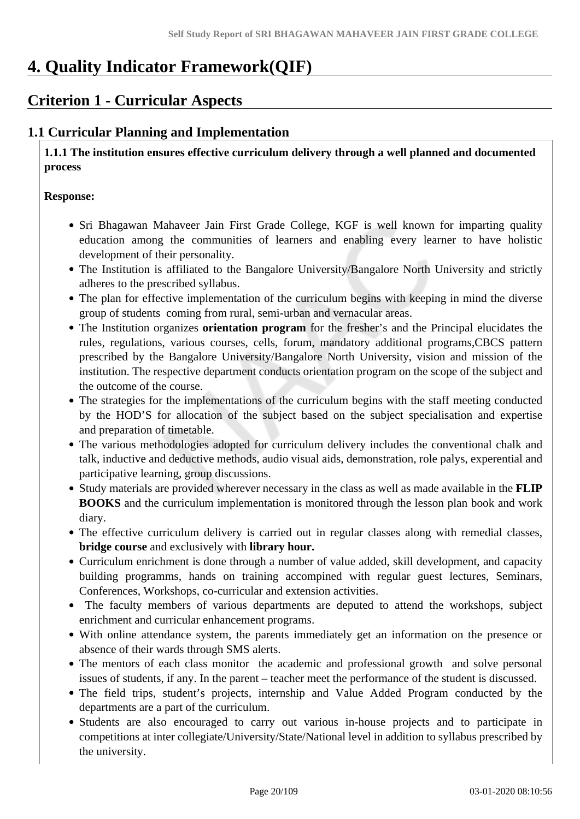# **4. Quality Indicator Framework(QIF)**

# **Criterion 1 - Curricular Aspects**

# **1.1 Curricular Planning and Implementation**

 **1.1.1 The institution ensures effective curriculum delivery through a well planned and documented process** 

# **Response:**

- Sri Bhagawan Mahaveer Jain First Grade College, KGF is well known for imparting quality education among the communities of learners and enabling every learner to have holistic development of their personality.
- The Institution is affiliated to the Bangalore University/Bangalore North University and strictly adheres to the prescribed syllabus.
- The plan for effective implementation of the curriculum begins with keeping in mind the diverse group of students coming from rural, semi-urban and vernacular areas.
- The Institution organizes **orientation program** for the fresher's and the Principal elucidates the rules, regulations, various courses, cells, forum, mandatory additional programs,CBCS pattern prescribed by the Bangalore University/Bangalore North University, vision and mission of the institution. The respective department conducts orientation program on the scope of the subject and the outcome of the course.
- The strategies for the implementations of the curriculum begins with the staff meeting conducted by the HOD'S for allocation of the subject based on the subject specialisation and expertise and preparation of timetable.
- The various methodologies adopted for curriculum delivery includes the conventional chalk and talk, inductive and deductive methods, audio visual aids, demonstration, role palys, experential and participative learning, group discussions.
- Study materials are provided wherever necessary in the class as well as made available in the **FLIP BOOKS** and the curriculum implementation is monitored through the lesson plan book and work diary.
- The effective curriculum delivery is carried out in regular classes along with remedial classes, **bridge course** and exclusively with **library hour.**
- Curriculum enrichment is done through a number of value added, skill development, and capacity building programms, hands on training accompined with regular guest lectures, Seminars, Conferences, Workshops, co-curricular and extension activities.
- The faculty members of various departments are deputed to attend the workshops, subject enrichment and curricular enhancement programs.
- With online attendance system, the parents immediately get an information on the presence or absence of their wards through SMS alerts.
- The mentors of each class monitor the academic and professional growth and solve personal issues of students, if any. In the parent – teacher meet the performance of the student is discussed.
- The field trips, student's projects, internship and Value Added Program conducted by the departments are a part of the curriculum.
- Students are also encouraged to carry out various in-house projects and to participate in competitions at inter collegiate/University/State/National level in addition to syllabus prescribed by the university.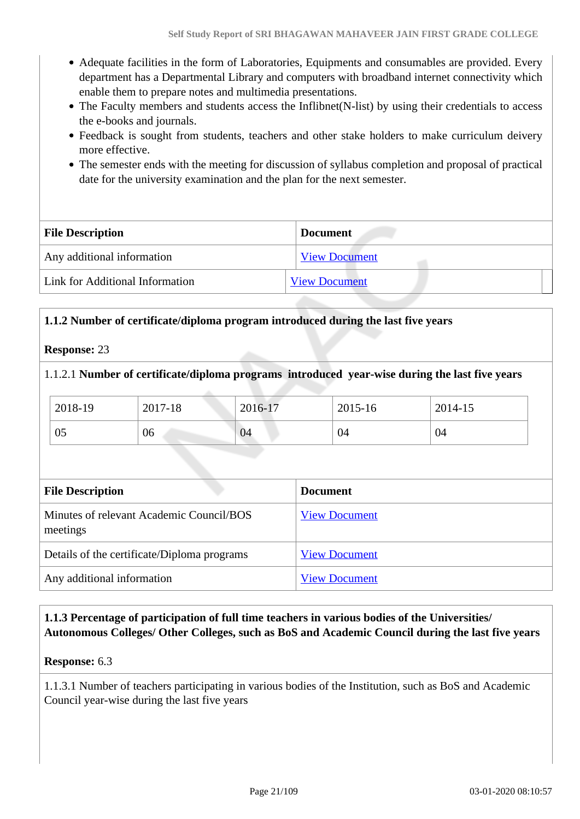- Adequate facilities in the form of Laboratories, Equipments and consumables are provided. Every department has a Departmental Library and computers with broadband internet connectivity which enable them to prepare notes and multimedia presentations.
- The Faculty members and students access the Inflibnet(N-list) by using their credentials to access the e-books and journals.
- Feedback is sought from students, teachers and other stake holders to make curriculum deivery more effective.
- The semester ends with the meeting for discussion of syllabus completion and proposal of practical date for the university examination and the plan for the next semester.

| <b>File Description</b>         | <b>Document</b>      |
|---------------------------------|----------------------|
| Any additional information      | <b>View Document</b> |
| Link for Additional Information | <b>View Document</b> |

# **1.1.2 Number of certificate/diploma program introduced during the last five years**

# **Response:** 23

# 1.1.2.1 **Number of certificate/diploma programs introduced year-wise during the last five years**

| 2018-19 | 2017-18 | 2016-17 | $2015 - 16$ | 2014-15 |  |
|---------|---------|---------|-------------|---------|--|
| 05      | 06      | 04      | 04          | 04      |  |

| <b>File Description</b>                              | <b>Document</b>      |
|------------------------------------------------------|----------------------|
| Minutes of relevant Academic Council/BOS<br>meetings | <b>View Document</b> |
| Details of the certificate/Diploma programs          | <b>View Document</b> |
| Any additional information                           | <b>View Document</b> |

# **1.1.3 Percentage of participation of full time teachers in various bodies of the Universities/ Autonomous Colleges/ Other Colleges, such as BoS and Academic Council during the last five years**

# **Response:** 6.3

1.1.3.1 Number of teachers participating in various bodies of the Institution, such as BoS and Academic Council year-wise during the last five years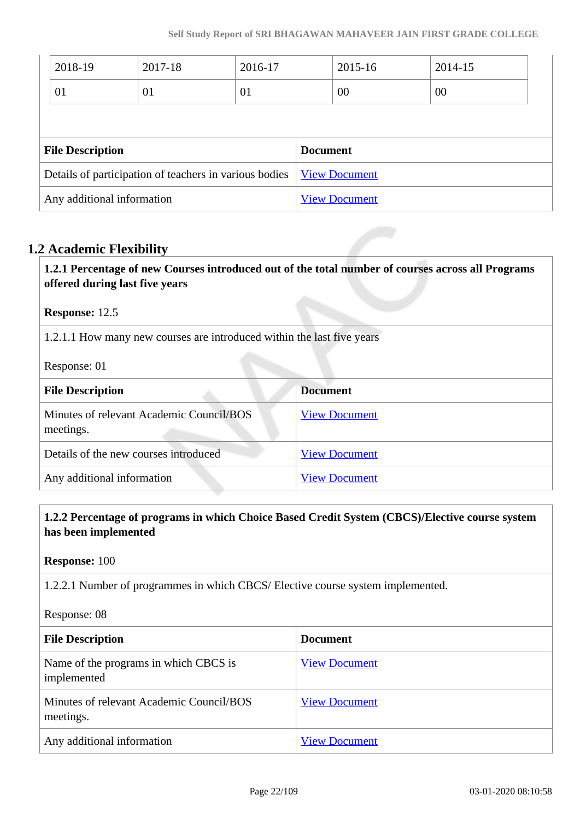|  | 2018-19                 | 2017-18                                                | 2016-17 |                 | 2015-16              | 2014-15 |  |
|--|-------------------------|--------------------------------------------------------|---------|-----------------|----------------------|---------|--|
|  | 01                      | 01                                                     | 01      |                 | 00                   | 00      |  |
|  |                         |                                                        |         |                 |                      |         |  |
|  |                         |                                                        |         |                 |                      |         |  |
|  | <b>File Description</b> |                                                        |         | <b>Document</b> |                      |         |  |
|  |                         | Details of participation of teachers in various bodies |         |                 | <b>View Document</b> |         |  |

# **1.2 Academic Flexibility**

 **1.2.1 Percentage of new Courses introduced out of the total number of courses across all Programs offered during last five years**

# **Response:** 12.5

1.2.1.1 How many new courses are introduced within the last five years

Response: 01

| <b>File Description</b>                               | <b>Document</b>      |
|-------------------------------------------------------|----------------------|
| Minutes of relevant Academic Council/BOS<br>meetings. | <b>View Document</b> |
| Details of the new courses introduced                 | <b>View Document</b> |
| Any additional information                            | <b>View Document</b> |

# **1.2.2 Percentage of programs in which Choice Based Credit System (CBCS)/Elective course system has been implemented**

**Response:** 100

1.2.2.1 Number of programmes in which CBCS/ Elective course system implemented.

Response: 08

| <b>File Description</b>                               | <b>Document</b>      |
|-------------------------------------------------------|----------------------|
| Name of the programs in which CBCS is<br>implemented  | <b>View Document</b> |
| Minutes of relevant Academic Council/BOS<br>meetings. | <b>View Document</b> |
| Any additional information                            | <b>View Document</b> |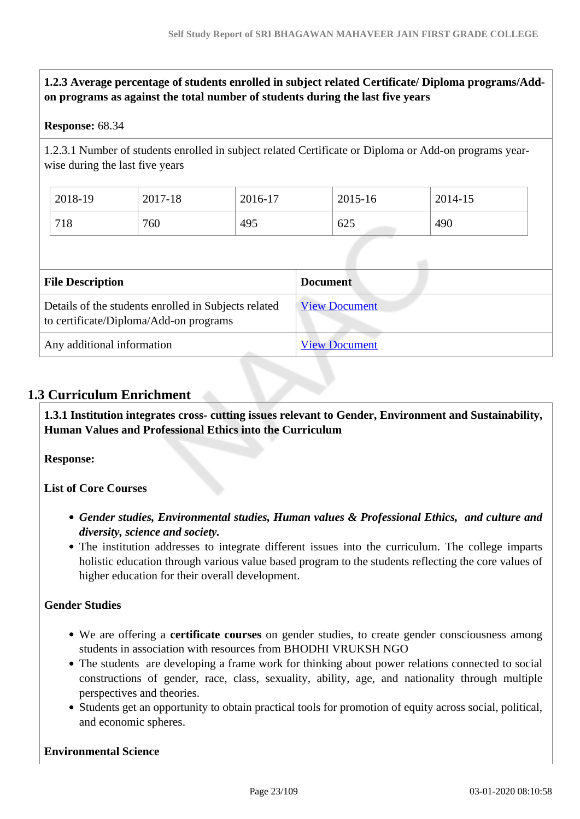**1.2.3 Average percentage of students enrolled in subject related Certificate/ Diploma programs/Addon programs as against the total number of students during the last five years**

#### **Response:** 68.34

1.2.3.1 Number of students enrolled in subject related Certificate or Diploma or Add-on programs yearwise during the last five years

| 2018-19 | 2017-18 | 2016-17 | 2015-16 | 2014-15 |
|---------|---------|---------|---------|---------|
| 718     | 760     | 495     | 625     | 490     |

| <b>File Description</b>                                                                        | <b>Document</b>      |
|------------------------------------------------------------------------------------------------|----------------------|
| Details of the students enrolled in Subjects related<br>to certificate/Diploma/Add-on programs | <b>View Document</b> |
| Any additional information                                                                     | <b>View Document</b> |

# **1.3 Curriculum Enrichment**

 **1.3.1 Institution integrates cross- cutting issues relevant to Gender, Environment and Sustainability, Human Values and Professional Ethics into the Curriculum**

**Response:** 

**List of Core Courses**

- *Gender studies, Environmental studies, Human values & Professional Ethics, and culture and diversity, science and society.*
- The institution addresses to integrate different issues into the curriculum. The college imparts holistic education through various value based program to the students reflecting the core values of higher education for their overall development.

# **Gender Studies**

- We are offering a **certificate courses** on gender studies, to create gender consciousness among students in association with resources from BHODHI VRUKSH NGO
- The students are developing a frame work for thinking about power relations connected to social constructions of gender, race, class, sexuality, ability, age, and nationality through multiple perspectives and theories.
- Students get an opportunity to obtain practical tools for promotion of equity across social, political, and economic spheres.

# **Environmental Science**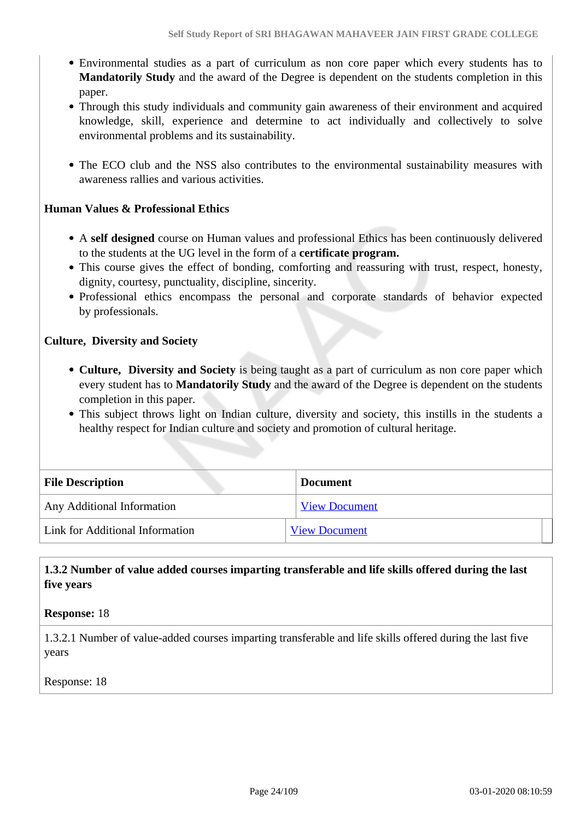- Environmental studies as a part of curriculum as non core paper which every students has to **Mandatorily Study** and the award of the Degree is dependent on the students completion in this paper.
- Through this study individuals and community gain awareness of their environment and acquired knowledge, skill, experience and determine to act individually and collectively to solve environmental problems and its sustainability.
- The ECO club and the NSS also contributes to the environmental sustainability measures with awareness rallies and various activities.

# **Human Values & Professional Ethics**

- A **self designed** course on Human values and professional Ethics has been continuously delivered to the students at the UG level in the form of a **certificate program.**
- This course gives the effect of bonding, comforting and reassuring with trust, respect, honesty, dignity, courtesy, punctuality, discipline, sincerity.
- Professional ethics encompass the personal and corporate standards of behavior expected by professionals.

# **Culture, Diversity and Society**

- **Culture, Diversity and Society** is being taught as a part of curriculum as non core paper which every student has to **Mandatorily Study** and the award of the Degree is dependent on the students completion in this paper.
- This subject throws light on Indian culture, diversity and society, this instills in the students a healthy respect for Indian culture and society and promotion of cultural heritage.

| <b>File Description</b>           | <b>Document</b>      |
|-----------------------------------|----------------------|
| <b>Any Additional Information</b> | <b>View Document</b> |
| Link for Additional Information   | <b>View Document</b> |

 **1.3.2 Number of value added courses imparting transferable and life skills offered during the last five years**

#### **Response:** 18

1.3.2.1 Number of value-added courses imparting transferable and life skills offered during the last five years

Response: 18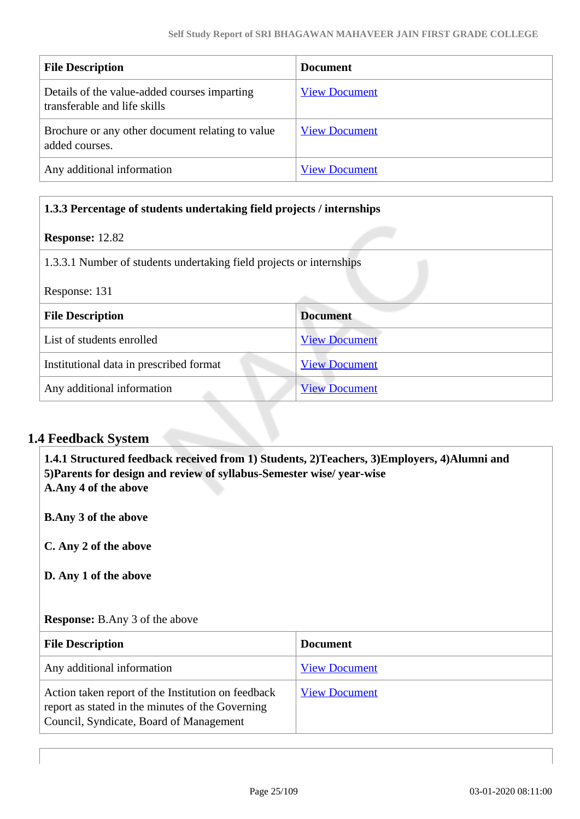| <b>File Description</b>                                                      | <b>Document</b>      |
|------------------------------------------------------------------------------|----------------------|
| Details of the value-added courses imparting<br>transferable and life skills | <b>View Document</b> |
| Brochure or any other document relating to value<br>added courses.           | <b>View Document</b> |
| Any additional information                                                   | <b>View Document</b> |

# **1.3.3 Percentage of students undertaking field projects / internships**

#### **Response:** 12.82

1.3.3.1 Number of students undertaking field projects or internships

| Response: 131 |  |
|---------------|--|
|---------------|--|

| <b>File Description</b>                 | <b>Document</b>      |
|-----------------------------------------|----------------------|
| List of students enrolled               | <b>View Document</b> |
| Institutional data in prescribed format | <b>View Document</b> |
| Any additional information              | <b>View Document</b> |

# **1.4 Feedback System**

 **1.4.1 Structured feedback received from 1) Students, 2)Teachers, 3)Employers, 4)Alumni and 5)Parents for design and review of syllabus-Semester wise/ year-wise A.Any 4 of the above**

**B.Any 3 of the above**

**C. Any 2 of the above**

**D. Any 1 of the above**

# **Response:** B.Any 3 of the above

| <b>File Description</b>                                                                                                                           | <b>Document</b>      |
|---------------------------------------------------------------------------------------------------------------------------------------------------|----------------------|
| Any additional information                                                                                                                        | <b>View Document</b> |
| Action taken report of the Institution on feedback<br>report as stated in the minutes of the Governing<br>Council, Syndicate, Board of Management | <b>View Document</b> |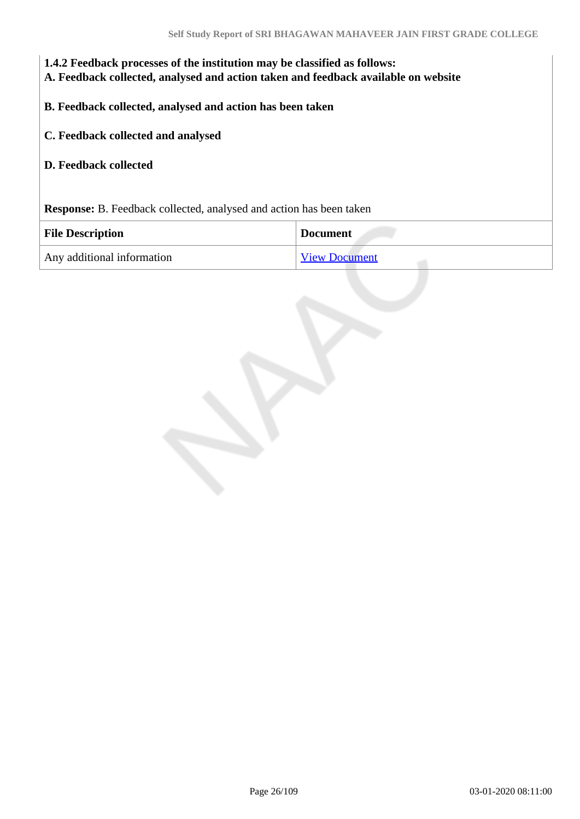**1.4.2 Feedback processes of the institution may be classified as follows: A. Feedback collected, analysed and action taken and feedback available on website**

- **B. Feedback collected, analysed and action has been taken**
- **C. Feedback collected and analysed**
- **D. Feedback collected**

**Response:** B. Feedback collected, analysed and action has been taken

| <b>File Description</b>    | <b>Document</b>      |
|----------------------------|----------------------|
| Any additional information | <b>View Document</b> |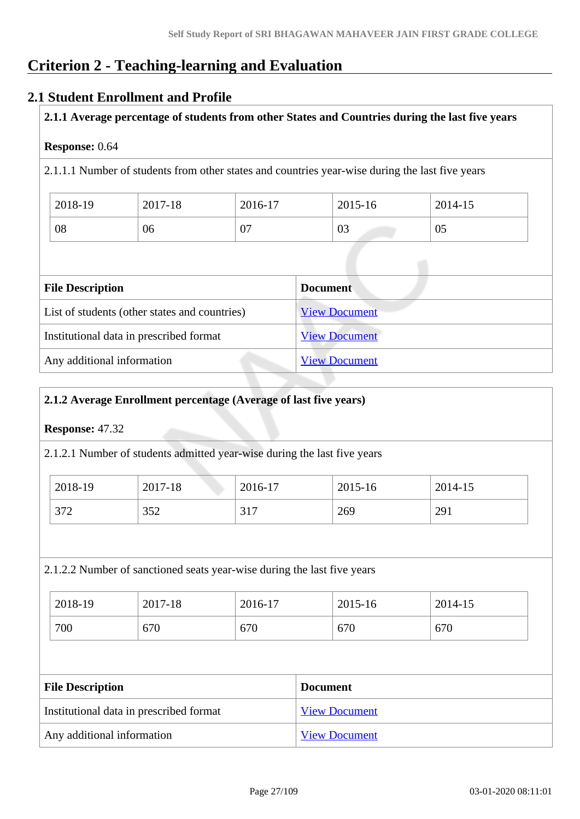# **Criterion 2 - Teaching-learning and Evaluation**

# **2.1 Student Enrollment and Profile**

**2.1.1 Average percentage of students from other States and Countries during the last five years**

# **Response:** 0.64

2.1.1.1 Number of students from other states and countries year-wise during the last five years

| 2018-19 | 2017-18 | 2016-17 | 2015-16 | 2014-15 |
|---------|---------|---------|---------|---------|
| 08      | 06      | 07      | 03      | 05      |

| <b>File Description</b>                       | <b>Document</b>      |  |
|-----------------------------------------------|----------------------|--|
| List of students (other states and countries) | <b>View Document</b> |  |
| Institutional data in prescribed format       | <b>View Document</b> |  |
| Any additional information                    | <b>View Document</b> |  |

# **2.1.2 Average Enrollment percentage (Average of last five years)**

# **Response:** 47.32

2.1.2.1 Number of students admitted year-wise during the last five years

| 2018-19 | 2017-18 | 2016-17 | 2015-16 | 2014-15 |
|---------|---------|---------|---------|---------|
| 372     | 352     | 317     | 269     | 291     |

# 2.1.2.2 Number of sanctioned seats year-wise during the last five years

| 2018-19 | 2017-18 | 2016-17 | 2015-16 | 2014-15 |
|---------|---------|---------|---------|---------|
| 700     | 670     | 670     | 670     | 670     |

| <b>File Description</b>                 | <b>Document</b>      |
|-----------------------------------------|----------------------|
| Institutional data in prescribed format | <b>View Document</b> |
| Any additional information              | <b>View Document</b> |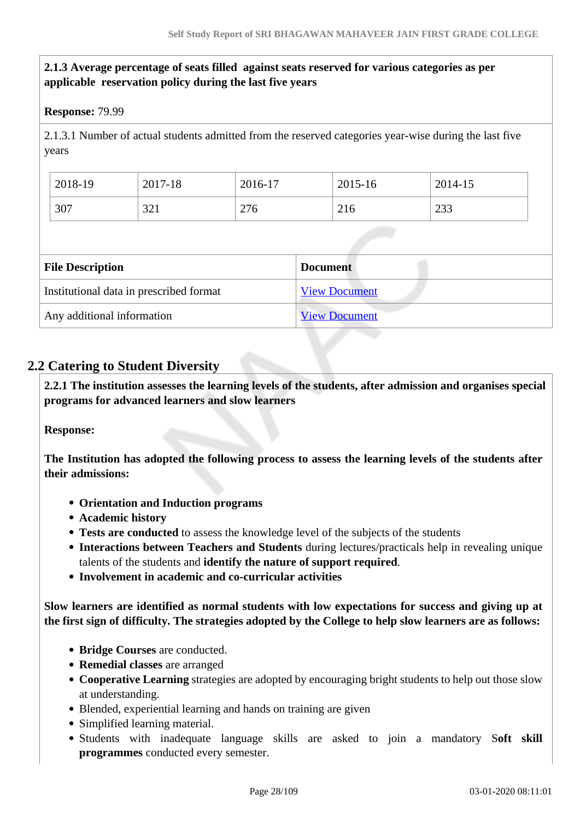# **2.1.3 Average percentage of seats filled against seats reserved for various categories as per applicable reservation policy during the last five years**

### **Response:** 79.99

2.1.3.1 Number of actual students admitted from the reserved categories year-wise during the last five years

| 2018-19 | 2017-18            | 2016-17 | 2015-16 | 2014-15 |
|---------|--------------------|---------|---------|---------|
| 307     | 221<br>$J\angle 1$ | 276     | 216     | 233     |

| <b>File Description</b>                 | <b>Document</b>      |
|-----------------------------------------|----------------------|
| Institutional data in prescribed format | <b>View Document</b> |
| Any additional information              | <b>View Document</b> |

# **2.2 Catering to Student Diversity**

 **2.2.1 The institution assesses the learning levels of the students, after admission and organises special programs for advanced learners and slow learners**

**Response:** 

**The Institution has adopted the following process to assess the learning levels of the students after their admissions:**

- **Orientation and Induction programs**
- **Academic history**
- **Tests are conducted** to assess the knowledge level of the subjects of the students
- **Interactions between Teachers and Students** during lectures/practicals help in revealing unique talents of the students and **identify the nature of support required**.
- **Involvement in academic and co-curricular activities**

**Slow learners are identified as normal students with low expectations for success and giving up at the first sign of difficulty. The strategies adopted by the College to help slow learners are as follows:**

- **Bridge Courses** are conducted.
- **Remedial classes** are arranged
- **Cooperative Learning** strategies are adopted by encouraging bright students to help out those slow at understanding.
- Blended, experiential learning and hands on training are given
- Simplified learning material.
- Students with inadequate language skills are asked to join a mandatory S**oft skill programmes** conducted every semester.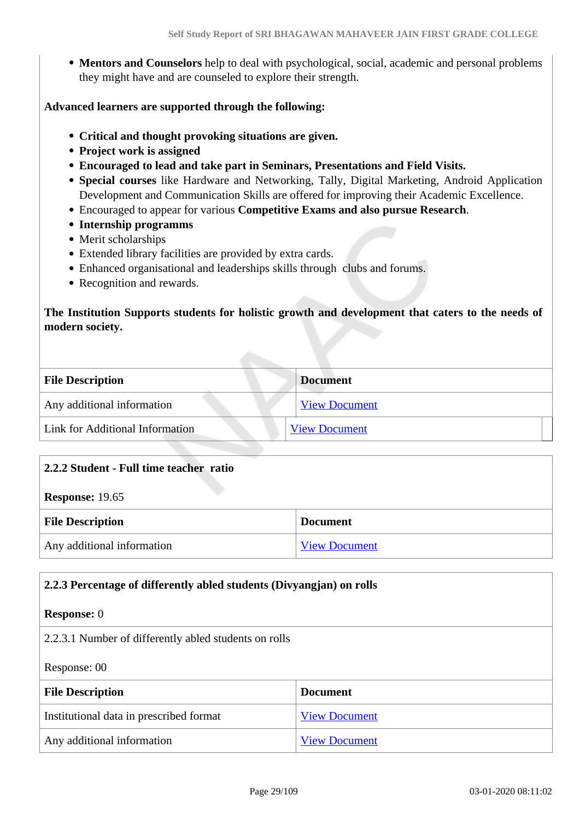**Mentors and Counselors** help to deal with psychological, social, academic and personal problems they might have and are counseled to explore their strength.

**Advanced learners are supported through the following:**

- **Critical and thought provoking situations are given.**
- **Project work is assigned**
- **Encouraged to lead and take part in Seminars, Presentations and Field Visits.**
- **Special courses** like Hardware and Networking, Tally, Digital Marketing, Android Application Development and Communication Skills are offered for improving their Academic Excellence.
- Encouraged to appear for various **Competitive Exams and also pursue Research**.
- **Internship programms**
- Merit scholarships
- Extended library facilities are provided by extra cards.
- Enhanced organisational and leaderships skills through clubs and forums.
- Recognition and rewards.

# **The Institution Supports students for holistic growth and development that caters to the needs of modern society.**

| <b>File Description</b>         | <b>Document</b>      |  |
|---------------------------------|----------------------|--|
| Any additional information      | <b>View Document</b> |  |
| Link for Additional Information | <b>View Document</b> |  |

#### **2.2.2 Student - Full time teacher ratio**

**Response:** 19.65

| <b>File Description</b>    | <b>Document</b>      |
|----------------------------|----------------------|
| Any additional information | <b>View Document</b> |

#### **2.2.3 Percentage of differently abled students (Divyangjan) on rolls**

#### **Response:** 0

2.2.3.1 Number of differently abled students on rolls

# Response: 00

| <b>File Description</b>                 | <b>Document</b>      |
|-----------------------------------------|----------------------|
| Institutional data in prescribed format | <b>View Document</b> |
| Any additional information              | <b>View Document</b> |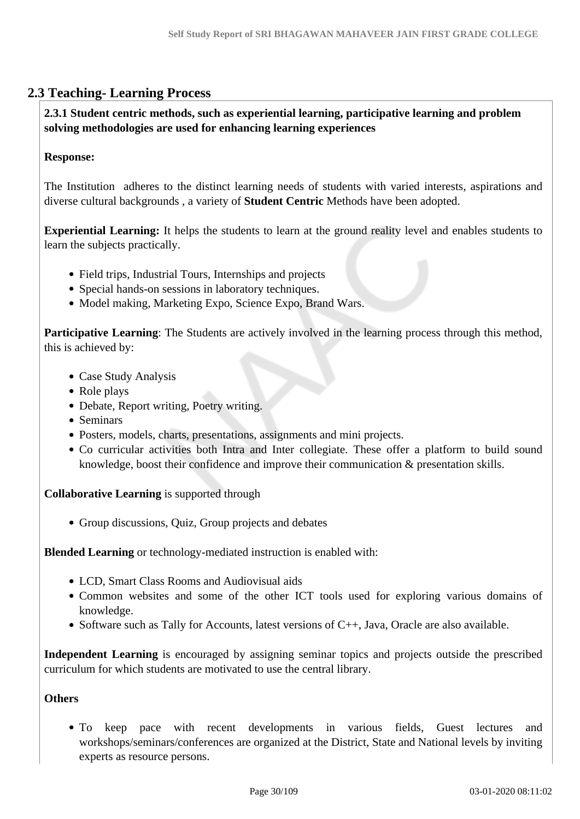# **2.3 Teaching- Learning Process**

 **2.3.1 Student centric methods, such as experiential learning, participative learning and problem solving methodologies are used for enhancing learning experiences**

### **Response:**

The Institution adheres to the distinct learning needs of students with varied interests, aspirations and diverse cultural backgrounds , a variety of **Student Centric** Methods have been adopted.

**Experiential Learning:** It helps the students to learn at the ground reality level and enables students to learn the subjects practically.

- Field trips, Industrial Tours, Internships and projects
- Special hands-on sessions in laboratory techniques.
- Model making, Marketing Expo, Science Expo, Brand Wars.

**Participative Learning**: The Students are actively involved in the learning process through this method, this is achieved by:

- Case Study Analysis
- Role plays
- Debate, Report writing, Poetry writing.
- Seminars
- Posters, models, charts, presentations, assignments and mini projects.
- Co curricular activities both Intra and Inter collegiate. These offer a platform to build sound knowledge, boost their confidence and improve their communication & presentation skills.

**Collaborative Learning** is supported through

• Group discussions, Quiz, Group projects and debates

**Blended Learning** or technology-mediated instruction is enabled with:

- LCD, Smart Class Rooms and Audiovisual aids
- Common websites and some of the other ICT tools used for exploring various domains of knowledge.
- Software such as Tally for Accounts, latest versions of  $C_{++}$ , Java, Oracle are also available.

**Independent Learning** is encouraged by assigning seminar topics and projects outside the prescribed curriculum for which students are motivated to use the central library.

#### **Others**

To keep pace with recent developments in various fields, Guest lectures and workshops/seminars/conferences are organized at the District, State and National levels by inviting experts as resource persons.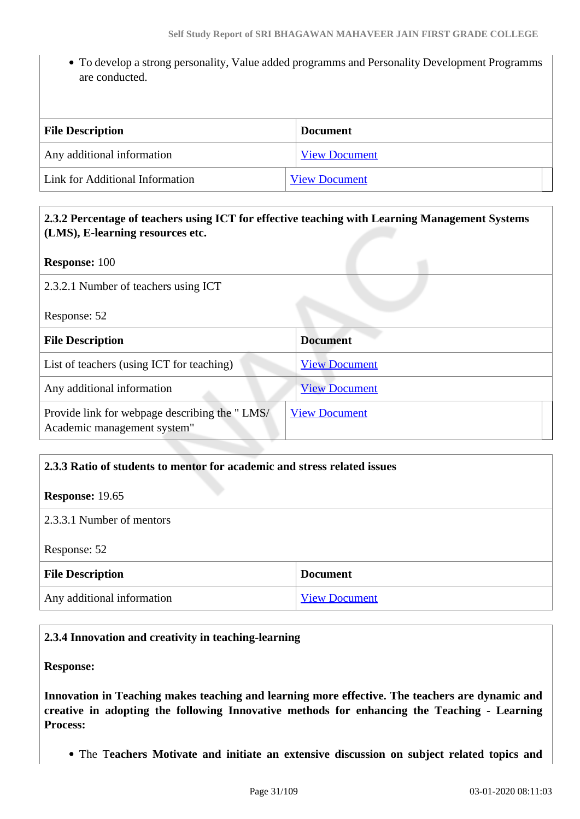To develop a strong personality, Value added programms and Personality Development Programms are conducted.

| <b>File Description</b>         | <b>Document</b>      |
|---------------------------------|----------------------|
| Any additional information      | <b>View Document</b> |
| Link for Additional Information | <b>View Document</b> |

| 2.3.2 Percentage of teachers using ICT for effective teaching with Learning Management Systems<br>(LMS), E-learning resources etc. |                      |  |
|------------------------------------------------------------------------------------------------------------------------------------|----------------------|--|
| <b>Response: 100</b>                                                                                                               |                      |  |
| 2.3.2.1 Number of teachers using ICT                                                                                               |                      |  |
| Response: 52                                                                                                                       |                      |  |
| <b>File Description</b>                                                                                                            | <b>Document</b>      |  |
| List of teachers (using ICT for teaching)                                                                                          | <b>View Document</b> |  |
| Any additional information                                                                                                         | <b>View Document</b> |  |
| Provide link for webpage describing the "LMS/<br>Academic management system"                                                       | <b>View Document</b> |  |

#### **2.3.3 Ratio of students to mentor for academic and stress related issues**

#### **Response:** 19.65

#### 2.3.3.1 Number of mentors

Response: 52

| <b>File Description</b>    | <b>Document</b>      |
|----------------------------|----------------------|
| Any additional information | <b>View Document</b> |

# **2.3.4 Innovation and creativity in teaching-learning**

**Response:** 

**Innovation in Teaching makes teaching and learning more effective. The teachers are dynamic and creative in adopting the following Innovative methods for enhancing the Teaching - Learning Process:**

The T**eachers Motivate and initiate an extensive discussion on subject related topics and**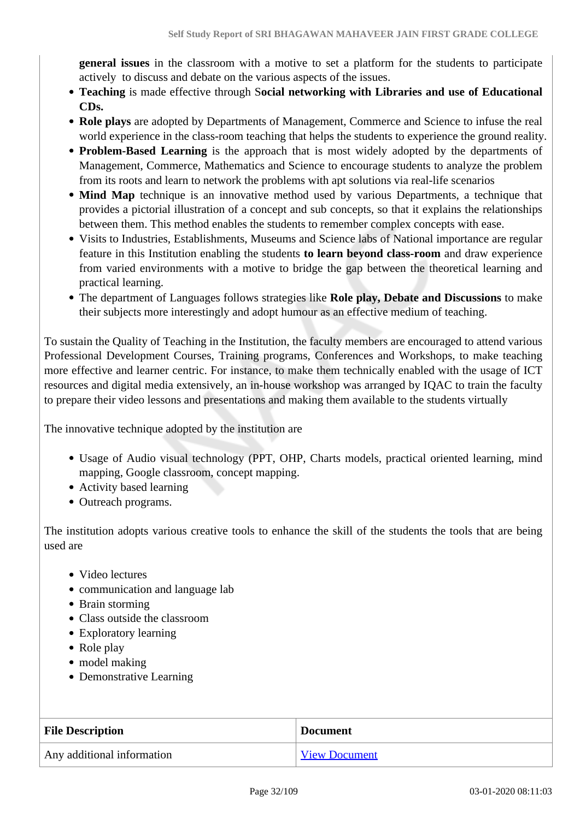**general issues** in the classroom with a motive to set a platform for the students to participate actively to discuss and debate on the various aspects of the issues.

- **Teaching** is made effective through S**ocial networking with Libraries and use of Educational CDs.**
- **Role plays** are adopted by Departments of Management, Commerce and Science to infuse the real world experience in the class-room teaching that helps the students to experience the ground reality.
- **Problem-Based Learning** is the approach that is most widely adopted by the departments of Management, Commerce, Mathematics and Science to encourage students to analyze the problem from its roots and learn to network the problems with apt solutions via real-life scenarios
- **Mind Map** technique is an innovative method used by various Departments, a technique that provides a pictorial illustration of a concept and sub concepts, so that it explains the relationships between them. This method enables the students to remember complex concepts with ease.
- Visits to Industries, Establishments, Museums and Science labs of National importance are regular feature in this Institution enabling the students **to learn beyond class-room** and draw experience from varied environments with a motive to bridge the gap between the theoretical learning and practical learning.
- The department of Languages follows strategies like **Role play, Debate and Discussions** to make their subjects more interestingly and adopt humour as an effective medium of teaching.

To sustain the Quality of Teaching in the Institution, the faculty members are encouraged to attend various Professional Development Courses, Training programs, Conferences and Workshops, to make teaching more effective and learner centric. For instance, to make them technically enabled with the usage of ICT resources and digital media extensively, an in-house workshop was arranged by IQAC to train the faculty to prepare their video lessons and presentations and making them available to the students virtually

The innovative technique adopted by the institution are

- Usage of Audio visual technology (PPT, OHP, Charts models, practical oriented learning, mind mapping, Google classroom, concept mapping.
- Activity based learning
- Outreach programs.

The institution adopts various creative tools to enhance the skill of the students the tools that are being used are

- Video lectures
- communication and language lab
- Brain storming
- Class outside the classroom
- Exploratory learning
- Role play
- model making
- Demonstrative Learning

| <b>File Description</b>    | <b>Document</b>      |
|----------------------------|----------------------|
| Any additional information | <b>View Document</b> |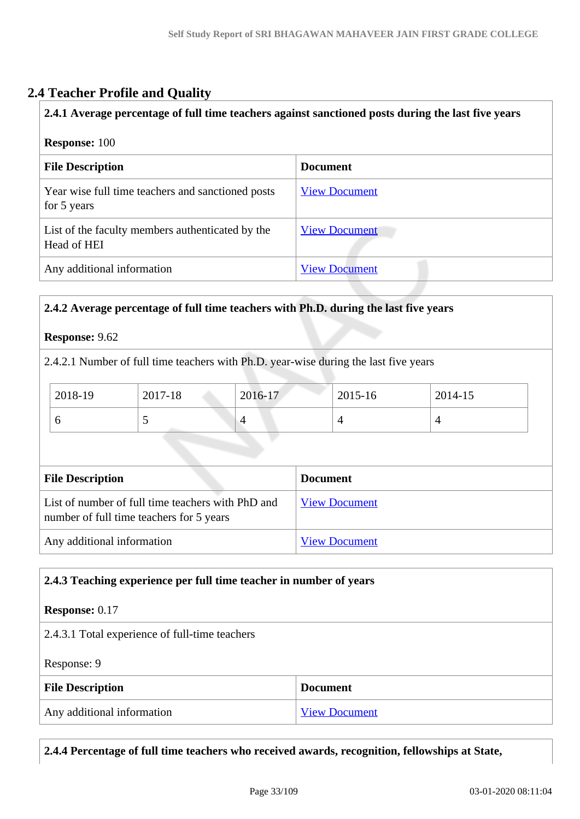# **2.4 Teacher Profile and Quality**

# **2.4.1 Average percentage of full time teachers against sanctioned posts during the last five years**

#### **Response:** 100

| <b>File Description</b>                                          | <b>Document</b>      |
|------------------------------------------------------------------|----------------------|
| Year wise full time teachers and sanctioned posts<br>for 5 years | <b>View Document</b> |
| List of the faculty members authenticated by the<br>Head of HEI  | <b>View Document</b> |
| Any additional information                                       | <b>View Document</b> |

# **2.4.2 Average percentage of full time teachers with Ph.D. during the last five years Response:** 9.62 2.4.2.1 Number of full time teachers with Ph.D. year-wise during the last five years 2018-19 2017-18 2016-17 2015-16 2014-15 6  $\begin{array}{|c|c|c|c|c|}\n6 & 5 & 4 & 4\n\end{array}$ **File Description Document** List of number of full time teachers with PhD and number of full time teachers for 5 years [View Document](https://assessmentonline.naac.gov.in/storage/app/hei/SSR/102034/2.4.2_1575630947_2269.xlsx)

Any additional information [View Document](https://assessmentonline.naac.gov.in/storage/app/hei/SSR/102034/2.4.2_1578052172_2269.pdf)

# **2.4.3 Teaching experience per full time teacher in number of years**

#### **Response:** 0.17

2.4.3.1 Total experience of full-time teachers

Response: 9

| <b>File Description</b>    | <b>Document</b>      |
|----------------------------|----------------------|
| Any additional information | <b>View Document</b> |

**2.4.4 Percentage of full time teachers who received awards, recognition, fellowships at State,**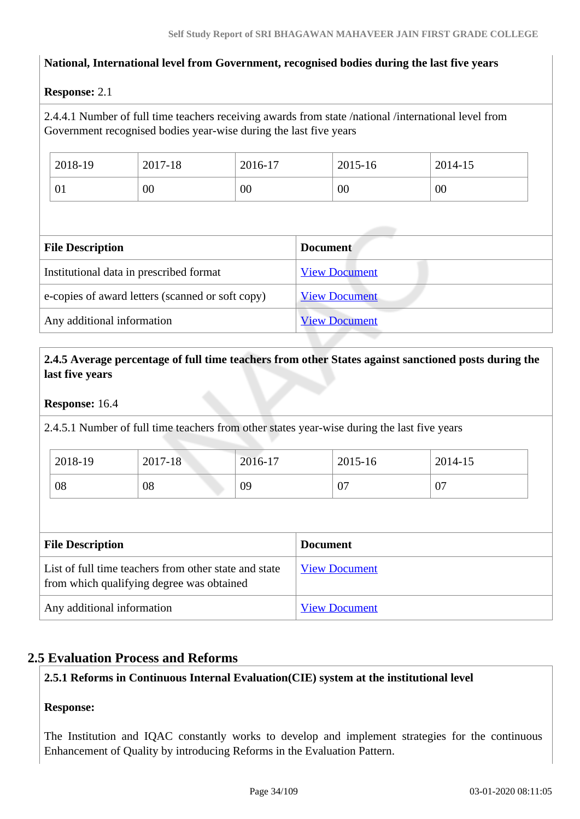# **National, International level from Government, recognised bodies during the last five years**

# **Response:** 2.1

2.4.4.1 Number of full time teachers receiving awards from state /national /international level from Government recognised bodies year-wise during the last five years

| 2018-19 | 2017-18 | 2016-17 | 2015-16 | 2014-15 |
|---------|---------|---------|---------|---------|
| 01      | 00      | 00      | 00      | 00      |

| <b>File Description</b>                          | <b>Document</b>      |  |
|--------------------------------------------------|----------------------|--|
| Institutional data in prescribed format          | <b>View Document</b> |  |
| e-copies of award letters (scanned or soft copy) | <b>View Document</b> |  |
| Any additional information                       | <b>View Document</b> |  |

# **2.4.5 Average percentage of full time teachers from other States against sanctioned posts during the last five years**

### **Response:** 16.4

2.4.5.1 Number of full time teachers from other states year-wise during the last five years

| 2018-19 | 2017-18 | 2016-17 | 2015-16  | 2014-15 |
|---------|---------|---------|----------|---------|
| 08      | 08      | 09      | ∩−<br>v, | 07      |

| <b>File Description</b>                                                                            | <b>Document</b>      |
|----------------------------------------------------------------------------------------------------|----------------------|
| List of full time teachers from other state and state<br>from which qualifying degree was obtained | <b>View Document</b> |
| Any additional information                                                                         | <b>View Document</b> |

# **2.5 Evaluation Process and Reforms**

# **2.5.1 Reforms in Continuous Internal Evaluation(CIE) system at the institutional level**

# **Response:**

The Institution and IQAC constantly works to develop and implement strategies for the continuous Enhancement of Quality by introducing Reforms in the Evaluation Pattern.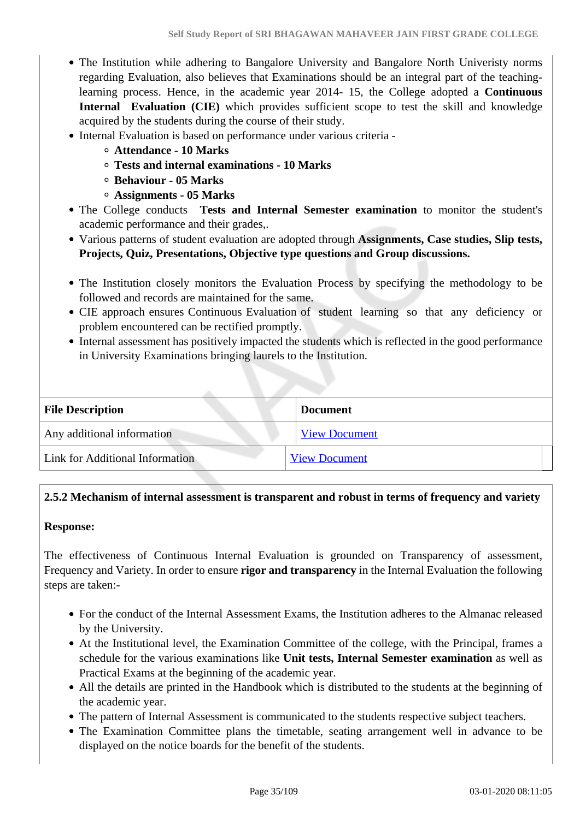- The Institution while adhering to Bangalore University and Bangalore North Univeristy norms regarding Evaluation, also believes that Examinations should be an integral part of the teachinglearning process. Hence, in the academic year 2014- 15, the College adopted a **Continuous Internal Evaluation (CIE)** which provides sufficient scope to test the skill and knowledge acquired by the students during the course of their study.
- Internal Evaluation is based on performance under various criteria -
	- **Attendance 10 Marks**
	- **Tests and internal examinations 10 Marks**
	- **Behaviour 05 Marks**
	- **Assignments 05 Marks**
- The College conducts **Tests and Internal Semester examination** to monitor the student's academic performance and their grades,.
- Various patterns of student evaluation are adopted through **Assignments, Case studies, Slip tests, Projects, Quiz, Presentations, Objective type questions and Group discussions.**
- The Institution closely monitors the Evaluation Process by specifying the methodology to be followed and records are maintained for the same.
- CIE approach ensures Continuous Evaluation of student learning so that any deficiency or problem encountered can be rectified promptly.
- Internal assessment has positively impacted the students which is reflected in the good performance in University Examinations bringing laurels to the Institution.

| <b>File Description</b>                | <b>Document</b>      |  |
|----------------------------------------|----------------------|--|
| Any additional information             | <b>View Document</b> |  |
| <b>Link for Additional Information</b> | <b>View Document</b> |  |

# **2.5.2 Mechanism of internal assessment is transparent and robust in terms of frequency and variety**

# **Response:**

The effectiveness of Continuous Internal Evaluation is grounded on Transparency of assessment, Frequency and Variety. In order to ensure **rigor and transparency** in the Internal Evaluation the following steps are taken:-

- For the conduct of the Internal Assessment Exams, the Institution adheres to the Almanac released by the University.
- At the Institutional level, the Examination Committee of the college, with the Principal, frames a schedule for the various examinations like **Unit tests, Internal Semester examination** as well as Practical Exams at the beginning of the academic year.
- All the details are printed in the Handbook which is distributed to the students at the beginning of the academic year.
- The pattern of Internal Assessment is communicated to the students respective subject teachers.
- The Examination Committee plans the timetable, seating arrangement well in advance to be displayed on the notice boards for the benefit of the students.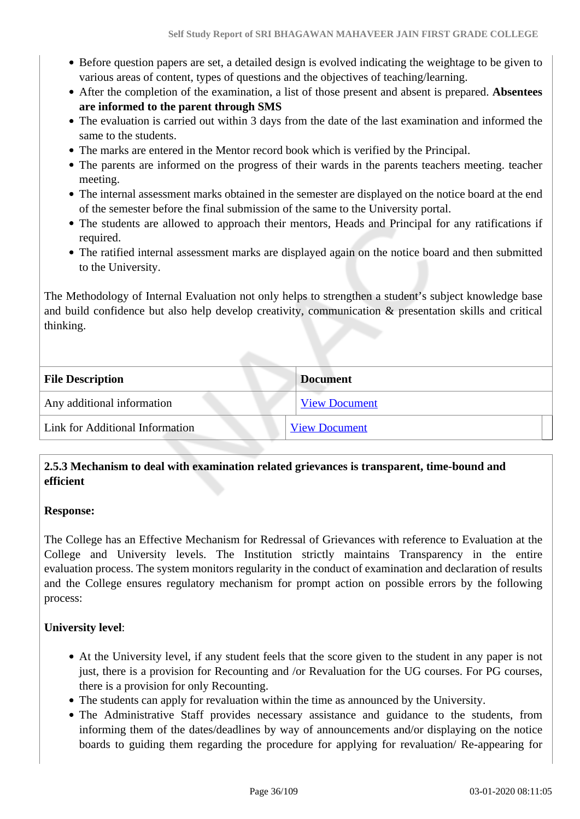- Before question papers are set, a detailed design is evolved indicating the weightage to be given to various areas of content, types of questions and the objectives of teaching/learning.
- After the completion of the examination, a list of those present and absent is prepared. **Absentees are informed to the parent through SMS**
- The evaluation is carried out within 3 days from the date of the last examination and informed the same to the students.
- The marks are entered in the Mentor record book which is verified by the Principal.
- The parents are informed on the progress of their wards in the parents teachers meeting. teacher meeting.
- The internal assessment marks obtained in the semester are displayed on the notice board at the end of the semester before the final submission of the same to the University portal.
- The students are allowed to approach their mentors, Heads and Principal for any ratifications if required.
- The ratified internal assessment marks are displayed again on the notice board and then submitted to the University.

The Methodology of Internal Evaluation not only helps to strengthen a student's subject knowledge base and build confidence but also help develop creativity, communication & presentation skills and critical thinking.

| <b>File Description</b>         | <b>Document</b>      |  |
|---------------------------------|----------------------|--|
| Any additional information      | <b>View Document</b> |  |
| Link for Additional Information | <b>View Document</b> |  |

# **2.5.3 Mechanism to deal with examination related grievances is transparent, time-bound and efficient**

# **Response:**

The College has an Effective Mechanism for Redressal of Grievances with reference to Evaluation at the College and University levels. The Institution strictly maintains Transparency in the entire evaluation process. The system monitors regularity in the conduct of examination and declaration of results and the College ensures regulatory mechanism for prompt action on possible errors by the following process:

# **University level**:

- At the University level, if any student feels that the score given to the student in any paper is not just, there is a provision for Recounting and /or Revaluation for the UG courses. For PG courses, there is a provision for only Recounting.
- The students can apply for revaluation within the time as announced by the University.
- The Administrative Staff provides necessary assistance and guidance to the students, from informing them of the dates/deadlines by way of announcements and/or displaying on the notice boards to guiding them regarding the procedure for applying for revaluation/ Re-appearing for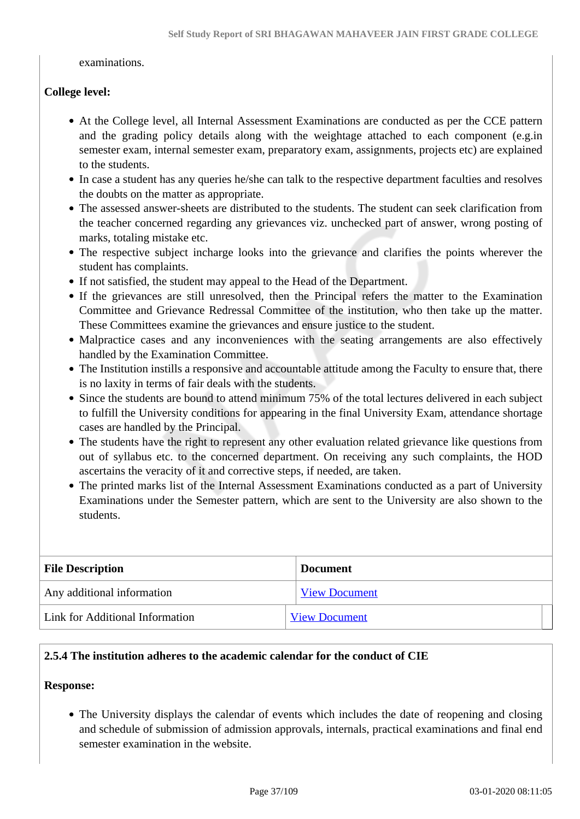examinations.

# **College level:**

- At the College level, all Internal Assessment Examinations are conducted as per the CCE pattern and the grading policy details along with the weightage attached to each component (e.g.in semester exam, internal semester exam, preparatory exam, assignments, projects etc) are explained to the students.
- In case a student has any queries he/she can talk to the respective department faculties and resolves the doubts on the matter as appropriate.
- The assessed answer-sheets are distributed to the students. The student can seek clarification from the teacher concerned regarding any grievances viz. unchecked part of answer, wrong posting of marks, totaling mistake etc.
- The respective subject incharge looks into the grievance and clarifies the points wherever the student has complaints.
- If not satisfied, the student may appeal to the Head of the Department.
- If the grievances are still unresolved, then the Principal refers the matter to the Examination Committee and Grievance Redressal Committee of the institution, who then take up the matter. These Committees examine the grievances and ensure justice to the student.
- Malpractice cases and any inconveniences with the seating arrangements are also effectively handled by the Examination Committee.
- The Institution instills a responsive and accountable attitude among the Faculty to ensure that, there is no laxity in terms of fair deals with the students.
- Since the students are bound to attend minimum 75% of the total lectures delivered in each subject to fulfill the University conditions for appearing in the final University Exam, attendance shortage cases are handled by the Principal.
- The students have the right to represent any other evaluation related grievance like questions from out of syllabus etc. to the concerned department. On receiving any such complaints, the HOD ascertains the veracity of it and corrective steps, if needed, are taken.
- The printed marks list of the Internal Assessment Examinations conducted as a part of University Examinations under the Semester pattern, which are sent to the University are also shown to the students.

| <b>File Description</b>         | <b>Document</b>      |
|---------------------------------|----------------------|
| Any additional information      | <b>View Document</b> |
| Link for Additional Information | <b>View Document</b> |

# **2.5.4 The institution adheres to the academic calendar for the conduct of CIE**

# **Response:**

• The University displays the calendar of events which includes the date of reopening and closing and schedule of submission of admission approvals, internals, practical examinations and final end semester examination in the website.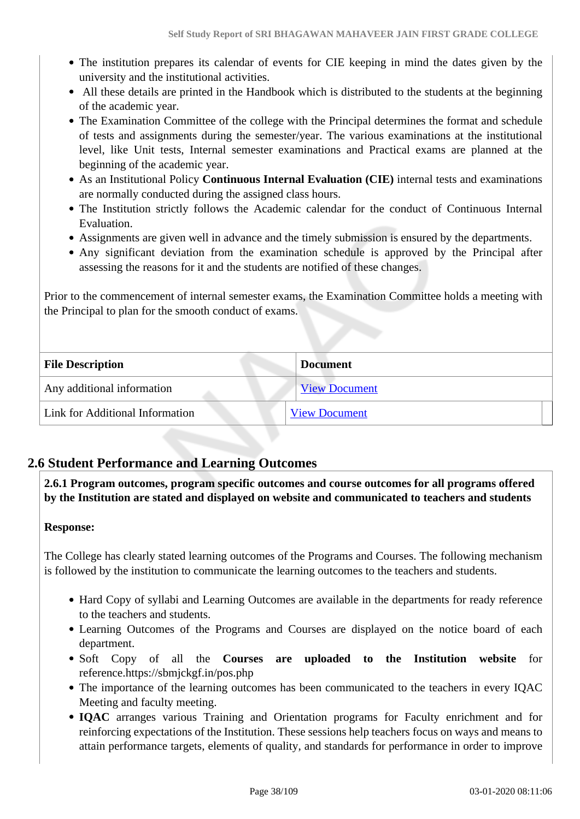- The institution prepares its calendar of events for CIE keeping in mind the dates given by the university and the institutional activities.
- All these details are printed in the Handbook which is distributed to the students at the beginning of the academic year.
- The Examination Committee of the college with the Principal determines the format and schedule of tests and assignments during the semester/year. The various examinations at the institutional level, like Unit tests, Internal semester examinations and Practical exams are planned at the beginning of the academic year.
- As an Institutional Policy **Continuous Internal Evaluation (CIE)** internal tests and examinations are normally conducted during the assigned class hours.
- The Institution strictly follows the Academic calendar for the conduct of Continuous Internal Evaluation.
- Assignments are given well in advance and the timely submission is ensured by the departments.
- Any significant deviation from the examination schedule is approved by the Principal after assessing the reasons for it and the students are notified of these changes.

Prior to the commencement of internal semester exams, the Examination Committee holds a meeting with the Principal to plan for the smooth conduct of exams.

| <b>File Description</b>         | <b>Document</b>      |
|---------------------------------|----------------------|
| Any additional information      | <b>View Document</b> |
| Link for Additional Information | <b>View Document</b> |

# **2.6 Student Performance and Learning Outcomes**

 **2.6.1 Program outcomes, program specific outcomes and course outcomes for all programs offered by the Institution are stated and displayed on website and communicated to teachers and students**

# **Response:**

The College has clearly stated learning outcomes of the Programs and Courses. The following mechanism is followed by the institution to communicate the learning outcomes to the teachers and students.

- Hard Copy of syllabi and Learning Outcomes are available in the departments for ready reference to the teachers and students.
- Learning Outcomes of the Programs and Courses are displayed on the notice board of each department.
- Soft Copy of all the **Courses are uploaded to the Institution website** for reference.https://sbmjckgf.in/pos.php
- The importance of the learning outcomes has been communicated to the teachers in every IQAC Meeting and faculty meeting.
- **IQAC** arranges various Training and Orientation programs for Faculty enrichment and for reinforcing expectations of the Institution. These sessions help teachers focus on ways and means to attain performance targets, elements of quality, and standards for performance in order to improve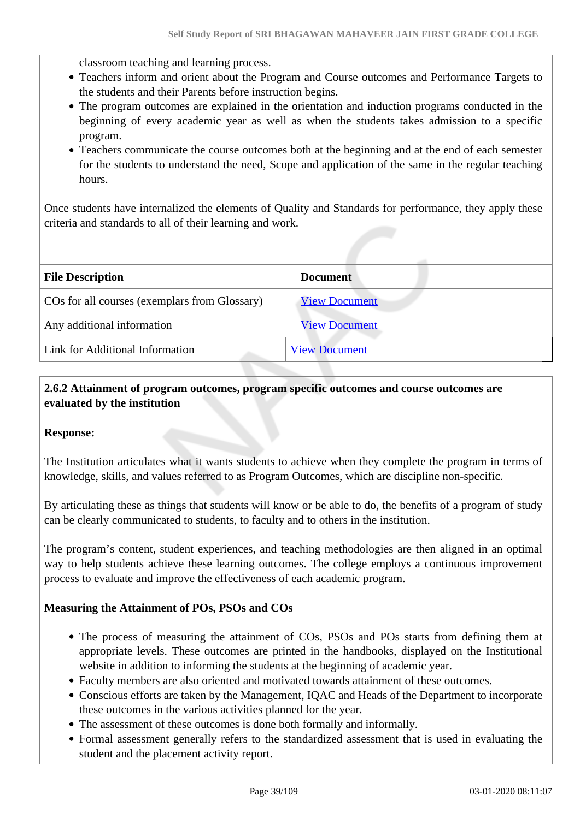classroom teaching and learning process.

- Teachers inform and orient about the Program and Course outcomes and Performance Targets to the students and their Parents before instruction begins.
- The program outcomes are explained in the orientation and induction programs conducted in the beginning of every academic year as well as when the students takes admission to a specific program.
- Teachers communicate the course outcomes both at the beginning and at the end of each semester for the students to understand the need, Scope and application of the same in the regular teaching hours.

Once students have internalized the elements of Quality and Standards for performance, they apply these criteria and standards to all of their learning and work.

| <b>Document</b>      |
|----------------------|
| <b>View Document</b> |
| <b>View Document</b> |
| <b>View Document</b> |
|                      |

# **2.6.2 Attainment of program outcomes, program specific outcomes and course outcomes are evaluated by the institution**

#### **Response:**

The Institution articulates what it wants students to achieve when they complete the program in terms of knowledge, skills, and values referred to as Program Outcomes, which are discipline non-specific.

By articulating these as things that students will know or be able to do, the benefits of a program of study can be clearly communicated to students, to faculty and to others in the institution.

The program's content, student experiences, and teaching methodologies are then aligned in an optimal way to help students achieve these learning outcomes. The college employs a continuous improvement process to evaluate and improve the effectiveness of each academic program.

# **Measuring the Attainment of POs, PSOs and COs**

- The process of measuring the attainment of COs, PSOs and POs starts from defining them at appropriate levels. These outcomes are printed in the handbooks, displayed on the Institutional website in addition to informing the students at the beginning of academic year.
- Faculty members are also oriented and motivated towards attainment of these outcomes.
- Conscious efforts are taken by the Management, IQAC and Heads of the Department to incorporate these outcomes in the various activities planned for the year.
- The assessment of these outcomes is done both formally and informally.
- Formal assessment generally refers to the standardized assessment that is used in evaluating the student and the placement activity report.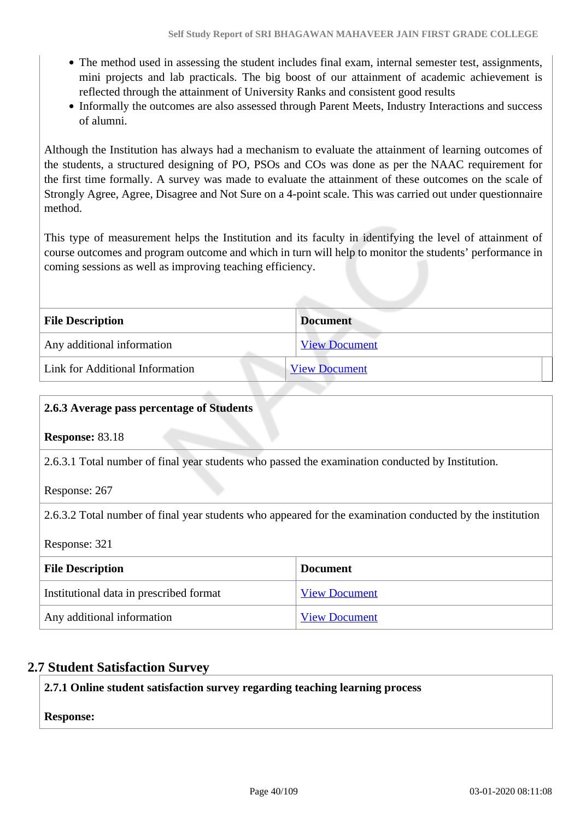- The method used in assessing the student includes final exam, internal semester test, assignments, mini projects and lab practicals. The big boost of our attainment of academic achievement is reflected through the attainment of University Ranks and consistent good results
- Informally the outcomes are also assessed through Parent Meets, Industry Interactions and success of alumni.

Although the Institution has always had a mechanism to evaluate the attainment of learning outcomes of the students, a structured designing of PO, PSOs and COs was done as per the NAAC requirement for the first time formally. A survey was made to evaluate the attainment of these outcomes on the scale of Strongly Agree, Agree, Disagree and Not Sure on a 4-point scale. This was carried out under questionnaire method.

This type of measurement helps the Institution and its faculty in identifying the level of attainment of course outcomes and program outcome and which in turn will help to monitor the students' performance in coming sessions as well as improving teaching efficiency.

| <b>File Description</b>         | <b>Document</b>      |
|---------------------------------|----------------------|
| Any additional information      | <b>View Document</b> |
| Link for Additional Information | <b>View Document</b> |

# **2.6.3 Average pass percentage of Students**

# **Response:** 83.18

2.6.3.1 Total number of final year students who passed the examination conducted by Institution.

# Response: 267

2.6.3.2 Total number of final year students who appeared for the examination conducted by the institution

Response: 321

| <b>File Description</b>                 | <b>Document</b>      |
|-----------------------------------------|----------------------|
| Institutional data in prescribed format | <b>View Document</b> |
| Any additional information              | <b>View Document</b> |

# **2.7 Student Satisfaction Survey**

# **2.7.1 Online student satisfaction survey regarding teaching learning process**

# **Response:**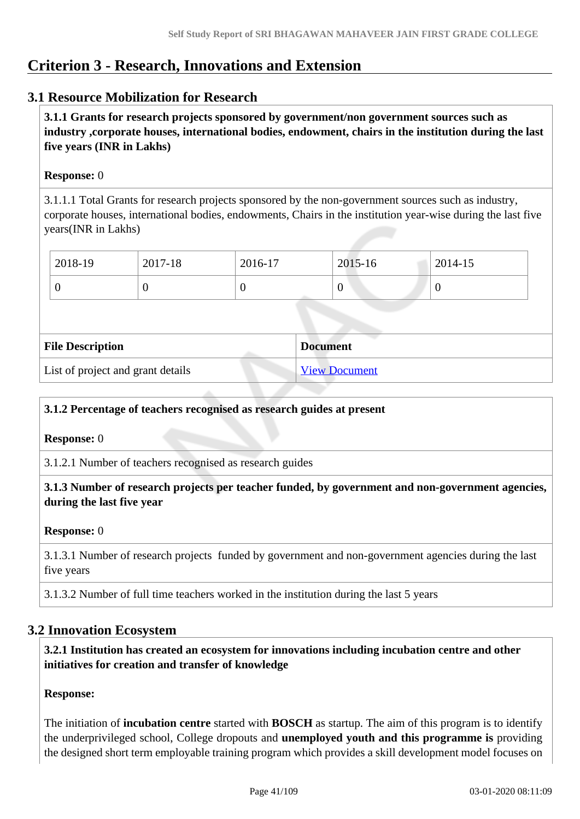# **Criterion 3 - Research, Innovations and Extension**

# **3.1 Resource Mobilization for Research**

 **3.1.1 Grants for research projects sponsored by government/non government sources such as industry ,corporate houses, international bodies, endowment, chairs in the institution during the last five years (INR in Lakhs)** 

# **Response:** 0

3.1.1.1 Total Grants for research projects sponsored by the non-government sources such as industry, corporate houses, international bodies, endowments, Chairs in the institution year-wise during the last five years(INR in Lakhs)

| 2018-19 | 2017-18 | 2016-17 | 2015-16 | 2014-15 |
|---------|---------|---------|---------|---------|
|         |         |         | ν       |         |

| <b>File Description</b>           | <b>Document</b>      |
|-----------------------------------|----------------------|
| List of project and grant details | <b>View Document</b> |

# **3.1.2 Percentage of teachers recognised as research guides at present**

**Response:** 0

3.1.2.1 Number of teachers recognised as research guides

 **3.1.3 Number of research projects per teacher funded, by government and non-government agencies, during the last five year**

# **Response:** 0

3.1.3.1 Number of research projects funded by government and non-government agencies during the last five years

3.1.3.2 Number of full time teachers worked in the institution during the last 5 years

# **3.2 Innovation Ecosystem**

 **3.2.1 Institution has created an ecosystem for innovations including incubation centre and other initiatives for creation and transfer of knowledge**

# **Response:**

The initiation of **incubation centre** started with **BOSCH** as startup. The aim of this program is to identify the underprivileged school, College dropouts and **unemployed youth and this programme is** providing the designed short term employable training program which provides a skill development model focuses on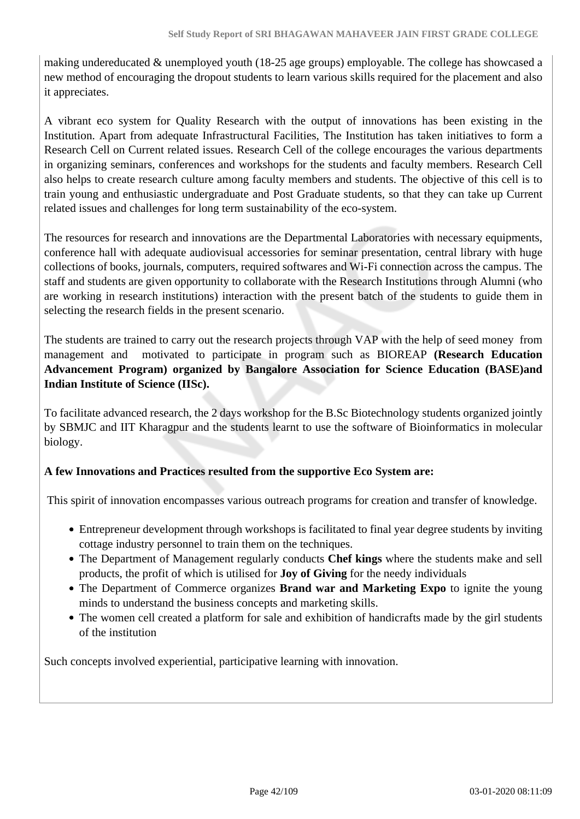making undereducated & unemployed youth (18-25 age groups) employable. The college has showcased a new method of encouraging the dropout students to learn various skills required for the placement and also it appreciates.

A vibrant eco system for Quality Research with the output of innovations has been existing in the Institution. Apart from adequate Infrastructural Facilities, The Institution has taken initiatives to form a Research Cell on Current related issues. Research Cell of the college encourages the various departments in organizing seminars, conferences and workshops for the students and faculty members. Research Cell also helps to create research culture among faculty members and students. The objective of this cell is to train young and enthusiastic undergraduate and Post Graduate students, so that they can take up Current related issues and challenges for long term sustainability of the eco-system.

The resources for research and innovations are the Departmental Laboratories with necessary equipments, conference hall with adequate audiovisual accessories for seminar presentation, central library with huge collections of books, journals, computers, required softwares and Wi-Fi connection across the campus. The staff and students are given opportunity to collaborate with the Research Institutions through Alumni (who are working in research institutions) interaction with the present batch of the students to guide them in selecting the research fields in the present scenario.

The students are trained to carry out the research projects through VAP with the help of seed money from management and motivated to participate in program such as BIOREAP **(Research Education Advancement Program) organized by Bangalore Association for Science Education (BASE)and Indian Institute of Science (IISc).**

To facilitate advanced research, the 2 days workshop for the B.Sc Biotechnology students organized jointly by SBMJC and IIT Kharagpur and the students learnt to use the software of Bioinformatics in molecular biology.

# **A few Innovations and Practices resulted from the supportive Eco System are:**

This spirit of innovation encompasses various outreach programs for creation and transfer of knowledge.

- Entrepreneur development through workshops is facilitated to final year degree students by inviting cottage industry personnel to train them on the techniques.
- The Department of Management regularly conducts **Chef kings** where the students make and sell products, the profit of which is utilised for **Joy of Giving** for the needy individuals
- The Department of Commerce organizes **Brand war and Marketing Expo** to ignite the young minds to understand the business concepts and marketing skills.
- The women cell created a platform for sale and exhibition of handicrafts made by the girl students of the institution

Such concepts involved experiential, participative learning with innovation.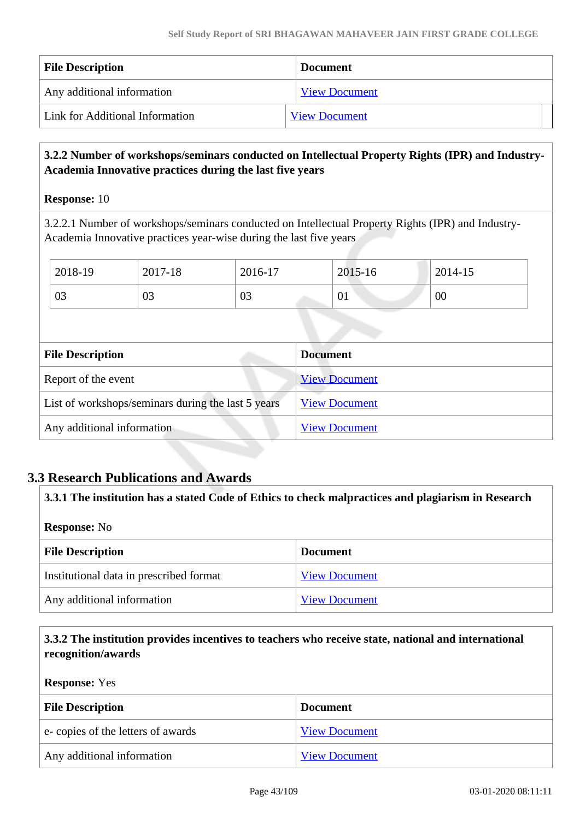| <b>File Description</b>         | <b>Document</b>      |
|---------------------------------|----------------------|
| Any additional information      | <b>View Document</b> |
| Link for Additional Information | <b>View Document</b> |

# **3.2.2 Number of workshops/seminars conducted on Intellectual Property Rights (IPR) and Industry-Academia Innovative practices during the last five years**

**Response:** 10

3.2.2.1 Number of workshops/seminars conducted on Intellectual Property Rights (IPR) and Industry-Academia Innovative practices year-wise during the last five years

| 2018-19 | 2017-18        | 2016-17 | 2015-16 | 2014-15 |
|---------|----------------|---------|---------|---------|
| 03      | $\Omega$<br>U3 | 03      | 01      | 00      |

| <b>File Description</b>                            | <b>Document</b>      |
|----------------------------------------------------|----------------------|
| Report of the event                                | <b>View Document</b> |
| List of workshops/seminars during the last 5 years | <b>View Document</b> |
| Any additional information                         | <b>View Document</b> |

# **3.3 Research Publications and Awards**

|                     | 3.3.1 The institution has a stated Code of Ethics to check malpractices and plagiarism in Research |                      |  |
|---------------------|----------------------------------------------------------------------------------------------------|----------------------|--|
| <b>Response:</b> No |                                                                                                    |                      |  |
|                     | <b>File Description</b>                                                                            | <b>Document</b>      |  |
|                     | Institutional data in prescribed format                                                            | <b>View Document</b> |  |
|                     | Any additional information                                                                         | <b>View Document</b> |  |

# **3.3.2 The institution provides incentives to teachers who receive state, national and international recognition/awards**

#### **Response:** Yes

| <b>File Description</b>           | <b>Document</b>      |
|-----------------------------------|----------------------|
| e-copies of the letters of awards | <b>View Document</b> |
| Any additional information        | <b>View Document</b> |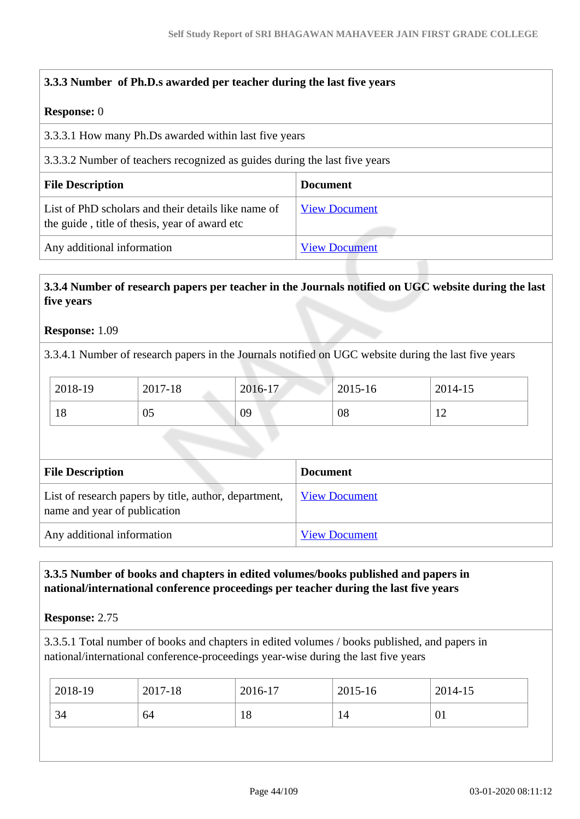# **3.3.3 Number of Ph.D.s awarded per teacher during the last five years**

# **Response:** 0

| $\bf$ Expose. $\bf{u}$                                                                               |                      |
|------------------------------------------------------------------------------------------------------|----------------------|
| 3.3.3.1 How many Ph.Ds awarded within last five years                                                |                      |
| 3.3.3.2 Number of teachers recognized as guides during the last five years                           |                      |
| <b>File Description</b>                                                                              | <b>Document</b>      |
| List of PhD scholars and their details like name of<br>the guide, title of thesis, year of award etc | <b>View Document</b> |
| Any additional information                                                                           | <b>View Document</b> |

# **3.3.4 Number of research papers per teacher in the Journals notified on UGC website during the last five years**

#### **Response:** 1.09

3.3.4.1 Number of research papers in the Journals notified on UGC website during the last five years

| 2018-19 | 2017-18 | 2016-17 | 2015-16 | 2014-15      |
|---------|---------|---------|---------|--------------|
| 18      | 05      | 09      | 08      | $\sim$<br>∸∸ |

| <b>File Description</b>                                                               | <b>Document</b>      |
|---------------------------------------------------------------------------------------|----------------------|
| List of research papers by title, author, department,<br>name and year of publication | <b>View Document</b> |
| Any additional information                                                            | <b>View Document</b> |

# **3.3.5 Number of books and chapters in edited volumes/books published and papers in national/international conference proceedings per teacher during the last five years**

#### **Response:** 2.75

3.3.5.1 Total number of books and chapters in edited volumes / books published, and papers in national/international conference-proceedings year-wise during the last five years

| 2018-19 | 2017-18 | 2016-17 | 2015-16 | 2014-15 |
|---------|---------|---------|---------|---------|
| 34      | 64      | 18      | 14      | UI      |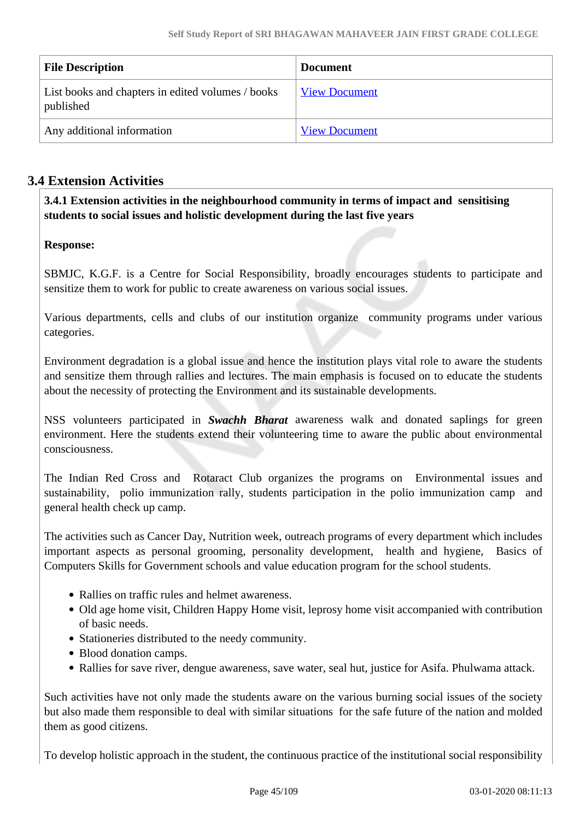| <b>File Description</b>                                        | <b>Document</b>      |
|----------------------------------------------------------------|----------------------|
| List books and chapters in edited volumes / books<br>published | <b>View Document</b> |
| Any additional information                                     | <b>View Document</b> |

# **3.4 Extension Activities**

 **3.4.1 Extension activities in the neighbourhood community in terms of impact and sensitising students to social issues and holistic development during the last five years**

# **Response:**

SBMJC, K.G.F. is a Centre for Social Responsibility, broadly encourages students to participate and sensitize them to work for public to create awareness on various social issues.

Various departments, cells and clubs of our institution organize community programs under various categories.

Environment degradation is a global issue and hence the institution plays vital role to aware the students and sensitize them through rallies and lectures. The main emphasis is focused on to educate the students about the necessity of protecting the Environment and its sustainable developments.

NSS volunteers participated in *Swachh Bharat* awareness walk and donated saplings for green environment. Here the students extend their volunteering time to aware the public about environmental consciousness.

The Indian Red Cross and Rotaract Club organizes the programs on Environmental issues and sustainability, polio immunization rally, students participation in the polio immunization camp and general health check up camp.

The activities such as Cancer Day, Nutrition week, outreach programs of every department which includes important aspects as personal grooming, personality development, health and hygiene, Basics of Computers Skills for Government schools and value education program for the school students.

- Rallies on traffic rules and helmet awareness.
- Old age home visit, Children Happy Home visit, leprosy home visit accompanied with contribution of basic needs.
- Stationeries distributed to the needy community.
- Blood donation camps.
- Rallies for save river, dengue awareness, save water, seal hut, justice for Asifa. Phulwama attack.

Such activities have not only made the students aware on the various burning social issues of the society but also made them responsible to deal with similar situations for the safe future of the nation and molded them as good citizens.

To develop holistic approach in the student, the continuous practice of the institutional social responsibility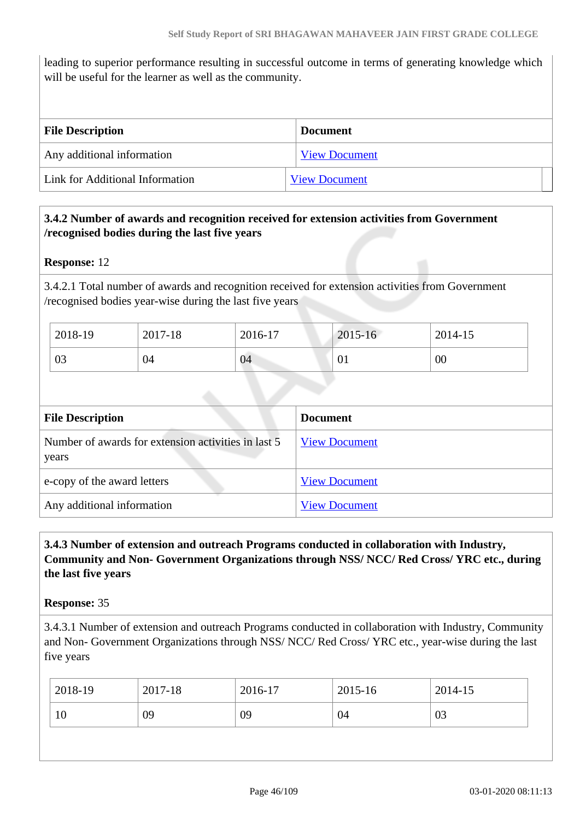leading to superior performance resulting in successful outcome in terms of generating knowledge which will be useful for the learner as well as the community.

| <b>File Description</b>         | <b>Document</b>      |
|---------------------------------|----------------------|
| Any additional information      | <b>View Document</b> |
| Link for Additional Information | <b>View Document</b> |

# **3.4.2 Number of awards and recognition received for extension activities from Government /recognised bodies during the last five years**

### **Response:** 12

3.4.2.1 Total number of awards and recognition received for extension activities from Government /recognised bodies year-wise during the last five years

| 2018-19 | 2017-18 | 2016-17 | 2015-16 | 2014-15 |
|---------|---------|---------|---------|---------|
| 03      | 04      | 04      | 01      | 00      |

| <b>File Description</b>                                      | <b>Document</b>      |
|--------------------------------------------------------------|----------------------|
| Number of awards for extension activities in last 5<br>years | <b>View Document</b> |
| e-copy of the award letters                                  | <b>View Document</b> |
| Any additional information                                   | <b>View Document</b> |

# **3.4.3 Number of extension and outreach Programs conducted in collaboration with Industry, Community and Non- Government Organizations through NSS/ NCC/ Red Cross/ YRC etc., during the last five years**

#### **Response:** 35

3.4.3.1 Number of extension and outreach Programs conducted in collaboration with Industry, Community and Non- Government Organizations through NSS/ NCC/ Red Cross/ YRC etc., year-wise during the last five years

| 2018-19 | 2017-18 | 2016-17 | 2015-16 | 2014-15 |
|---------|---------|---------|---------|---------|
| 10      | 09      | 09      | 04      | 03      |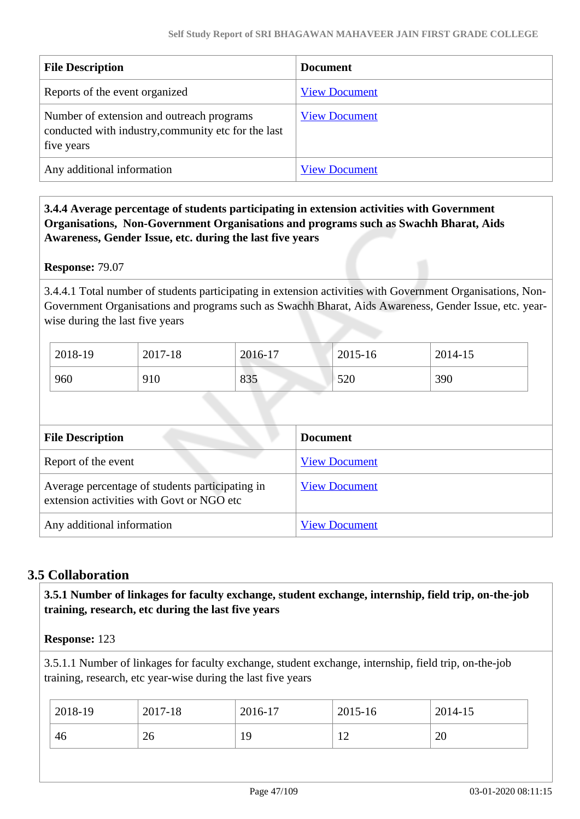| <b>File Description</b>                                                                                        | <b>Document</b>      |
|----------------------------------------------------------------------------------------------------------------|----------------------|
| Reports of the event organized                                                                                 | <b>View Document</b> |
| Number of extension and outreach programs<br>conducted with industry, community etc for the last<br>five years | <b>View Document</b> |
| Any additional information                                                                                     | <b>View Document</b> |

# **3.4.4 Average percentage of students participating in extension activities with Government Organisations, Non-Government Organisations and programs such as Swachh Bharat, Aids Awareness, Gender Issue, etc. during the last five years**

**Response:** 79.07

3.4.4.1 Total number of students participating in extension activities with Government Organisations, Non-Government Organisations and programs such as Swachh Bharat, Aids Awareness, Gender Issue, etc. yearwise during the last five years

| 2018-19 | 2017-18 | 2016-17 | 2015-16 | 2014-15 |
|---------|---------|---------|---------|---------|
| 960     | 910     | 835     | 520     | 390     |

| <b>File Description</b>                                                                      | <b>Document</b>      |
|----------------------------------------------------------------------------------------------|----------------------|
| Report of the event                                                                          | <b>View Document</b> |
| Average percentage of students participating in<br>extension activities with Govt or NGO etc | <b>View Document</b> |
| Any additional information                                                                   | <b>View Document</b> |

# **3.5 Collaboration**

 **3.5.1 Number of linkages for faculty exchange, student exchange, internship, field trip, on-the-job training, research, etc during the last five years**

**Response:** 123

3.5.1.1 Number of linkages for faculty exchange, student exchange, internship, field trip, on-the-job training, research, etc year-wise during the last five years

| 2018-19 | 2017-18 | 2016-17  | 2015-16 | 2014-15 |
|---------|---------|----------|---------|---------|
| 46      | 26      | 1 Q<br>ᆚ | ∸       | 20      |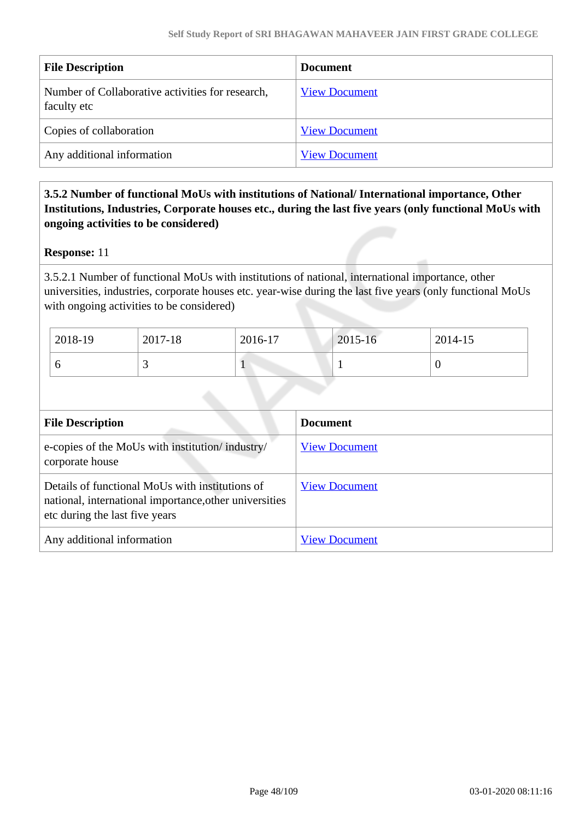| <b>File Description</b>                                         | <b>Document</b>      |
|-----------------------------------------------------------------|----------------------|
| Number of Collaborative activities for research,<br>faculty etc | <b>View Document</b> |
| Copies of collaboration                                         | <b>View Document</b> |
| Any additional information                                      | <b>View Document</b> |

# **3.5.2 Number of functional MoUs with institutions of National/ International importance, Other Institutions, Industries, Corporate houses etc., during the last five years (only functional MoUs with ongoing activities to be considered)**

### **Response:** 11

3.5.2.1 Number of functional MoUs with institutions of national, international importance, other universities, industries, corporate houses etc. year-wise during the last five years (only functional MoUs with ongoing activities to be considered)

| 2018-19 | 2017-18 | 2016-17 | 2015-16 | 2014-15 |
|---------|---------|---------|---------|---------|
|         |         |         |         |         |

| <b>File Description</b>                                                                                                                     | <b>Document</b>      |
|---------------------------------------------------------------------------------------------------------------------------------------------|----------------------|
| e-copies of the MoUs with institution/industry/<br>corporate house                                                                          | <b>View Document</b> |
| Details of functional MoUs with institutions of<br>national, international importance, other universities<br>etc during the last five years | <b>View Document</b> |
| Any additional information                                                                                                                  | <b>View Document</b> |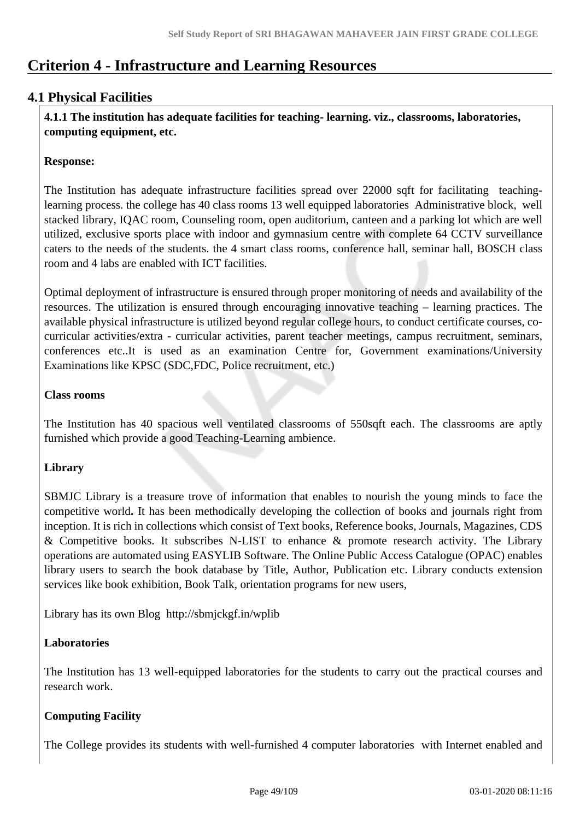# **Criterion 4 - Infrastructure and Learning Resources**

# **4.1 Physical Facilities**

 **4.1.1 The institution has adequate facilities for teaching- learning. viz., classrooms, laboratories, computing equipment, etc.**

# **Response:**

The Institution has adequate infrastructure facilities spread over 22000 sqft for facilitating teachinglearning process. the college has 40 class rooms 13 well equipped laboratories Administrative block, well stacked library, IQAC room, Counseling room, open auditorium, canteen and a parking lot which are well utilized, exclusive sports place with indoor and gymnasium centre with complete 64 CCTV surveillance caters to the needs of the students. the 4 smart class rooms, conference hall, seminar hall, BOSCH class room and 4 labs are enabled with ICT facilities.

Optimal deployment of infrastructure is ensured through proper monitoring of needs and availability of the resources. The utilization is ensured through encouraging innovative teaching – learning practices. The available physical infrastructure is utilized beyond regular college hours, to conduct certificate courses, cocurricular activities/extra - curricular activities, parent teacher meetings, campus recruitment, seminars, conferences etc..It is used as an examination Centre for, Government examinations/University Examinations like KPSC (SDC,FDC, Police recruitment, etc.)

### **Class rooms**

The Institution has 40 spacious well ventilated classrooms of 550sqft each. The classrooms are aptly furnished which provide a good Teaching-Learning ambience.

# **Library**

SBMJC Library is a treasure trove of information that enables to nourish the young minds to face the competitive world**.** It has been methodically developing the collection of books and journals right from inception. It is rich in collections which consist of Text books, Reference books, Journals, Magazines, CDS & Competitive books. It subscribes N-LIST to enhance & promote research activity. The Library operations are automated using EASYLIB Software. The Online Public Access Catalogue (OPAC) enables library users to search the book database by Title, Author, Publication etc. Library conducts extension services like book exhibition, Book Talk, orientation programs for new users,

Library has its own Blog http://sbmjckgf.in/wplib

# **Laboratories**

The Institution has 13 well-equipped laboratories for the students to carry out the practical courses and research work.

# **Computing Facility**

The College provides its students with well-furnished 4 computer laboratories with Internet enabled and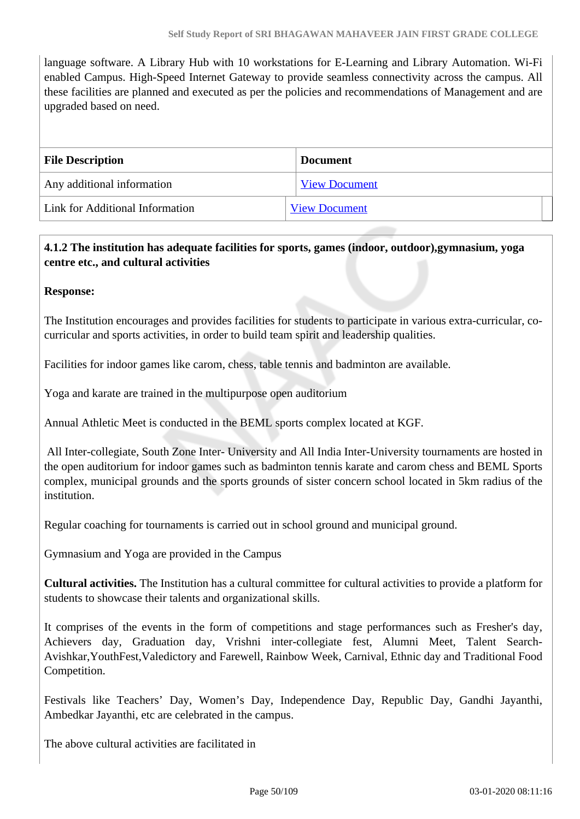language software. A Library Hub with 10 workstations for E-Learning and Library Automation. Wi-Fi enabled Campus. High-Speed Internet Gateway to provide seamless connectivity across the campus. All these facilities are planned and executed as per the policies and recommendations of Management and are upgraded based on need.

| <b>File Description</b>         | <b>Document</b>      |
|---------------------------------|----------------------|
| Any additional information      | <b>View Document</b> |
| Link for Additional Information | <b>View Document</b> |

 **4.1.2 The institution has adequate facilities for sports, games (indoor, outdoor),gymnasium, yoga centre etc., and cultural activities**

**Response:** 

The Institution encourages and provides facilities for students to participate in various extra-curricular, cocurricular and sports activities, in order to build team spirit and leadership qualities.

Facilities for indoor games like carom, chess, table tennis and badminton are available.

Yoga and karate are trained in the multipurpose open auditorium

Annual Athletic Meet is conducted in the BEML sports complex located at KGF.

 All Inter-collegiate, South Zone Inter- University and All India Inter-University tournaments are hosted in the open auditorium for indoor games such as badminton tennis karate and carom chess and BEML Sports complex, municipal grounds and the sports grounds of sister concern school located in 5km radius of the institution.

Regular coaching for tournaments is carried out in school ground and municipal ground.

Gymnasium and Yoga are provided in the Campus

**Cultural activities.** The Institution has a cultural committee for cultural activities to provide a platform for students to showcase their talents and organizational skills.

It comprises of the events in the form of competitions and stage performances such as Fresher's day, Achievers day, Graduation day, Vrishni inter-collegiate fest, Alumni Meet, Talent Search-Avishkar,YouthFest,Valedictory and Farewell, Rainbow Week, Carnival, Ethnic day and Traditional Food Competition.

Festivals like Teachers' Day, Women's Day, Independence Day, Republic Day, Gandhi Jayanthi, Ambedkar Jayanthi, etc are celebrated in the campus.

The above cultural activities are facilitated in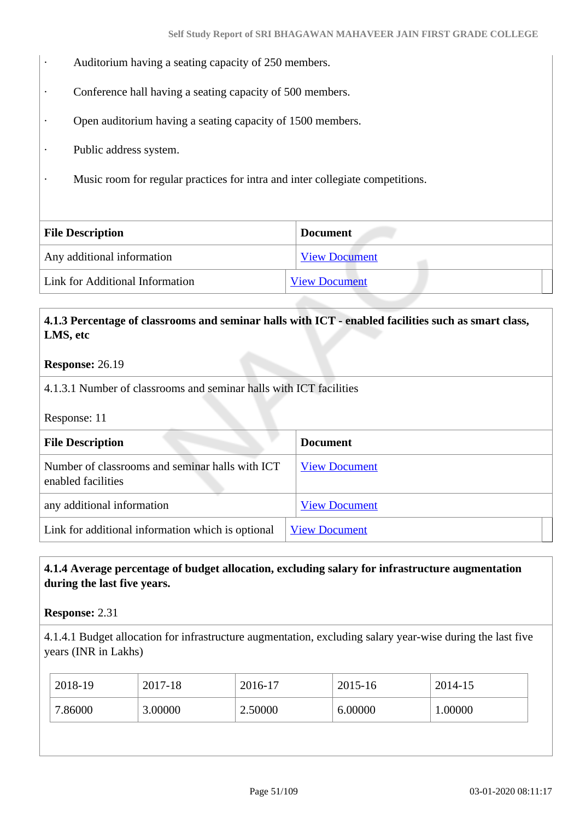- · Auditorium having a seating capacity of 250 members.
- · Conference hall having a seating capacity of 500 members.
- · Open auditorium having a seating capacity of 1500 members.
- · Public address system.
- · Music room for regular practices for intra and inter collegiate competitions.

| <b>Document</b>      |
|----------------------|
| <b>View Document</b> |
| <b>View Document</b> |
|                      |

# **4.1.3 Percentage of classrooms and seminar halls with ICT - enabled facilities such as smart class, LMS, etc**

#### **Response:** 26.19

4.1.3.1 Number of classrooms and seminar halls with ICT facilities

Response: 11

| <b>File Description</b>                                               | <b>Document</b>      |
|-----------------------------------------------------------------------|----------------------|
| Number of classrooms and seminar halls with ICT<br>enabled facilities | <b>View Document</b> |
| any additional information                                            | <b>View Document</b> |
| Link for additional information which is optional                     | <b>View Document</b> |

# **4.1.4 Average percentage of budget allocation, excluding salary for infrastructure augmentation during the last five years.**

**Response:** 2.31

4.1.4.1 Budget allocation for infrastructure augmentation, excluding salary year-wise during the last five years (INR in Lakhs)

| 2018-19 | 2017-18 | 2016-17 | 2015-16 | 2014-15 |
|---------|---------|---------|---------|---------|
| 7.86000 | 3.00000 | 2.50000 | 6.00000 | .00000  |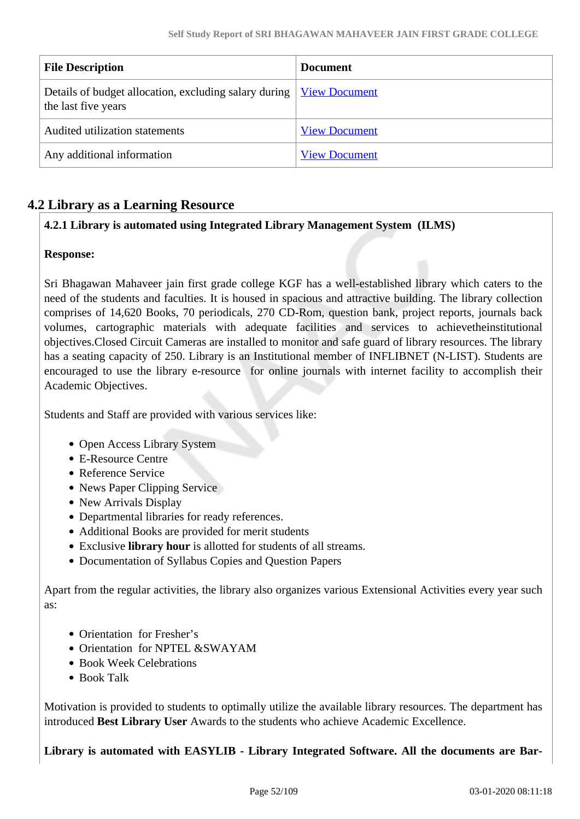| <b>File Description</b>                                                                      | Document             |
|----------------------------------------------------------------------------------------------|----------------------|
| Details of budget allocation, excluding salary during   View Document<br>the last five years |                      |
| Audited utilization statements                                                               | <b>View Document</b> |
| Any additional information                                                                   | <b>View Document</b> |

# **4.2 Library as a Learning Resource**

# **4.2.1 Library is automated using Integrated Library Management System (ILMS)**

# **Response:**

Sri Bhagawan Mahaveer jain first grade college KGF has a well-established library which caters to the need of the students and faculties. It is housed in spacious and attractive building. The library collection comprises of 14,620 Books, 70 periodicals, 270 CD-Rom, question bank, project reports, journals back volumes, cartographic materials with adequate facilities and services to achievetheinstitutional objectives.Closed Circuit Cameras are installed to monitor and safe guard of library resources. The library has a seating capacity of 250. Library is an Institutional member of INFLIBNET (N-LIST). Students are encouraged to use the library e-resource for online journals with internet facility to accomplish their Academic Objectives.

Students and Staff are provided with various services like:

- Open Access Library System
- E-Resource Centre
- Reference Service
- News Paper Clipping Service
- New Arrivals Display
- Departmental libraries for ready references.
- Additional Books are provided for merit students
- Exclusive **library hour** is allotted for students of all streams.
- Documentation of Syllabus Copies and Question Papers

Apart from the regular activities, the library also organizes various Extensional Activities every year such as:

- Orientation for Fresher's
- Orientation for NPTEL &SWAYAM
- Book Week Celebrations
- Book Talk

Motivation is provided to students to optimally utilize the available library resources. The department has introduced **Best Library User** Awards to the students who achieve Academic Excellence.

**Library is automated with EASYLIB - Library Integrated Software. All the documents are Bar-**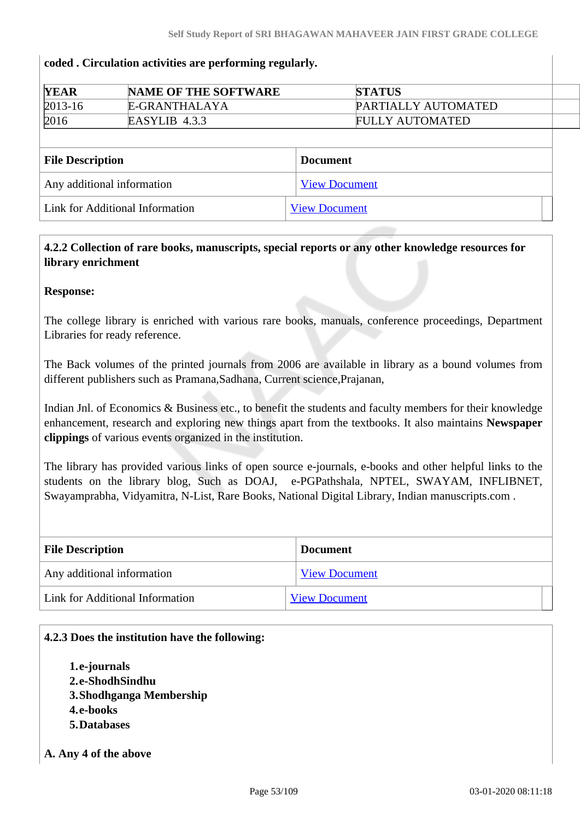#### **coded . Circulation activities are performing regularly.**

| <b>YEAR</b> | <b>NAME OF THE SOFTWARE</b> | <b>STATUS</b>          |  |
|-------------|-----------------------------|------------------------|--|
| $2013 - 16$ | E-GRANTHALAYA               | PARTIALLY AUTOMATED    |  |
| 2016        | EASYLIB 4.3.3               | <b>FULLY AUTOMATED</b> |  |

| <b>File Description</b>         | <b>Document</b>      |
|---------------------------------|----------------------|
| Any additional information      | <b>View Document</b> |
| Link for Additional Information | <b>View Document</b> |

# **4.2.2 Collection of rare books, manuscripts, special reports or any other knowledge resources for library enrichment**

#### **Response:**

The college library is enriched with various rare books, manuals, conference proceedings, Department Libraries for ready reference.

The Back volumes of the printed journals from 2006 are available in library as a bound volumes from different publishers such as Pramana,Sadhana, Current science,Prajanan,

Indian Jnl. of Economics & Business etc., to benefit the students and faculty members for their knowledge enhancement, research and exploring new things apart from the textbooks. It also maintains **Newspaper clippings** of various events organized in the institution.

The library has provided various links of open source e-journals, e-books and other helpful links to the students on the library blog, Such as DOAJ, e-PGPathshala, NPTEL, SWAYAM, INFLIBNET, Swayamprabha, Vidyamitra, N-List, Rare Books, National Digital Library, Indian manuscripts.com .

| <b>File Description</b>         | Document             |
|---------------------------------|----------------------|
| Any additional information      | <b>View Document</b> |
| Link for Additional Information | <b>View Document</b> |

**4.2.3 Does the institution have the following:**

- **1.e-journals 2.e-ShodhSindhu**
- **3.Shodhganga Membership**
- **4.e-books**
- **5.Databases**
- **A. Any 4 of the above**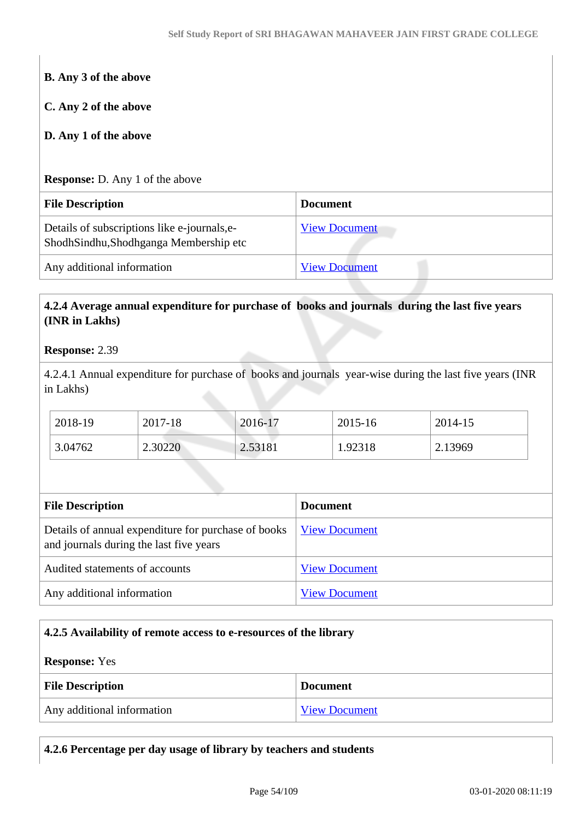| <b>B.</b> Any 3 of the above                                                          |                      |  |  |
|---------------------------------------------------------------------------------------|----------------------|--|--|
| C. Any 2 of the above                                                                 |                      |  |  |
| D. Any 1 of the above                                                                 |                      |  |  |
| <b>Response:</b> D. Any 1 of the above                                                |                      |  |  |
|                                                                                       |                      |  |  |
| <b>File Description</b>                                                               | <b>Document</b>      |  |  |
| Details of subscriptions like e-journals, e-<br>ShodhSindhu,Shodhganga Membership etc | <b>View Document</b> |  |  |

# **4.2.4 Average annual expenditure for purchase of books and journals during the last five years (INR in Lakhs)**

#### **Response:** 2.39

4.2.4.1 Annual expenditure for purchase of books and journals year-wise during the last five years (INR in Lakhs)

| 2018-19 | 2017-18 | $2016-17$ | 2015-16 | 2014-15 |
|---------|---------|-----------|---------|---------|
| 3.04762 | 2.30220 | 2.53181   | 1.92318 | 2.13969 |

| <b>File Description</b>                                                                        | <b>Document</b>      |
|------------------------------------------------------------------------------------------------|----------------------|
| Details of annual expenditure for purchase of books<br>and journals during the last five years | <b>View Document</b> |
| Audited statements of accounts                                                                 | <b>View Document</b> |
| Any additional information                                                                     | <b>View Document</b> |

|                      | 4.2.5 Availability of remote access to e-resources of the library |                      |
|----------------------|-------------------------------------------------------------------|----------------------|
| <b>Response:</b> Yes |                                                                   |                      |
|                      | <b>File Description</b>                                           | <b>Document</b>      |
|                      | Any additional information                                        | <b>View Document</b> |

| 4.2.6 Percentage per day usage of library by teachers and students |
|--------------------------------------------------------------------|
|                                                                    |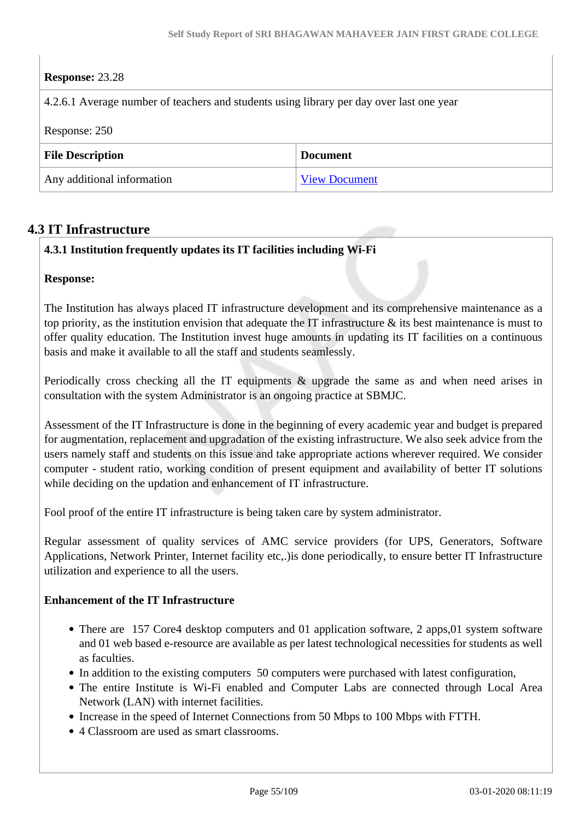# **Response:** 23.28

4.2.6.1 Average number of teachers and students using library per day over last one year

Response: 250

| <b>File Description</b>    | <b>Document</b>      |  |
|----------------------------|----------------------|--|
| Any additional information | <b>View Document</b> |  |

# **4.3 IT Infrastructure**

# **4.3.1 Institution frequently updates its IT facilities including Wi-Fi**

#### **Response:**

The Institution has always placed IT infrastructure development and its comprehensive maintenance as a top priority, as the institution envision that adequate the IT infrastructure  $\&$  its best maintenance is must to offer quality education. The Institution invest huge amounts in updating its IT facilities on a continuous basis and make it available to all the staff and students seamlessly.

Periodically cross checking all the IT equipments & upgrade the same as and when need arises in consultation with the system Administrator is an ongoing practice at SBMJC.

Assessment of the IT Infrastructure is done in the beginning of every academic year and budget is prepared for augmentation, replacement and upgradation of the existing infrastructure. We also seek advice from the users namely staff and students on this issue and take appropriate actions wherever required. We consider computer - student ratio, working condition of present equipment and availability of better IT solutions while deciding on the updation and enhancement of IT infrastructure.

Fool proof of the entire IT infrastructure is being taken care by system administrator.

Regular assessment of quality services of AMC service providers (for UPS, Generators, Software Applications, Network Printer, Internet facility etc,.)is done periodically, to ensure better IT Infrastructure utilization and experience to all the users.

#### **Enhancement of the IT Infrastructure**

- There are 157 Core4 desktop computers and 01 application software, 2 apps, 01 system software and 01 web based e-resource are available as per latest technological necessities for students as well as faculties.
- In addition to the existing computers 50 computers were purchased with latest configuration,
- The entire Institute is Wi-Fi enabled and Computer Labs are connected through Local Area Network (LAN) with internet facilities.
- Increase in the speed of Internet Connections from 50 Mbps to 100 Mbps with FTTH.
- 4 Classroom are used as smart classrooms.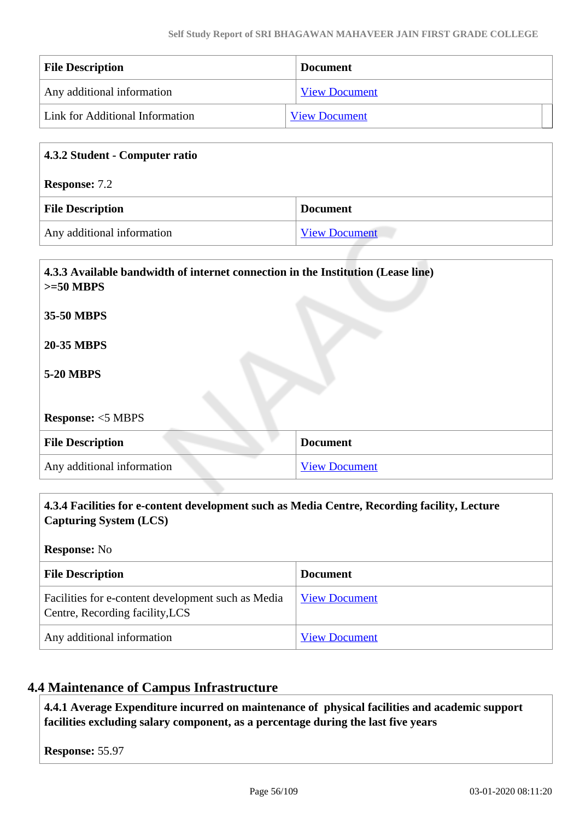| <b>File Description</b>         | <b>Document</b>      |  |
|---------------------------------|----------------------|--|
| Any additional information      | <b>View Document</b> |  |
| Link for Additional Information | <b>View Document</b> |  |

| 4.3.2 Student - Computer ratio<br><b>Response: 7.2</b> |                      |
|--------------------------------------------------------|----------------------|
|                                                        |                      |
| Any additional information                             | <b>View Document</b> |

| 4.3.3 Available bandwidth of internet connection in the Institution (Lease line)<br>$>=50$ MBPS |                      |  |
|-------------------------------------------------------------------------------------------------|----------------------|--|
| <b>35-50 MBPS</b>                                                                               |                      |  |
| <b>20-35 MBPS</b>                                                                               |                      |  |
| <b>5-20 MBPS</b>                                                                                |                      |  |
|                                                                                                 |                      |  |
| <b>Response: &lt;5 MBPS</b>                                                                     |                      |  |
| <b>File Description</b>                                                                         | <b>Document</b>      |  |
| Any additional information                                                                      | <b>View Document</b> |  |

# **4.3.4 Facilities for e-content development such as Media Centre, Recording facility, Lecture Capturing System (LCS)**

**Response:** No

| <b>File Description</b>                                                               | <b>Document</b>      |
|---------------------------------------------------------------------------------------|----------------------|
| Facilities for e-content development such as Media<br>Centre, Recording facility, LCS | <b>View Document</b> |
| Any additional information                                                            | <b>View Document</b> |

# **4.4 Maintenance of Campus Infrastructure**

 **4.4.1 Average Expenditure incurred on maintenance of physical facilities and academic support facilities excluding salary component, as a percentage during the last five years**

**Response:** 55.97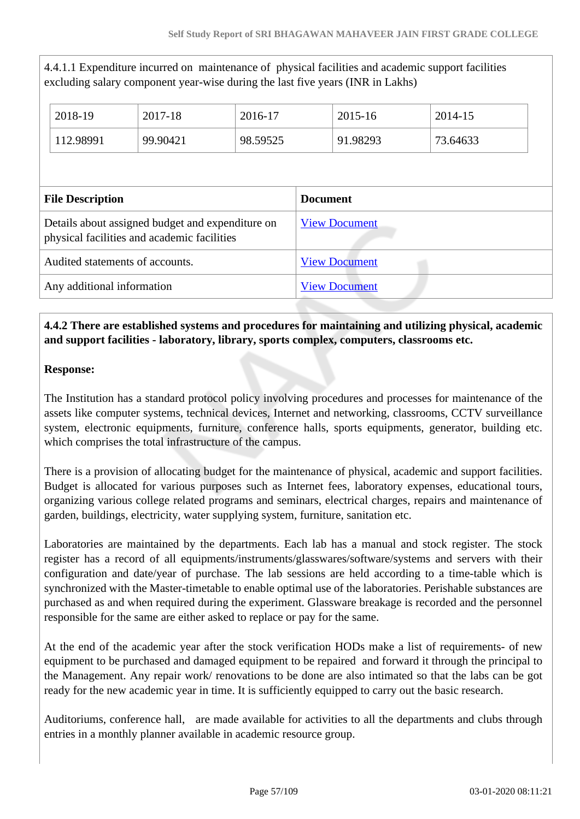4.4.1.1 Expenditure incurred on maintenance of physical facilities and academic support facilities excluding salary component year-wise during the last five years (INR in Lakhs)

|                                                                                                 | 2018-19                 | 2017-18              | 2016-17              |                 | 2015-16  | 2014-15  |
|-------------------------------------------------------------------------------------------------|-------------------------|----------------------|----------------------|-----------------|----------|----------|
|                                                                                                 | 112.98991               | 99.90421             | 98.59525             |                 | 91.98293 | 73.64633 |
|                                                                                                 |                         |                      |                      |                 |          |          |
|                                                                                                 | <b>File Description</b> |                      |                      | <b>Document</b> |          |          |
| Details about assigned budget and expenditure on<br>physical facilities and academic facilities |                         |                      | <b>View Document</b> |                 |          |          |
| Audited statements of accounts.                                                                 |                         | <b>View Document</b> |                      |                 |          |          |
| Any additional information                                                                      |                         |                      | <b>View Document</b> |                 |          |          |

# **4.4.2 There are established systems and procedures for maintaining and utilizing physical, academic and support facilities - laboratory, library, sports complex, computers, classrooms etc.**

### **Response:**

The Institution has a standard protocol policy involving procedures and processes for maintenance of the assets like computer systems, technical devices, Internet and networking, classrooms, CCTV surveillance system, electronic equipments, furniture, conference halls, sports equipments, generator, building etc. which comprises the total infrastructure of the campus.

There is a provision of allocating budget for the maintenance of physical, academic and support facilities. Budget is allocated for various purposes such as Internet fees, laboratory expenses, educational tours, organizing various college related programs and seminars, electrical charges, repairs and maintenance of garden, buildings, electricity, water supplying system, furniture, sanitation etc.

Laboratories are maintained by the departments. Each lab has a manual and stock register. The stock register has a record of all equipments/instruments/glasswares/software/systems and servers with their configuration and date/year of purchase. The lab sessions are held according to a time-table which is synchronized with the Master-timetable to enable optimal use of the laboratories. Perishable substances are purchased as and when required during the experiment. Glassware breakage is recorded and the personnel responsible for the same are either asked to replace or pay for the same.

At the end of the academic year after the stock verification HODs make a list of requirements- of new equipment to be purchased and damaged equipment to be repaired and forward it through the principal to the Management. Any repair work/ renovations to be done are also intimated so that the labs can be got ready for the new academic year in time. It is sufficiently equipped to carry out the basic research.

Auditoriums, conference hall, are made available for activities to all the departments and clubs through entries in a monthly planner available in academic resource group.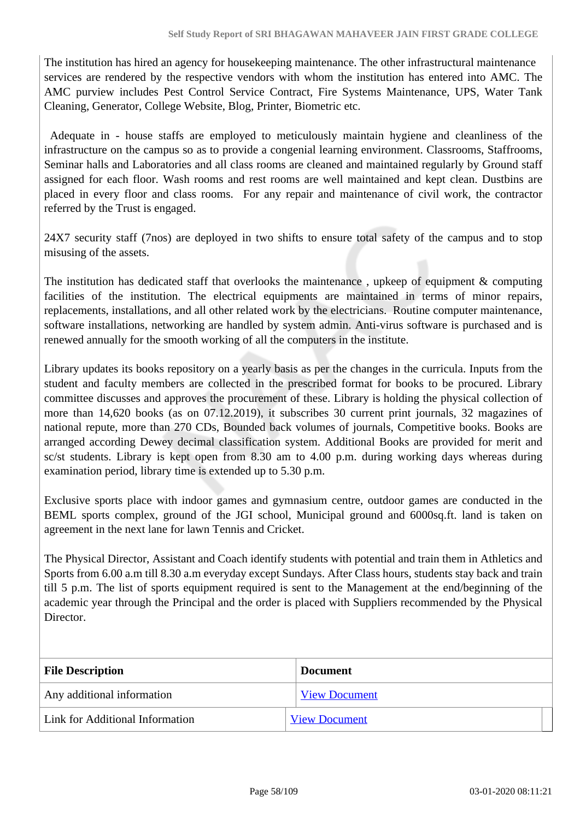The institution has hired an agency for housekeeping maintenance. The other infrastructural maintenance services are rendered by the respective vendors with whom the institution has entered into AMC. The AMC purview includes Pest Control Service Contract, Fire Systems Maintenance, UPS, Water Tank Cleaning, Generator, College Website, Blog, Printer, Biometric etc.

 Adequate in - house staffs are employed to meticulously maintain hygiene and cleanliness of the infrastructure on the campus so as to provide a congenial learning environment. Classrooms, Staffrooms, Seminar halls and Laboratories and all class rooms are cleaned and maintained regularly by Ground staff assigned for each floor. Wash rooms and rest rooms are well maintained and kept clean. Dustbins are placed in every floor and class rooms. For any repair and maintenance of civil work, the contractor referred by the Trust is engaged.

24X7 security staff (7nos) are deployed in two shifts to ensure total safety of the campus and to stop misusing of the assets.

The institution has dedicated staff that overlooks the maintenance, upkeep of equipment & computing facilities of the institution. The electrical equipments are maintained in terms of minor repairs, replacements, installations, and all other related work by the electricians. Routine computer maintenance, software installations, networking are handled by system admin. Anti-virus software is purchased and is renewed annually for the smooth working of all the computers in the institute.

Library updates its books repository on a yearly basis as per the changes in the curricula. Inputs from the student and faculty members are collected in the prescribed format for books to be procured. Library committee discusses and approves the procurement of these. Library is holding the physical collection of more than 14,620 books (as on 07.12.2019), it subscribes 30 current print journals, 32 magazines of national repute, more than 270 CDs, Bounded back volumes of journals, Competitive books. Books are arranged according Dewey decimal classification system. Additional Books are provided for merit and sc/st students. Library is kept open from 8.30 am to 4.00 p.m. during working days whereas during examination period, library time is extended up to 5.30 p.m.

Exclusive sports place with indoor games and gymnasium centre, outdoor games are conducted in the BEML sports complex, ground of the JGI school, Municipal ground and 6000sq.ft. land is taken on agreement in the next lane for lawn Tennis and Cricket.

The Physical Director, Assistant and Coach identify students with potential and train them in Athletics and Sports from 6.00 a.m till 8.30 a.m everyday except Sundays. After Class hours, students stay back and train till 5 p.m. The list of sports equipment required is sent to the Management at the end/beginning of the academic year through the Principal and the order is placed with Suppliers recommended by the Physical Director.

| <b>File Description</b>         | Document             |  |
|---------------------------------|----------------------|--|
| Any additional information      | <b>View Document</b> |  |
| Link for Additional Information | <b>View Document</b> |  |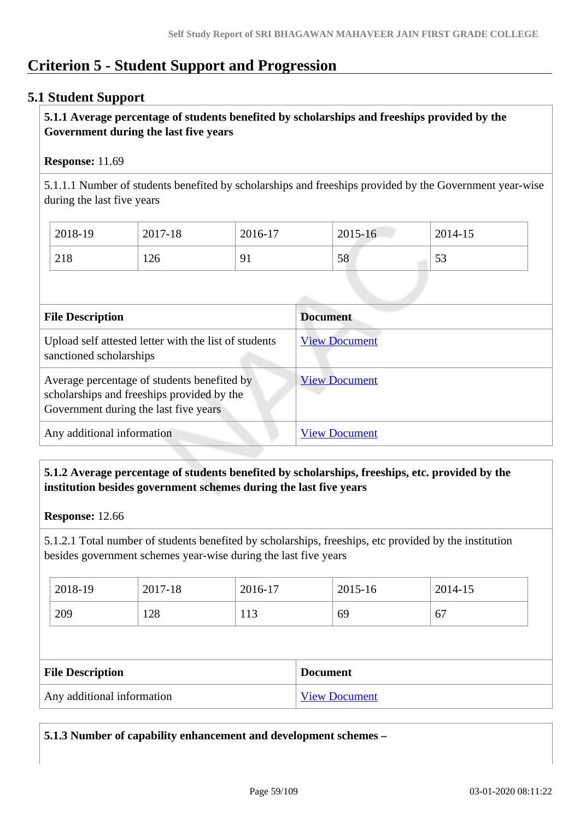# **Criterion 5 - Student Support and Progression**

# **5.1 Student Support**

# **5.1.1 Average percentage of students benefited by scholarships and freeships provided by the Government during the last five years**

### **Response:** 11.69

5.1.1.1 Number of students benefited by scholarships and freeships provided by the Government year-wise during the last five years

| 2018-19 | 2017-18 | 2016-17                | 2015-16 | 2014-15      |
|---------|---------|------------------------|---------|--------------|
| 218     | 126     | $\mathbf{Q}^{\dagger}$ | 58      | $\sim$<br>IJ |

| <b>File Description</b>                                                                                                            | <b>Document</b>      |
|------------------------------------------------------------------------------------------------------------------------------------|----------------------|
| Upload self attested letter with the list of students<br>sanctioned scholarships                                                   | <b>View Document</b> |
| Average percentage of students benefited by<br>scholarships and freeships provided by the<br>Government during the last five years | <b>View Document</b> |
| Any additional information                                                                                                         | <b>View Document</b> |

# **5.1.2 Average percentage of students benefited by scholarships, freeships, etc. provided by the institution besides government schemes during the last five years**

#### **Response:** 12.66

5.1.2.1 Total number of students benefited by scholarships, freeships, etc provided by the institution besides government schemes year-wise during the last five years

| 2018-19 | 2017-18 | 2016-17 | 2015-16 | 2014-15 |
|---------|---------|---------|---------|---------|
| 209     | 128     | 113     | 69      | 67      |

| <b>File Description</b>    | <b>Document</b>      |
|----------------------------|----------------------|
| Any additional information | <b>View Document</b> |

**5.1.3 Number of capability enhancement and development schemes –**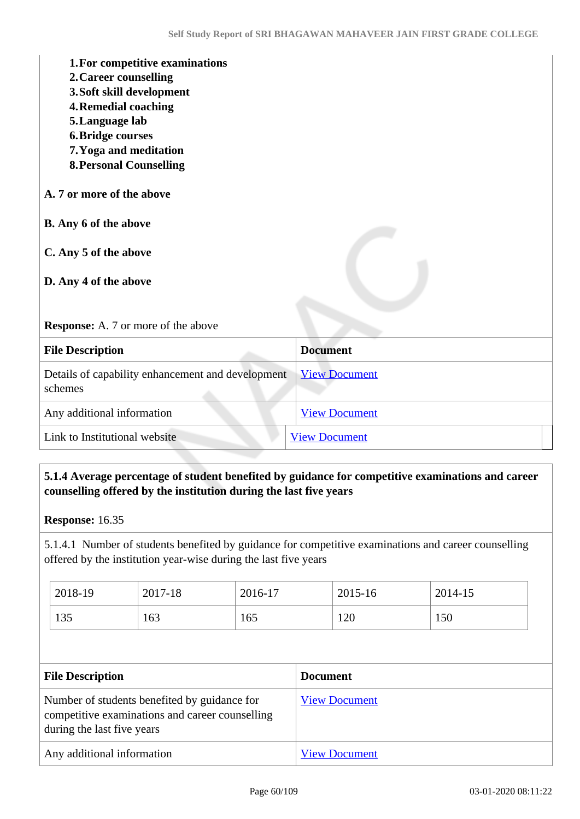| 1. For competitive examinations<br>2. Career counselling<br>3. Soft skill development<br><b>4. Remedial coaching</b><br>5. Language lab<br><b>6. Bridge courses</b><br>7. Yoga and meditation<br><b>8. Personal Counselling</b><br>A. 7 or more of the above |                      |
|--------------------------------------------------------------------------------------------------------------------------------------------------------------------------------------------------------------------------------------------------------------|----------------------|
|                                                                                                                                                                                                                                                              |                      |
| <b>B.</b> Any 6 of the above                                                                                                                                                                                                                                 |                      |
| C. Any 5 of the above<br>D. Any 4 of the above                                                                                                                                                                                                               |                      |
|                                                                                                                                                                                                                                                              |                      |
| Response: A. 7 or more of the above                                                                                                                                                                                                                          |                      |
| <b>File Description</b>                                                                                                                                                                                                                                      | <b>Document</b>      |
| Details of capability enhancement and development<br>schemes                                                                                                                                                                                                 | <b>View Document</b> |
| Any additional information                                                                                                                                                                                                                                   | <b>View Document</b> |
| Link to Institutional website                                                                                                                                                                                                                                | <b>View Document</b> |

# **5.1.4 Average percentage of student benefited by guidance for competitive examinations and career counselling offered by the institution during the last five years**

**Response:** 16.35

5.1.4.1 Number of students benefited by guidance for competitive examinations and career counselling offered by the institution year-wise during the last five years

| 2018-19 | 2017-18 | 2016-17 | 2015-16 | 2014-15 |
|---------|---------|---------|---------|---------|
| 135     | 163     | 165     | 120     | 150     |

| <b>File Description</b>                                                                                                       | <b>Document</b>      |
|-------------------------------------------------------------------------------------------------------------------------------|----------------------|
| Number of students benefited by guidance for<br>competitive examinations and career counselling<br>during the last five years | <b>View Document</b> |
| Any additional information                                                                                                    | <b>View Document</b> |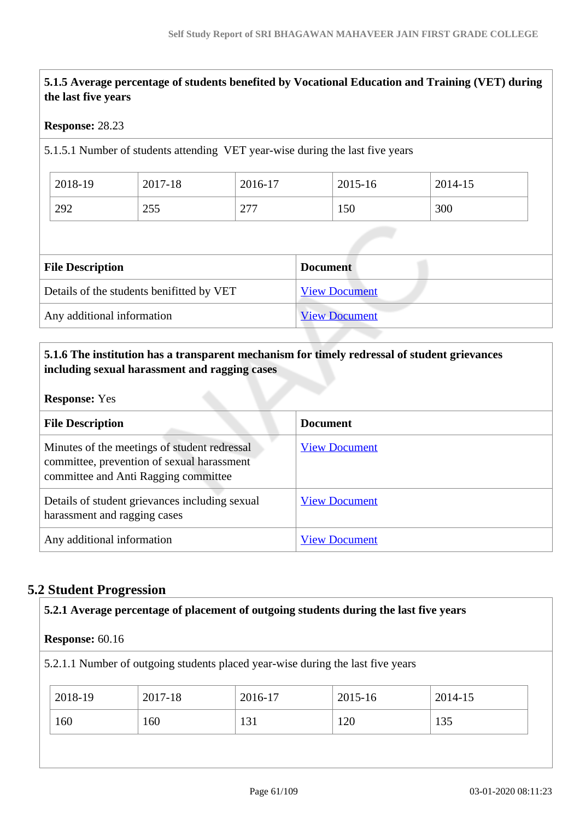# **5.1.5 Average percentage of students benefited by Vocational Education and Training (VET) during the last five years**

### **Response:** 28.23

5.1.5.1 Number of students attending VET year-wise during the last five years

| 2018-19 | 2017-18     | 2016-17                         | 2015-16 | 2014-15 |
|---------|-------------|---------------------------------|---------|---------|
| 292     | つくく<br>ر ر_ | ヘワワ<br>$\sim$ $\prime$ $\prime$ | 150     | 300     |

| <b>File Description</b>                   | <b>Document</b>      |
|-------------------------------------------|----------------------|
| Details of the students benifitted by VET | <b>View Document</b> |
| Any additional information                | <b>View Document</b> |

# **5.1.6 The institution has a transparent mechanism for timely redressal of student grievances including sexual harassment and ragging cases**

#### **Response:** Yes

| <b>File Description</b>                                                                                                            | <b>Document</b>      |
|------------------------------------------------------------------------------------------------------------------------------------|----------------------|
| Minutes of the meetings of student redressal<br>committee, prevention of sexual harassment<br>committee and Anti Ragging committee | <b>View Document</b> |
| Details of student grievances including sexual<br>harassment and ragging cases                                                     | <b>View Document</b> |
| Any additional information                                                                                                         | <b>View Document</b> |

# **5.2 Student Progression**

| <b>Response:</b> $60.16$ |         |         |                                                                                 |         |
|--------------------------|---------|---------|---------------------------------------------------------------------------------|---------|
|                          |         |         | 5.2.1.1 Number of outgoing students placed year-wise during the last five years |         |
| 2018-19                  | 2017-18 | 2016-17 | 2015-16                                                                         | 2014-15 |
| 160                      | 160     | 131     | 120                                                                             | 135     |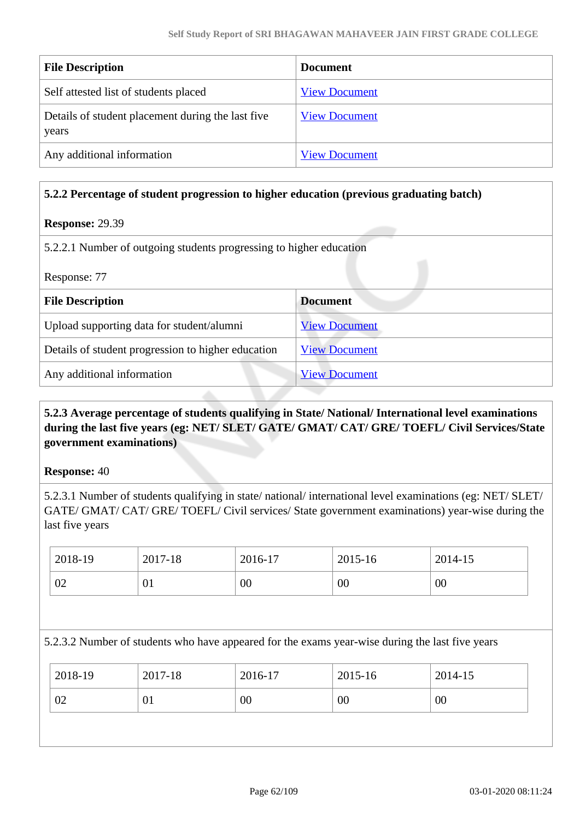| <b>File Description</b>                                    | <b>Document</b>      |
|------------------------------------------------------------|----------------------|
| Self attested list of students placed                      | <b>View Document</b> |
| Details of student placement during the last five<br>years | <b>View Document</b> |
| Any additional information                                 | <b>View Document</b> |

### **5.2.2 Percentage of student progression to higher education (previous graduating batch)**

# **Response:** 29.39

5.2.2.1 Number of outgoing students progressing to higher education

| Response: 77                                       |                      |  |  |
|----------------------------------------------------|----------------------|--|--|
| <b>File Description</b>                            | <b>Document</b>      |  |  |
| Upload supporting data for student/alumni          | <b>View Document</b> |  |  |
| Details of student progression to higher education | <b>View Document</b> |  |  |
| Any additional information                         | <b>View Document</b> |  |  |

# **5.2.3 Average percentage of students qualifying in State/ National/ International level examinations during the last five years (eg: NET/ SLET/ GATE/ GMAT/ CAT/ GRE/ TOEFL/ Civil Services/State government examinations)**

#### **Response:** 40

5.2.3.1 Number of students qualifying in state/ national/ international level examinations (eg: NET/ SLET/ GATE/ GMAT/ CAT/ GRE/ TOEFL/ Civil services/ State government examinations) year-wise during the last five years

| 2018-19 | 2017-18 | 2016-17 | 2015-16 | 2014-15 |
|---------|---------|---------|---------|---------|
| 02      | VI.     | 00      | 00      | 00      |

# 5.2.3.2 Number of students who have appeared for the exams year-wise during the last five years

| 00<br>$00\,$<br>02<br>00<br>01 |  |
|--------------------------------|--|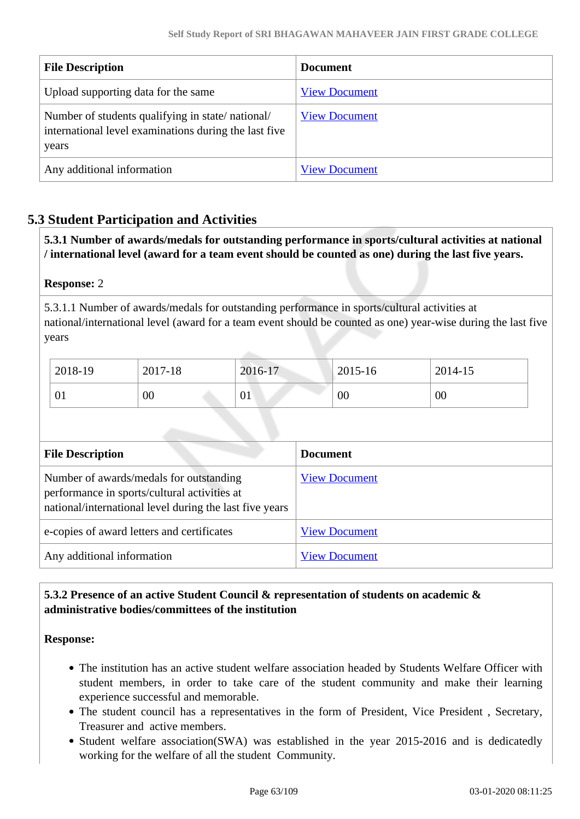| <b>File Description</b>                                                                                            | <b>Document</b>      |
|--------------------------------------------------------------------------------------------------------------------|----------------------|
| Upload supporting data for the same                                                                                | <b>View Document</b> |
| Number of students qualifying in state/national/<br>international level examinations during the last five<br>years | <b>View Document</b> |
| Any additional information                                                                                         | <b>View Document</b> |

# **5.3 Student Participation and Activities**

 **5.3.1 Number of awards/medals for outstanding performance in sports/cultural activities at national / international level (award for a team event should be counted as one) during the last five years.**

### **Response:** 2

5.3.1.1 Number of awards/medals for outstanding performance in sports/cultural activities at national/international level (award for a team event should be counted as one) year-wise during the last five years

| 2018-19 | 2017-18 | 2016-17 | 2015-16 | 2014-15 |
|---------|---------|---------|---------|---------|
| 01      | 00      | 01      | 00      | 00      |

| <b>File Description</b>                                                                                                                            | <b>Document</b>      |
|----------------------------------------------------------------------------------------------------------------------------------------------------|----------------------|
| Number of awards/medals for outstanding<br>performance in sports/cultural activities at<br>national/international level during the last five years | <b>View Document</b> |
| e-copies of award letters and certificates                                                                                                         | <b>View Document</b> |
| Any additional information                                                                                                                         | <b>View Document</b> |

# **5.3.2 Presence of an active Student Council & representation of students on academic & administrative bodies/committees of the institution**

#### **Response:**

- The institution has an active student welfare association headed by Students Welfare Officer with student members, in order to take care of the student community and make their learning experience successful and memorable.
- The student council has a representatives in the form of President, Vice President , Secretary, Treasurer and active members.
- Student welfare association(SWA) was established in the year 2015-2016 and is dedicatedly working for the welfare of all the student Community.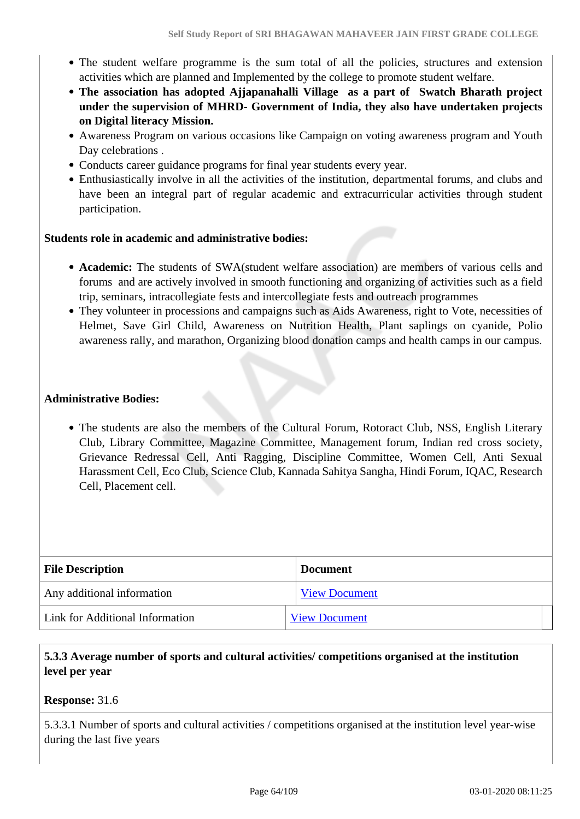- The student welfare programme is the sum total of all the policies, structures and extension activities which are planned and Implemented by the college to promote student welfare.
- **The association has adopted Ajjapanahalli Village as a part of Swatch Bharath project under the supervision of MHRD- Government of India, they also have undertaken projects on Digital literacy Mission.**
- Awareness Program on various occasions like Campaign on voting awareness program and Youth Day celebrations .
- Conducts career guidance programs for final year students every year.
- Enthusiastically involve in all the activities of the institution, departmental forums, and clubs and have been an integral part of regular academic and extracurricular activities through student participation.

# **Students role in academic and administrative bodies:**

- **Academic:** The students of SWA(student welfare association) are members of various cells and forums and are actively involved in smooth functioning and organizing of activities such as a field trip, seminars, intracollegiate fests and intercollegiate fests and outreach programmes
- They volunteer in processions and campaigns such as Aids Awareness, right to Vote, necessities of Helmet, Save Girl Child, Awareness on Nutrition Health, Plant saplings on cyanide, Polio awareness rally, and marathon, Organizing blood donation camps and health camps in our campus.

### **Administrative Bodies:**

The students are also the members of the Cultural Forum, Rotoract Club, NSS, English Literary Club, Library Committee, Magazine Committee, Management forum, Indian red cross society, Grievance Redressal Cell, Anti Ragging, Discipline Committee, Women Cell, Anti Sexual Harassment Cell, Eco Club, Science Club, Kannada Sahitya Sangha, Hindi Forum, IQAC, Research Cell, Placement cell.

| <b>File Description</b>         | <b>Document</b>      |
|---------------------------------|----------------------|
| Any additional information      | <b>View Document</b> |
| Link for Additional Information | <b>View Document</b> |

# **5.3.3 Average number of sports and cultural activities/ competitions organised at the institution level per year**

# **Response:** 31.6

5.3.3.1 Number of sports and cultural activities / competitions organised at the institution level year-wise during the last five years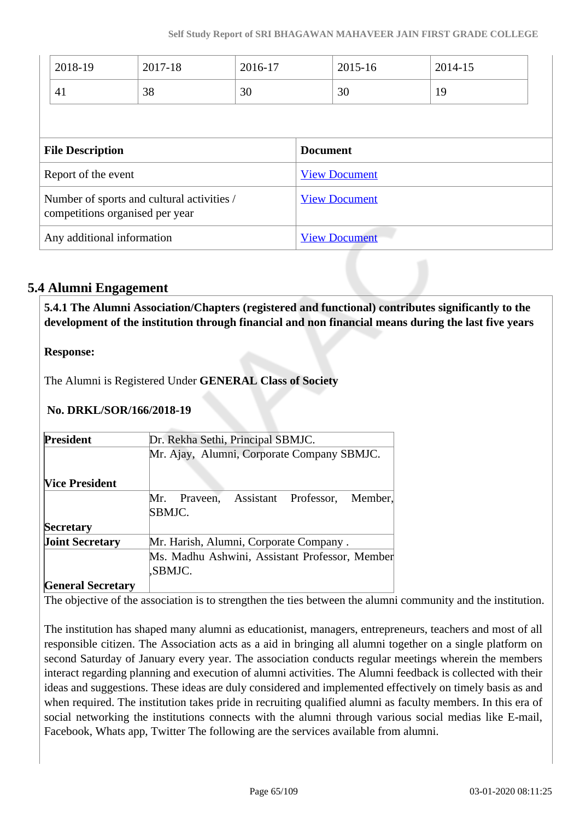|                                                                               | 2018-19 | 2017-18              | 2016-17              |                 | $2015 - 16$ | 2014-15 |
|-------------------------------------------------------------------------------|---------|----------------------|----------------------|-----------------|-------------|---------|
|                                                                               | 41      | 38                   | 30                   |                 | 30          | 19      |
|                                                                               |         |                      |                      |                 |             |         |
| <b>File Description</b>                                                       |         |                      |                      | <b>Document</b> |             |         |
| Report of the event                                                           |         | <b>View Document</b> |                      |                 |             |         |
| Number of sports and cultural activities /<br>competitions organised per year |         | <b>View Document</b> |                      |                 |             |         |
| Any additional information                                                    |         |                      | <b>View Document</b> |                 |             |         |

# **5.4 Alumni Engagement**

 **5.4.1 The Alumni Association/Chapters (registered and functional) contributes significantly to the development of the institution through financial and non financial means during the last five years**

# **Response:**

The Alumni is Registered Under **GENERAL Class of Society**

# **No. DRKL/SOR/166/2018-19**

| President                | Dr. Rekha Sethi, Principal SBMJC.                         |  |  |  |  |
|--------------------------|-----------------------------------------------------------|--|--|--|--|
|                          | Mr. Ajay, Alumni, Corporate Company SBMJC.                |  |  |  |  |
| <b>Vice President</b>    |                                                           |  |  |  |  |
|                          | Praveen, Assistant Professor, Member,<br>Mr.<br>SBMJC.    |  |  |  |  |
| Secretary                |                                                           |  |  |  |  |
| <b>Joint Secretary</b>   | Mr. Harish, Alumni, Corporate Company.                    |  |  |  |  |
|                          | Ms. Madhu Ashwini, Assistant Professor, Member<br>,SBMJC. |  |  |  |  |
| <b>General Secretary</b> |                                                           |  |  |  |  |

The objective of the association is to strengthen the ties between the alumni community and the institution.

The institution has shaped many alumni as educationist, managers, entrepreneurs, teachers and most of all responsible citizen. The Association acts as a aid in bringing all alumni together on a single platform on second Saturday of January every year. The association conducts regular meetings wherein the members interact regarding planning and execution of alumni activities. The Alumni feedback is collected with their ideas and suggestions. These ideas are duly considered and implemented effectively on timely basis as and when required. The institution takes pride in recruiting qualified alumni as faculty members. In this era of social networking the institutions connects with the alumni through various social medias like E-mail, Facebook, Whats app, Twitter The following are the services available from alumni.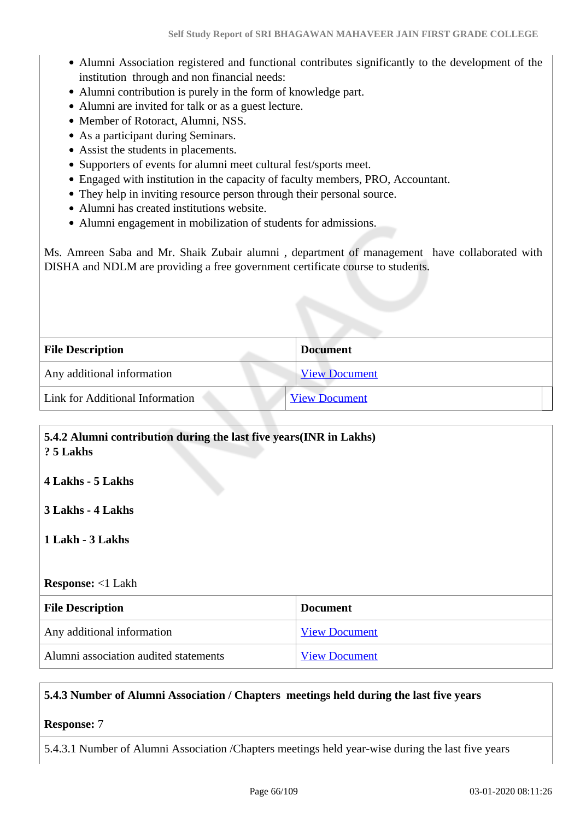- Alumni Association registered and functional contributes significantly to the development of the institution through and non financial needs:
- Alumni contribution is purely in the form of knowledge part.
- Alumni are invited for talk or as a guest lecture.
- Member of Rotoract, Alumni, NSS.
- As a participant during Seminars.
- Assist the students in placements.
- Supporters of events for alumni meet cultural fest/sports meet.
- Engaged with institution in the capacity of faculty members, PRO, Accountant.
- They help in inviting resource person through their personal source.
- Alumni has created institutions website.
- Alumni engagement in mobilization of students for admissions.

Ms. Amreen Saba and Mr. Shaik Zubair alumni , department of management have collaborated with DISHA and NDLM are providing a free government certificate course to students.

| <b>File Description</b>         | <b>Document</b>      |
|---------------------------------|----------------------|
| Any additional information      | <b>View Document</b> |
| Link for Additional Information | <b>View Document</b> |

| 5.4.2 Alumni contribution during the last five years(INR in Lakhs)<br>? 5 Lakhs |                      |  |
|---------------------------------------------------------------------------------|----------------------|--|
| 4 Lakhs - 5 Lakhs                                                               |                      |  |
| 3 Lakhs - 4 Lakhs                                                               |                      |  |
| 1 Lakh - 3 Lakhs                                                                |                      |  |
|                                                                                 |                      |  |
| <b>Response:</b> <1 Lakh                                                        |                      |  |
| <b>File Description</b>                                                         | <b>Document</b>      |  |
| Any additional information                                                      | <b>View Document</b> |  |
| Alumni association audited statements                                           | <b>View Document</b> |  |

# **5.4.3 Number of Alumni Association / Chapters meetings held during the last five years**

#### **Response:** 7

5.4.3.1 Number of Alumni Association /Chapters meetings held year-wise during the last five years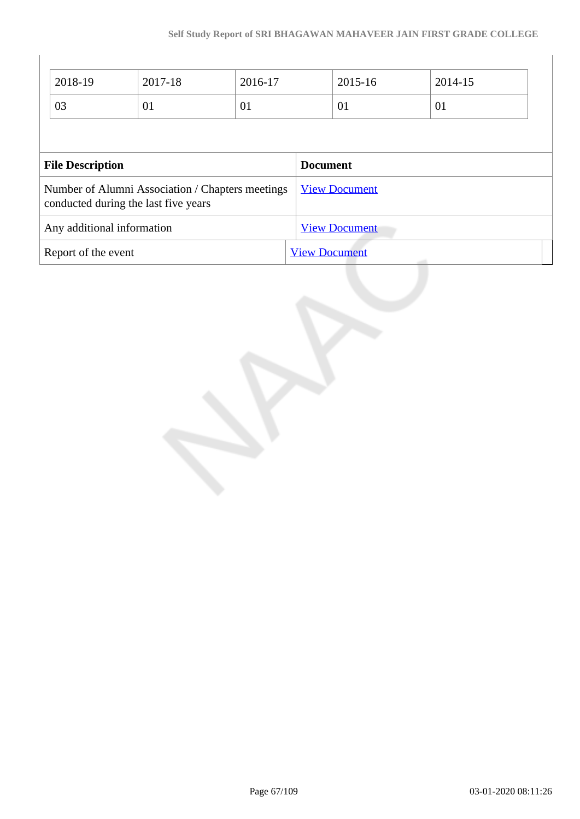| 2018-19                                                                                  | 2017-18 | 2016-17 |                      | 2015-16              | 2014-15 |  |
|------------------------------------------------------------------------------------------|---------|---------|----------------------|----------------------|---------|--|
| 03                                                                                       | 01      | 01      |                      | 01                   | 01      |  |
|                                                                                          |         |         |                      |                      |         |  |
| <b>File Description</b>                                                                  |         |         | <b>Document</b>      |                      |         |  |
| Number of Alumni Association / Chapters meetings<br>conducted during the last five years |         |         |                      | <b>View Document</b> |         |  |
| Any additional information                                                               |         |         |                      | <b>View Document</b> |         |  |
| Report of the event                                                                      |         |         | <b>View Document</b> |                      |         |  |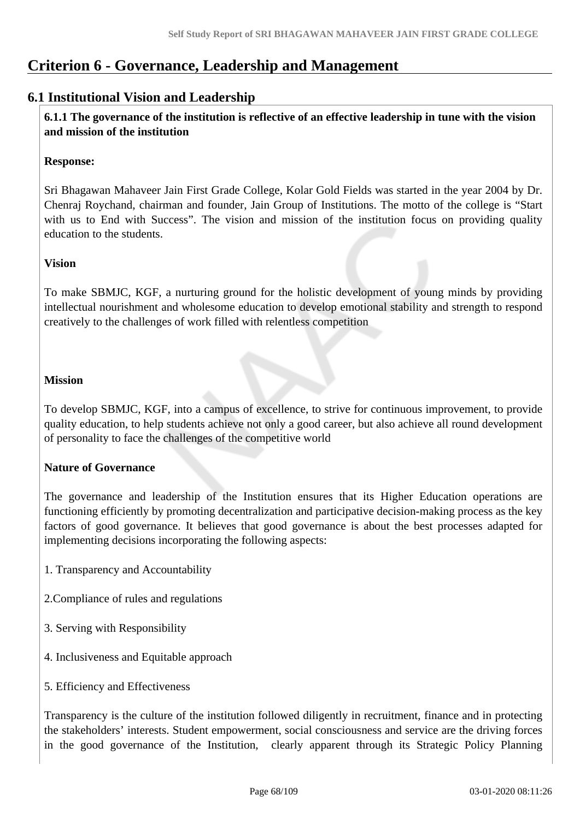# **Criterion 6 - Governance, Leadership and Management**

# **6.1 Institutional Vision and Leadership**

 **6.1.1 The governance of the institution is reflective of an effective leadership in tune with the vision and mission of the institution**

# **Response:**

Sri Bhagawan Mahaveer Jain First Grade College, Kolar Gold Fields was started in the year 2004 by Dr. Chenraj Roychand, chairman and founder, Jain Group of Institutions. The motto of the college is "Start with us to End with Success". The vision and mission of the institution focus on providing quality education to the students.

# **Vision**

To make SBMJC, KGF, a nurturing ground for the holistic development of young minds by providing intellectual nourishment and wholesome education to develop emotional stability and strength to respond creatively to the challenges of work filled with relentless competition

# **Mission**

To develop SBMJC, KGF, into a campus of excellence, to strive for continuous improvement, to provide quality education, to help students achieve not only a good career, but also achieve all round development of personality to face the challenges of the competitive world

# **Nature of Governance**

The governance and leadership of the Institution ensures that its Higher Education operations are functioning efficiently by promoting decentralization and participative decision-making process as the key factors of good governance. It believes that good governance is about the best processes adapted for implementing decisions incorporating the following aspects:

- 1. Transparency and Accountability
- 2.Compliance of rules and regulations
- 3. Serving with Responsibility
- 4. Inclusiveness and Equitable approach
- 5. Efficiency and Effectiveness

Transparency is the culture of the institution followed diligently in recruitment, finance and in protecting the stakeholders' interests. Student empowerment, social consciousness and service are the driving forces in the good governance of the Institution, clearly apparent through its Strategic Policy Planning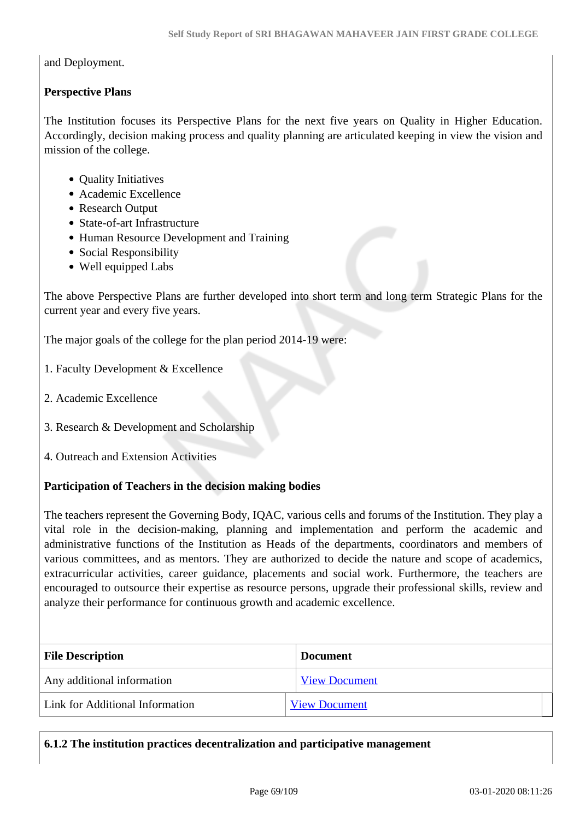and Deployment.

# **Perspective Plans**

The Institution focuses its Perspective Plans for the next five years on Quality in Higher Education. Accordingly, decision making process and quality planning are articulated keeping in view the vision and mission of the college.

- Quality Initiatives
- Academic Excellence
- Research Output
- State-of-art Infrastructure
- Human Resource Development and Training
- Social Responsibility
- Well equipped Labs

The above Perspective Plans are further developed into short term and long term Strategic Plans for the current year and every five years.

The major goals of the college for the plan period 2014-19 were:

1. Faculty Development & Excellence

- 2. Academic Excellence
- 3. Research & Development and Scholarship
- 4. Outreach and Extension Activities

# **Participation of Teachers in the decision making bodies**

The teachers represent the Governing Body, IQAC, various cells and forums of the Institution. They play a vital role in the decision-making, planning and implementation and perform the academic and administrative functions of the Institution as Heads of the departments, coordinators and members of various committees, and as mentors. They are authorized to decide the nature and scope of academics, extracurricular activities, career guidance, placements and social work. Furthermore, the teachers are encouraged to outsource their expertise as resource persons, upgrade their professional skills, review and analyze their performance for continuous growth and academic excellence.

| <b>File Description</b>         | <b>Document</b>      |
|---------------------------------|----------------------|
| Any additional information      | <b>View Document</b> |
| Link for Additional Information | <b>View Document</b> |

# **6.1.2 The institution practices decentralization and participative management**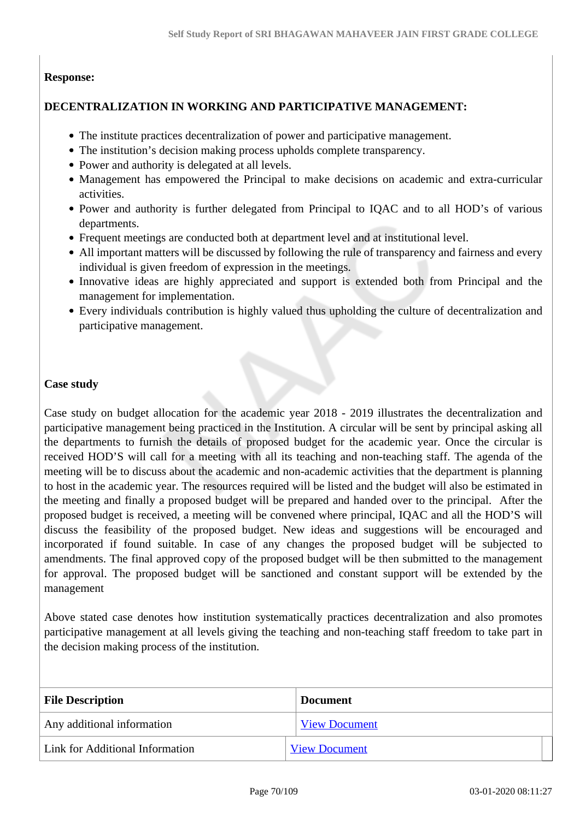# **Response:**

# **DECENTRALIZATION IN WORKING AND PARTICIPATIVE MANAGEMENT:**

- The institute practices decentralization of power and participative management.
- The institution's decision making process upholds complete transparency.
- Power and authority is delegated at all levels.
- Management has empowered the Principal to make decisions on academic and extra-curricular activities.
- Power and authority is further delegated from Principal to IQAC and to all HOD's of various departments.
- Frequent meetings are conducted both at department level and at institutional level.
- All important matters will be discussed by following the rule of transparency and fairness and every individual is given freedom of expression in the meetings.
- Innovative ideas are highly appreciated and support is extended both from Principal and the management for implementation.
- Every individuals contribution is highly valued thus upholding the culture of decentralization and participative management.

# **Case study**

Case study on budget allocation for the academic year 2018 - 2019 illustrates the decentralization and participative management being practiced in the Institution. A circular will be sent by principal asking all the departments to furnish the details of proposed budget for the academic year. Once the circular is received HOD'S will call for a meeting with all its teaching and non-teaching staff. The agenda of the meeting will be to discuss about the academic and non-academic activities that the department is planning to host in the academic year. The resources required will be listed and the budget will also be estimated in the meeting and finally a proposed budget will be prepared and handed over to the principal. After the proposed budget is received, a meeting will be convened where principal, IQAC and all the HOD'S will discuss the feasibility of the proposed budget. New ideas and suggestions will be encouraged and incorporated if found suitable. In case of any changes the proposed budget will be subjected to amendments. The final approved copy of the proposed budget will be then submitted to the management for approval. The proposed budget will be sanctioned and constant support will be extended by the management

Above stated case denotes how institution systematically practices decentralization and also promotes participative management at all levels giving the teaching and non-teaching staff freedom to take part in the decision making process of the institution.

| <b>File Description</b>         | <b>Document</b>      |
|---------------------------------|----------------------|
| Any additional information      | <b>View Document</b> |
| Link for Additional Information | <b>View Document</b> |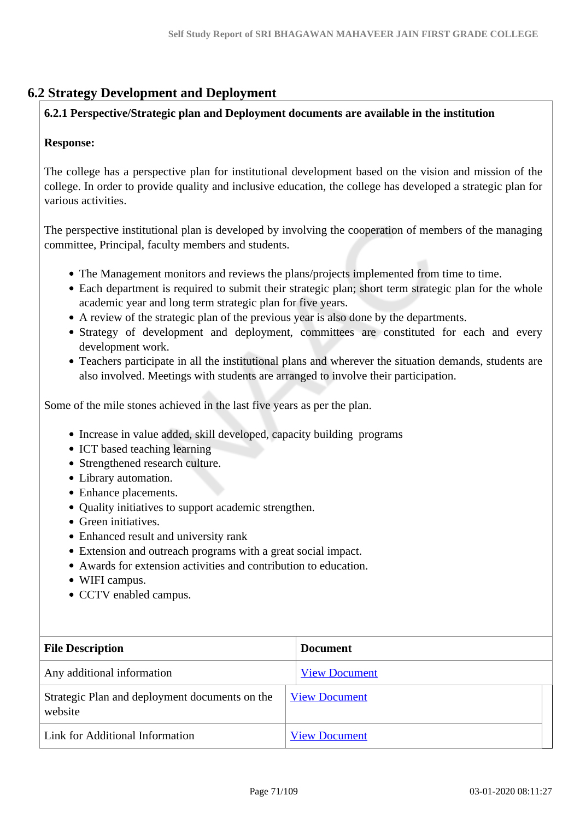# **6.2 Strategy Development and Deployment**

# **6.2.1 Perspective/Strategic plan and Deployment documents are available in the institution**

### **Response:**

The college has a perspective plan for institutional development based on the vision and mission of the college. In order to provide quality and inclusive education, the college has developed a strategic plan for various activities.

The perspective institutional plan is developed by involving the cooperation of members of the managing committee, Principal, faculty members and students.

- The Management monitors and reviews the plans/projects implemented from time to time.
- Each department is required to submit their strategic plan; short term strategic plan for the whole academic year and long term strategic plan for five years.
- A review of the strategic plan of the previous year is also done by the departments.
- Strategy of development and deployment, committees are constituted for each and every development work.
- Teachers participate in all the institutional plans and wherever the situation demands, students are also involved. Meetings with students are arranged to involve their participation.

Some of the mile stones achieved in the last five years as per the plan.

- Increase in value added, skill developed, capacity building programs
- ICT based teaching learning
- Strengthened research culture.
- Library automation.
- Enhance placements.
- Quality initiatives to support academic strengthen.
- Green initiatives.
- Enhanced result and university rank
- Extension and outreach programs with a great social impact.
- Awards for extension activities and contribution to education.
- WIFI campus.
- CCTV enabled campus.

| <b>File Description</b>                                   | <b>Document</b>      |
|-----------------------------------------------------------|----------------------|
| Any additional information                                | <b>View Document</b> |
| Strategic Plan and deployment documents on the<br>website | <b>View Document</b> |
| Link for Additional Information                           | <b>View Document</b> |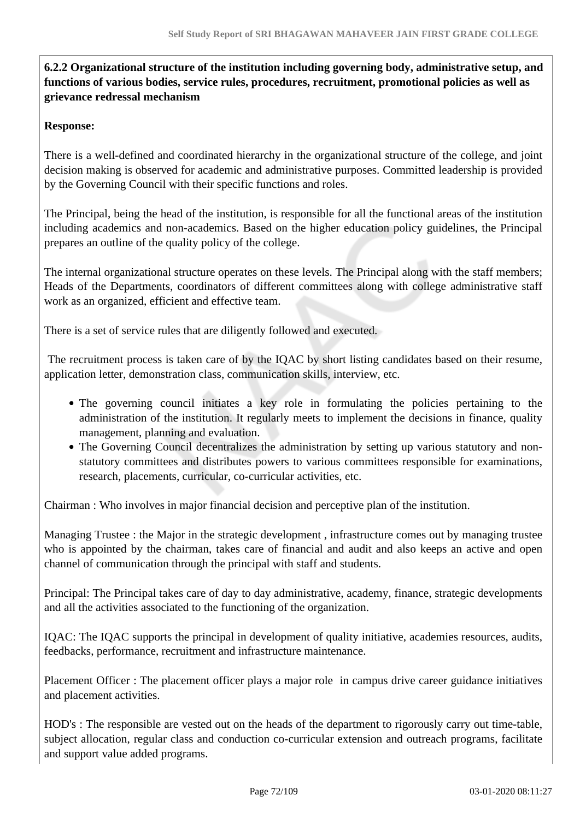**6.2.2 Organizational structure of the institution including governing body, administrative setup, and functions of various bodies, service rules, procedures, recruitment, promotional policies as well as grievance redressal mechanism**

# **Response:**

There is a well-defined and coordinated hierarchy in the organizational structure of the college, and joint decision making is observed for academic and administrative purposes. Committed leadership is provided by the Governing Council with their specific functions and roles.

The Principal, being the head of the institution, is responsible for all the functional areas of the institution including academics and non-academics. Based on the higher education policy guidelines, the Principal prepares an outline of the quality policy of the college.

The internal organizational structure operates on these levels. The Principal along with the staff members; Heads of the Departments, coordinators of different committees along with college administrative staff work as an organized, efficient and effective team.

There is a set of service rules that are diligently followed and executed.

 The recruitment process is taken care of by the IQAC by short listing candidates based on their resume, application letter, demonstration class, communication skills, interview, etc.

- The governing council initiates a key role in formulating the policies pertaining to the administration of the institution. It regularly meets to implement the decisions in finance, quality management, planning and evaluation.
- The Governing Council decentralizes the administration by setting up various statutory and nonstatutory committees and distributes powers to various committees responsible for examinations, research, placements, curricular, co-curricular activities, etc.

Chairman : Who involves in major financial decision and perceptive plan of the institution.

Managing Trustee : the Major in the strategic development , infrastructure comes out by managing trustee who is appointed by the chairman, takes care of financial and audit and also keeps an active and open channel of communication through the principal with staff and students.

Principal: The Principal takes care of day to day administrative, academy, finance, strategic developments and all the activities associated to the functioning of the organization.

IQAC: The IQAC supports the principal in development of quality initiative, academies resources, audits, feedbacks, performance, recruitment and infrastructure maintenance.

Placement Officer : The placement officer plays a major role in campus drive career guidance initiatives and placement activities.

HOD's : The responsible are vested out on the heads of the department to rigorously carry out time-table, subject allocation, regular class and conduction co-curricular extension and outreach programs, facilitate and support value added programs.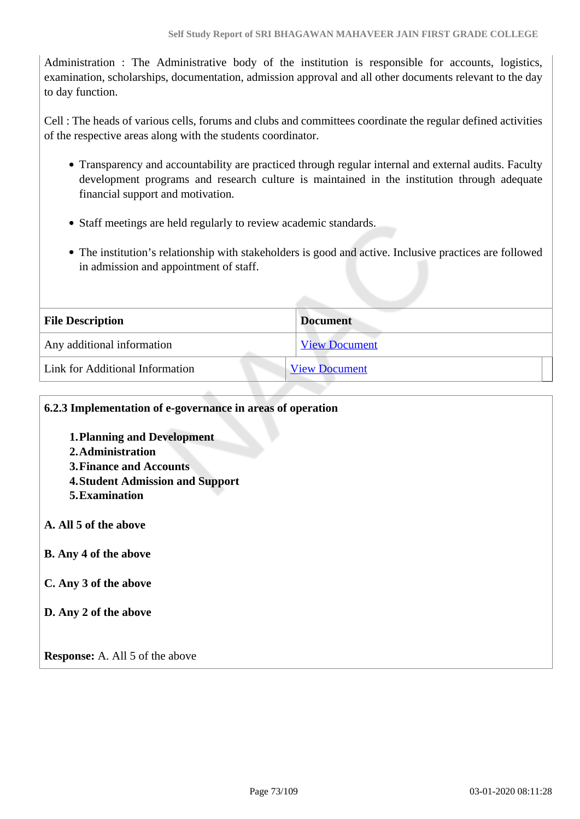Administration : The Administrative body of the institution is responsible for accounts, logistics, examination, scholarships, documentation, admission approval and all other documents relevant to the day to day function.

Cell : The heads of various cells, forums and clubs and committees coordinate the regular defined activities of the respective areas along with the students coordinator.

- Transparency and accountability are practiced through regular internal and external audits. Faculty development programs and research culture is maintained in the institution through adequate financial support and motivation.
- Staff meetings are held regularly to review academic standards.
- The institution's relationship with stakeholders is good and active. Inclusive practices are followed in admission and appointment of staff.

| <b>File Description</b>         | <b>Document</b>      |
|---------------------------------|----------------------|
| Any additional information      | <b>View Document</b> |
| Link for Additional Information | <b>View Document</b> |

| 6.2.3 Implementation of e-governance in areas of operation                                                                                             |
|--------------------------------------------------------------------------------------------------------------------------------------------------------|
| <b>1. Planning and Development</b><br>2. Administration<br><b>3. Finance and Accounts</b><br><b>4. Student Admission and Support</b><br>5. Examination |
| A. All 5 of the above                                                                                                                                  |
| <b>B.</b> Any 4 of the above                                                                                                                           |
| C. Any 3 of the above                                                                                                                                  |
| D. Any 2 of the above                                                                                                                                  |
| <b>Response:</b> A. All 5 of the above                                                                                                                 |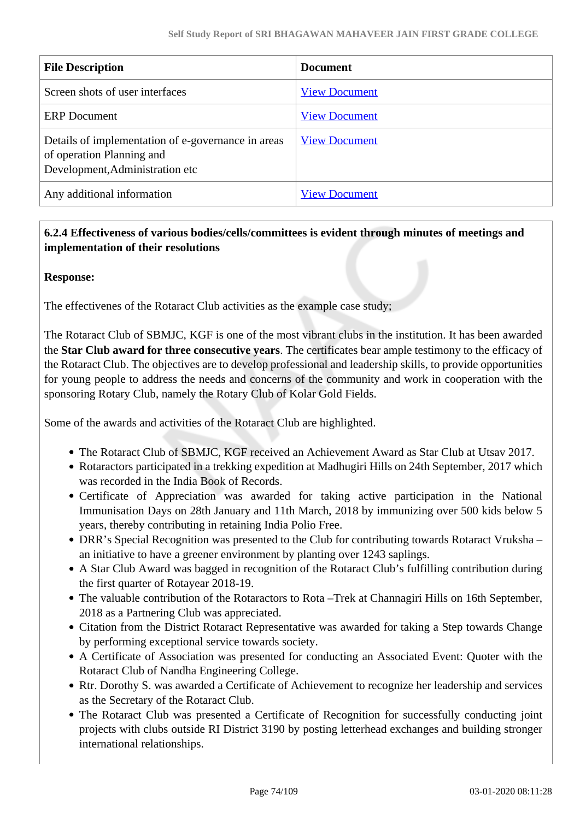| <b>File Description</b>                                                                                            | <b>Document</b>      |
|--------------------------------------------------------------------------------------------------------------------|----------------------|
| Screen shots of user interfaces                                                                                    | <b>View Document</b> |
| <b>ERP</b> Document                                                                                                | <b>View Document</b> |
| Details of implementation of e-governance in areas<br>of operation Planning and<br>Development, Administration etc | <b>View Document</b> |
| Any additional information                                                                                         | <b>View Document</b> |

## **6.2.4 Effectiveness of various bodies/cells/committees is evident through minutes of meetings and implementation of their resolutions**

## **Response:**

The effectivenes of the Rotaract Club activities as the example case study;

The Rotaract Club of SBMJC, KGF is one of the most vibrant clubs in the institution. It has been awarded the **Star Club award for three consecutive years**. The certificates bear ample testimony to the efficacy of the Rotaract Club. The objectives are to develop professional and leadership skills, to provide opportunities for young people to address the needs and concerns of the community and work in cooperation with the sponsoring Rotary Club, namely the Rotary Club of Kolar Gold Fields.

Some of the awards and activities of the Rotaract Club are highlighted.

- The Rotaract Club of SBMJC, KGF received an Achievement Award as Star Club at Utsav 2017.
- Rotaractors participated in a trekking expedition at Madhugiri Hills on 24th September, 2017 which was recorded in the India Book of Records.
- Certificate of Appreciation was awarded for taking active participation in the National Immunisation Days on 28th January and 11th March, 2018 by immunizing over 500 kids below 5 years, thereby contributing in retaining India Polio Free.
- DRR's Special Recognition was presented to the Club for contributing towards Rotaract Vruksha an initiative to have a greener environment by planting over 1243 saplings.
- A Star Club Award was bagged in recognition of the Rotaract Club's fulfilling contribution during the first quarter of Rotayear 2018-19.
- The valuable contribution of the Rotaractors to Rota –Trek at Channagiri Hills on 16th September, 2018 as a Partnering Club was appreciated.
- Citation from the District Rotaract Representative was awarded for taking a Step towards Change by performing exceptional service towards society.
- A Certificate of Association was presented for conducting an Associated Event: Quoter with the Rotaract Club of Nandha Engineering College.
- Rtr. Dorothy S. was awarded a Certificate of Achievement to recognize her leadership and services as the Secretary of the Rotaract Club.
- The Rotaract Club was presented a Certificate of Recognition for successfully conducting joint projects with clubs outside RI District 3190 by posting letterhead exchanges and building stronger international relationships.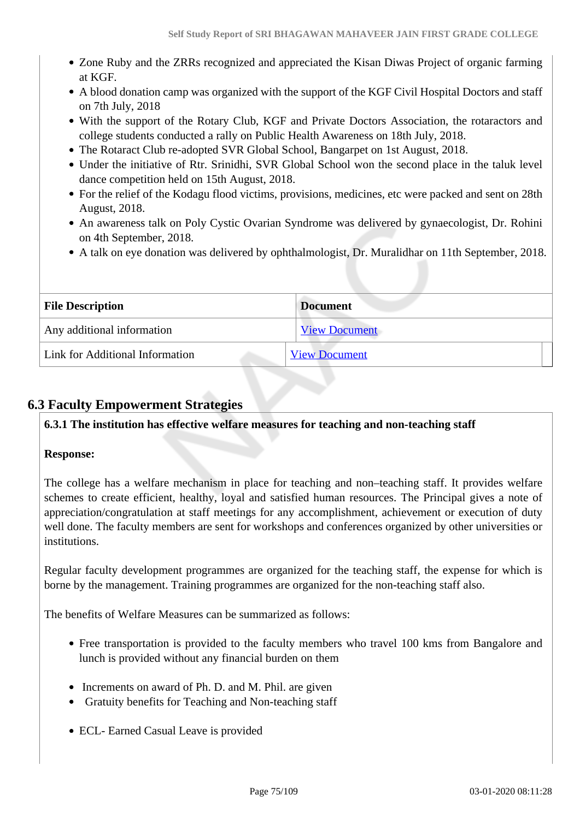- Zone Ruby and the ZRRs recognized and appreciated the Kisan Diwas Project of organic farming at KGF.
- A blood donation camp was organized with the support of the KGF Civil Hospital Doctors and staff on 7th July, 2018
- With the support of the Rotary Club, KGF and Private Doctors Association, the rotaractors and college students conducted a rally on Public Health Awareness on 18th July, 2018.
- The Rotaract Club re-adopted SVR Global School, Bangarpet on 1st August, 2018.
- Under the initiative of Rtr. Srinidhi, SVR Global School won the second place in the taluk level dance competition held on 15th August, 2018.
- For the relief of the Kodagu flood victims, provisions, medicines, etc were packed and sent on 28th August, 2018.
- An awareness talk on Poly Cystic Ovarian Syndrome was delivered by gynaecologist, Dr. Rohini on 4th September, 2018.
- A talk on eye donation was delivered by ophthalmologist, Dr. Muralidhar on 11th September, 2018.

| <b>File Description</b>         | <b>Document</b>      |  |
|---------------------------------|----------------------|--|
| Any additional information      | <b>View Document</b> |  |
| Link for Additional Information | <b>View Document</b> |  |

## **6.3 Faculty Empowerment Strategies**

## **6.3.1 The institution has effective welfare measures for teaching and non-teaching staff**

#### **Response:**

The college has a welfare mechanism in place for teaching and non–teaching staff. It provides welfare schemes to create efficient, healthy, loyal and satisfied human resources. The Principal gives a note of appreciation/congratulation at staff meetings for any accomplishment, achievement or execution of duty well done. The faculty members are sent for workshops and conferences organized by other universities or institutions.

Regular faculty development programmes are organized for the teaching staff, the expense for which is borne by the management. Training programmes are organized for the non-teaching staff also.

The benefits of Welfare Measures can be summarized as follows:

- Free transportation is provided to the faculty members who travel 100 kms from Bangalore and lunch is provided without any financial burden on them
- Increments on award of Ph. D. and M. Phil. are given
- Gratuity benefits for Teaching and Non-teaching staff
- ECL- Earned Casual Leave is provided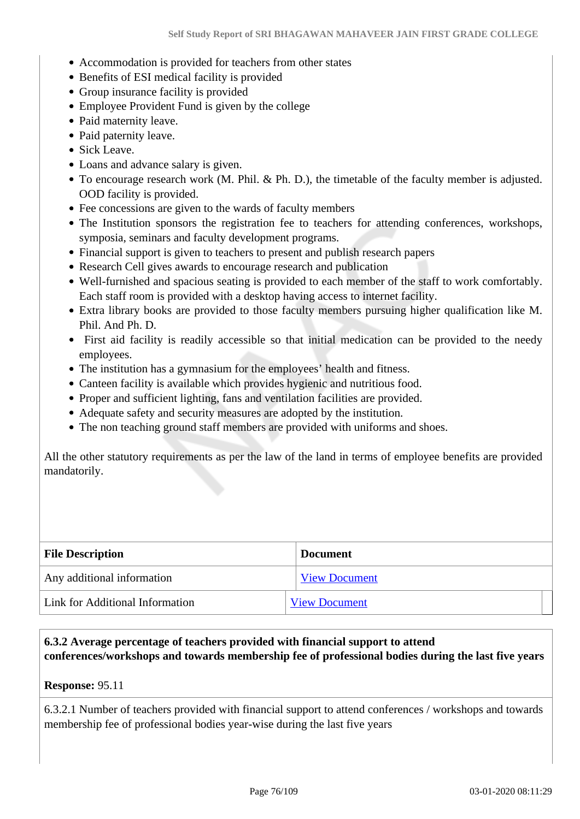- Accommodation is provided for teachers from other states
- Benefits of ESI medical facility is provided
- Group insurance facility is provided
- Employee Provident Fund is given by the college
- Paid maternity leave.
- Paid paternity leave.
- Sick Leave.
- Loans and advance salary is given.
- To encourage research work (M. Phil. & Ph. D.), the timetable of the faculty member is adjusted. OOD facility is provided.
- Fee concessions are given to the wards of faculty members
- The Institution sponsors the registration fee to teachers for attending conferences, workshops, symposia, seminars and faculty development programs.
- Financial support is given to teachers to present and publish research papers
- Research Cell gives awards to encourage research and publication
- Well-furnished and spacious seating is provided to each member of the staff to work comfortably. Each staff room is provided with a desktop having access to internet facility.
- Extra library books are provided to those faculty members pursuing higher qualification like M. Phil. And Ph. D.
- First aid facility is readily accessible so that initial medication can be provided to the needy employees.
- The institution has a gymnasium for the employees' health and fitness.
- Canteen facility is available which provides hygienic and nutritious food.
- Proper and sufficient lighting, fans and ventilation facilities are provided.
- Adequate safety and security measures are adopted by the institution.
- The non teaching ground staff members are provided with uniforms and shoes.

All the other statutory requirements as per the law of the land in terms of employee benefits are provided mandatorily.

| <b>File Description</b>         | <b>Document</b>      |  |
|---------------------------------|----------------------|--|
| Any additional information      | <b>View Document</b> |  |
| Link for Additional Information | <b>View Document</b> |  |

## **6.3.2 Average percentage of teachers provided with financial support to attend conferences/workshops and towards membership fee of professional bodies during the last five years**

**Response:** 95.11

6.3.2.1 Number of teachers provided with financial support to attend conferences / workshops and towards membership fee of professional bodies year-wise during the last five years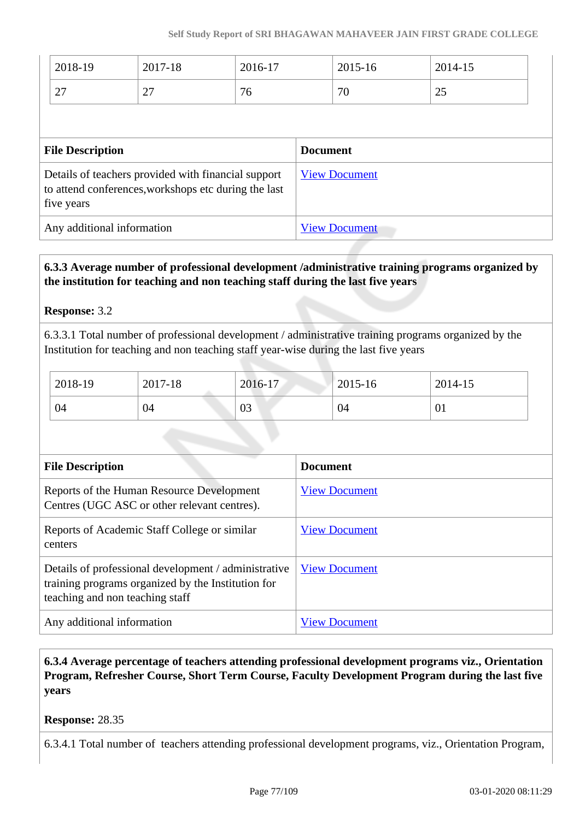| 2018-19<br>27                                                                                                             | 2017-18<br>27 | 2016-17<br>76 |                 | 2015-16<br>70        | 2014-15<br>25 |
|---------------------------------------------------------------------------------------------------------------------------|---------------|---------------|-----------------|----------------------|---------------|
| <b>File Description</b>                                                                                                   |               |               | <b>Document</b> |                      |               |
| Details of teachers provided with financial support<br>to attend conferences, workshops etc during the last<br>five years |               |               |                 | <b>View Document</b> |               |
| Any additional information                                                                                                |               |               |                 | <b>View Document</b> |               |

## **6.3.3 Average number of professional development /administrative training programs organized by the institution for teaching and non teaching staff during the last five years**

## **Response:** 3.2

6.3.3.1 Total number of professional development / administrative training programs organized by the Institution for teaching and non teaching staff year-wise during the last five years

| 2018-19 | 2017-18 | 2016-17 | 2015-16 | 2014-15 |
|---------|---------|---------|---------|---------|
| 04      | 04      | 03      | 04      | -01     |

| <b>File Description</b>                                                                                                                       | <b>Document</b>      |
|-----------------------------------------------------------------------------------------------------------------------------------------------|----------------------|
| Reports of the Human Resource Development<br>Centres (UGC ASC or other relevant centres).                                                     | <b>View Document</b> |
| Reports of Academic Staff College or similar<br>centers                                                                                       | <b>View Document</b> |
| Details of professional development / administrative<br>training programs organized by the Institution for<br>teaching and non teaching staff | <b>View Document</b> |
| Any additional information                                                                                                                    | <b>View Document</b> |

 **6.3.4 Average percentage of teachers attending professional development programs viz., Orientation Program, Refresher Course, Short Term Course, Faculty Development Program during the last five years**

**Response:** 28.35

6.3.4.1 Total number of teachers attending professional development programs, viz., Orientation Program,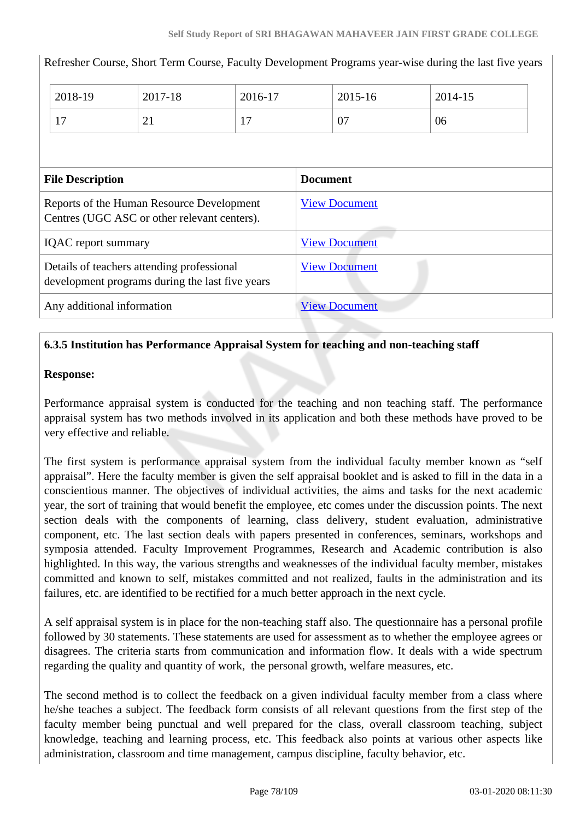|                                                                                               | 2018-19 | 2017-18              | 2016-17              |                      | 2015-16 | 2014-15 |  |
|-----------------------------------------------------------------------------------------------|---------|----------------------|----------------------|----------------------|---------|---------|--|
|                                                                                               | 17      | 21                   | 17                   |                      | 07      | 06      |  |
|                                                                                               |         |                      |                      |                      |         |         |  |
| <b>File Description</b>                                                                       |         |                      |                      | <b>Document</b>      |         |         |  |
| Reports of the Human Resource Development<br>Centres (UGC ASC or other relevant centers).     |         | <b>View Document</b> |                      |                      |         |         |  |
| <b>IQAC</b> report summary                                                                    |         |                      | <b>View Document</b> |                      |         |         |  |
| Details of teachers attending professional<br>development programs during the last five years |         | <b>View Document</b> |                      |                      |         |         |  |
| Any additional information                                                                    |         |                      |                      | <b>View Document</b> |         |         |  |

## Refresher Course, Short Term Course, Faculty Development Programs year-wise during the last five years

## **6.3.5 Institution has Performance Appraisal System for teaching and non-teaching staff**

## **Response:**

Performance appraisal system is conducted for the teaching and non teaching staff. The performance appraisal system has two methods involved in its application and both these methods have proved to be very effective and reliable.

The first system is performance appraisal system from the individual faculty member known as "self appraisal". Here the faculty member is given the self appraisal booklet and is asked to fill in the data in a conscientious manner. The objectives of individual activities, the aims and tasks for the next academic year, the sort of training that would benefit the employee, etc comes under the discussion points. The next section deals with the components of learning, class delivery, student evaluation, administrative component, etc. The last section deals with papers presented in conferences, seminars, workshops and symposia attended. Faculty Improvement Programmes, Research and Academic contribution is also highlighted. In this way, the various strengths and weaknesses of the individual faculty member, mistakes committed and known to self, mistakes committed and not realized, faults in the administration and its failures, etc. are identified to be rectified for a much better approach in the next cycle.

A self appraisal system is in place for the non-teaching staff also. The questionnaire has a personal profile followed by 30 statements. These statements are used for assessment as to whether the employee agrees or disagrees. The criteria starts from communication and information flow. It deals with a wide spectrum regarding the quality and quantity of work, the personal growth, welfare measures, etc.

The second method is to collect the feedback on a given individual faculty member from a class where he/she teaches a subject. The feedback form consists of all relevant questions from the first step of the faculty member being punctual and well prepared for the class, overall classroom teaching, subject knowledge, teaching and learning process, etc. This feedback also points at various other aspects like administration, classroom and time management, campus discipline, faculty behavior, etc.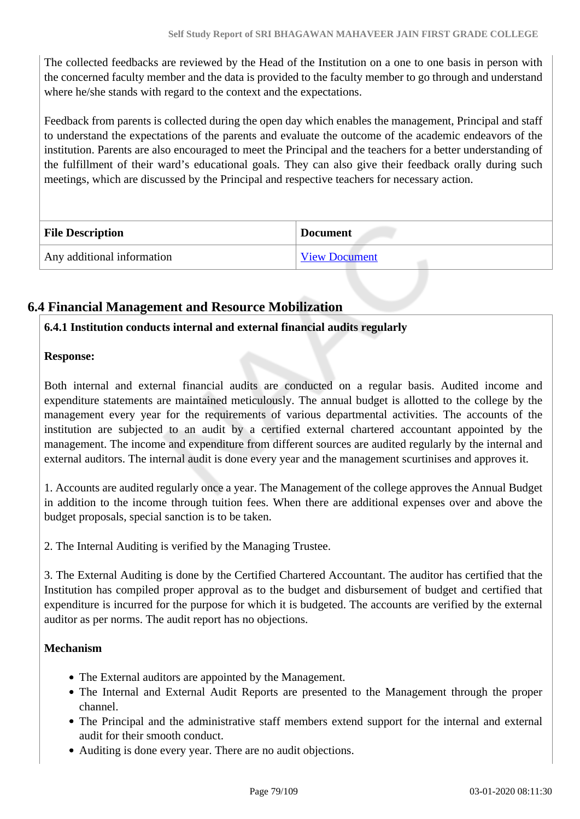The collected feedbacks are reviewed by the Head of the Institution on a one to one basis in person with the concerned faculty member and the data is provided to the faculty member to go through and understand where he/she stands with regard to the context and the expectations.

Feedback from parents is collected during the open day which enables the management, Principal and staff to understand the expectations of the parents and evaluate the outcome of the academic endeavors of the institution. Parents are also encouraged to meet the Principal and the teachers for a better understanding of the fulfillment of their ward's educational goals. They can also give their feedback orally during such meetings, which are discussed by the Principal and respective teachers for necessary action.

| <b>File Description</b>    | <b>Document</b> |
|----------------------------|-----------------|
| Any additional information | View Document   |

## **6.4 Financial Management and Resource Mobilization**

## **6.4.1 Institution conducts internal and external financial audits regularly**

#### **Response:**

Both internal and external financial audits are conducted on a regular basis. Audited income and expenditure statements are maintained meticulously. The annual budget is allotted to the college by the management every year for the requirements of various departmental activities. The accounts of the institution are subjected to an audit by a certified external chartered accountant appointed by the management. The income and expenditure from different sources are audited regularly by the internal and external auditors. The internal audit is done every year and the management scurtinises and approves it.

1. Accounts are audited regularly once a year. The Management of the college approves the Annual Budget in addition to the income through tuition fees. When there are additional expenses over and above the budget proposals, special sanction is to be taken.

2. The Internal Auditing is verified by the Managing Trustee.

3. The External Auditing is done by the Certified Chartered Accountant. The auditor has certified that the Institution has compiled proper approval as to the budget and disbursement of budget and certified that expenditure is incurred for the purpose for which it is budgeted. The accounts are verified by the external auditor as per norms. The audit report has no objections.

## **Mechanism**

- The External auditors are appointed by the Management.
- The Internal and External Audit Reports are presented to the Management through the proper channel.
- The Principal and the administrative staff members extend support for the internal and external audit for their smooth conduct.
- Auditing is done every year. There are no audit objections.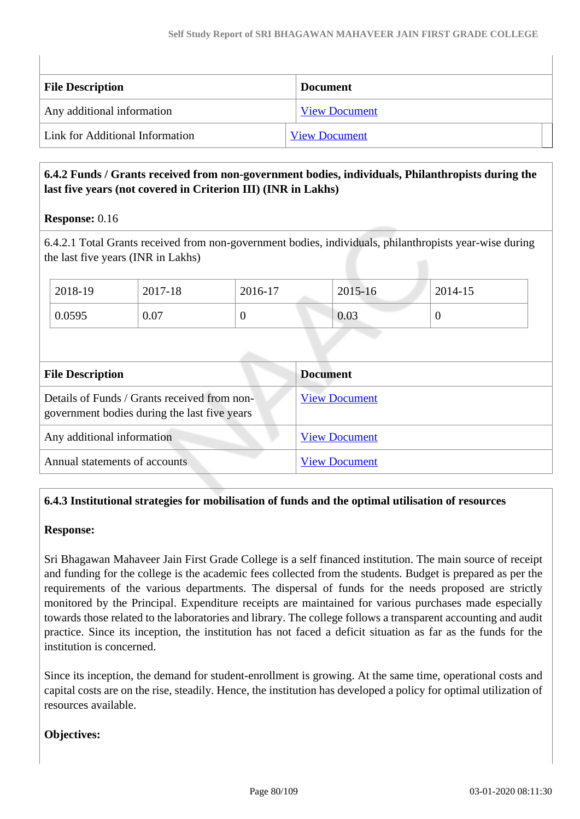| <b>File Description</b>         | <b>Document</b>      |  |
|---------------------------------|----------------------|--|
| Any additional information      | <b>View Document</b> |  |
| Link for Additional Information | <b>View Document</b> |  |

## **6.4.2 Funds / Grants received from non-government bodies, individuals, Philanthropists during the last five years (not covered in Criterion III) (INR in Lakhs)**

## **Response:** 0.16

6.4.2.1 Total Grants received from non-government bodies, individuals, philanthropists year-wise during the last five years (INR in Lakhs)

| 2018-19 | 2017-18 | 2016-17 | 2015-16 | 2014-15 |
|---------|---------|---------|---------|---------|
| 0.0595  | 0.07    | ν       | 0.03    | ν       |

| <b>File Description</b>                                                                      | <b>Document</b>      |
|----------------------------------------------------------------------------------------------|----------------------|
| Details of Funds / Grants received from non-<br>government bodies during the last five years | <b>View Document</b> |
| Any additional information                                                                   | <b>View Document</b> |
| Annual statements of accounts                                                                | <b>View Document</b> |

## **6.4.3 Institutional strategies for mobilisation of funds and the optimal utilisation of resources**

#### **Response:**

Sri Bhagawan Mahaveer Jain First Grade College is a self financed institution. The main source of receipt and funding for the college is the academic fees collected from the students. Budget is prepared as per the requirements of the various departments. The dispersal of funds for the needs proposed are strictly monitored by the Principal. Expenditure receipts are maintained for various purchases made especially towards those related to the laboratories and library. The college follows a transparent accounting and audit practice. Since its inception, the institution has not faced a deficit situation as far as the funds for the institution is concerned.

Since its inception, the demand for student-enrollment is growing. At the same time, operational costs and capital costs are on the rise, steadily. Hence, the institution has developed a policy for optimal utilization of resources available.

## **Objectives:**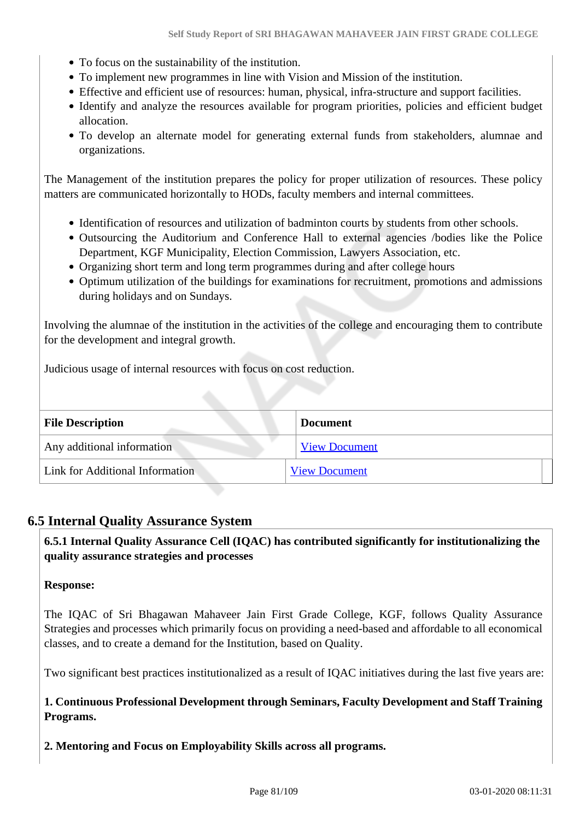- To focus on the sustainability of the institution.
- To implement new programmes in line with Vision and Mission of the institution.
- Effective and efficient use of resources: human, physical, infra-structure and support facilities.
- Identify and analyze the resources available for program priorities, policies and efficient budget allocation.
- To develop an alternate model for generating external funds from stakeholders, alumnae and organizations.

The Management of the institution prepares the policy for proper utilization of resources. These policy matters are communicated horizontally to HODs, faculty members and internal committees.

- Identification of resources and utilization of badminton courts by students from other schools.
- Outsourcing the Auditorium and Conference Hall to external agencies /bodies like the Police Department, KGF Municipality, Election Commission, Lawyers Association, etc.
- Organizing short term and long term programmes during and after college hours
- Optimum utilization of the buildings for examinations for recruitment, promotions and admissions during holidays and on Sundays.

Involving the alumnae of the institution in the activities of the college and encouraging them to contribute for the development and integral growth.

Judicious usage of internal resources with focus on cost reduction.

| <b>File Description</b>         | <b>Document</b>      |
|---------------------------------|----------------------|
| Any additional information      | <b>View Document</b> |
| Link for Additional Information | <b>View Document</b> |

## **6.5 Internal Quality Assurance System**

 **6.5.1 Internal Quality Assurance Cell (IQAC) has contributed significantly for institutionalizing the quality assurance strategies and processes**

#### **Response:**

The IQAC of Sri Bhagawan Mahaveer Jain First Grade College, KGF, follows Quality Assurance Strategies and processes which primarily focus on providing a need-based and affordable to all economical classes, and to create a demand for the Institution, based on Quality.

Two significant best practices institutionalized as a result of IQAC initiatives during the last five years are:

**1. Continuous Professional Development through Seminars, Faculty Development and Staff Training Programs.**

**2. Mentoring and Focus on Employability Skills across all programs.**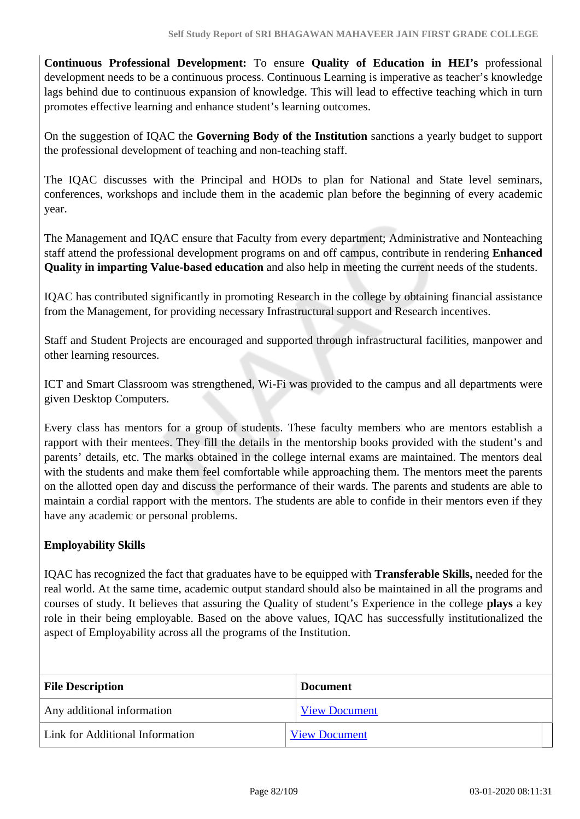**Continuous Professional Development:** To ensure **Quality of Education in HEI's** professional development needs to be a continuous process. Continuous Learning is imperative as teacher's knowledge lags behind due to continuous expansion of knowledge. This will lead to effective teaching which in turn promotes effective learning and enhance student's learning outcomes.

On the suggestion of IQAC the **Governing Body of the Institution** sanctions a yearly budget to support the professional development of teaching and non-teaching staff.

The IQAC discusses with the Principal and HODs to plan for National and State level seminars, conferences, workshops and include them in the academic plan before the beginning of every academic year.

The Management and IQAC ensure that Faculty from every department; Administrative and Nonteaching staff attend the professional development programs on and off campus, contribute in rendering **Enhanced Quality in imparting Value-based education** and also help in meeting the current needs of the students.

IQAC has contributed significantly in promoting Research in the college by obtaining financial assistance from the Management, for providing necessary Infrastructural support and Research incentives.

Staff and Student Projects are encouraged and supported through infrastructural facilities, manpower and other learning resources.

ICT and Smart Classroom was strengthened, Wi-Fi was provided to the campus and all departments were given Desktop Computers.

Every class has mentors for a group of students. These faculty members who are mentors establish a rapport with their mentees. They fill the details in the mentorship books provided with the student's and parents' details, etc. The marks obtained in the college internal exams are maintained. The mentors deal with the students and make them feel comfortable while approaching them. The mentors meet the parents on the allotted open day and discuss the performance of their wards. The parents and students are able to maintain a cordial rapport with the mentors. The students are able to confide in their mentors even if they have any academic or personal problems.

## **Employability Skills**

IQAC has recognized the fact that graduates have to be equipped with **Transferable Skills,** needed for the real world. At the same time, academic output standard should also be maintained in all the programs and courses of study. It believes that assuring the Quality of student's Experience in the college **plays** a key role in their being employable. Based on the above values, IQAC has successfully institutionalized the aspect of Employability across all the programs of the Institution.

| <b>File Description</b>         | <b>Document</b>      |
|---------------------------------|----------------------|
| Any additional information      | <b>View Document</b> |
| Link for Additional Information | <b>View Document</b> |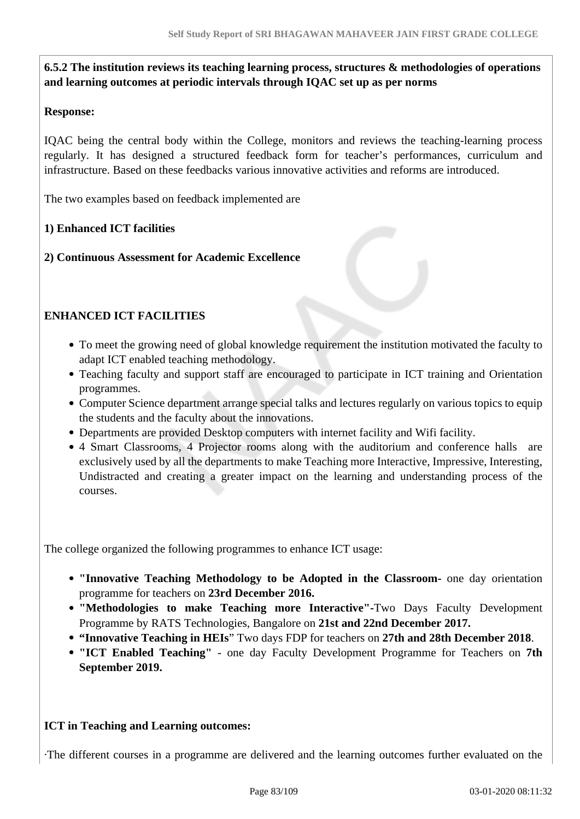**6.5.2 The institution reviews its teaching learning process, structures & methodologies of operations and learning outcomes at periodic intervals through IQAC set up as per norms**

## **Response:**

IQAC being the central body within the College, monitors and reviews the teaching-learning process regularly. It has designed a structured feedback form for teacher's performances, curriculum and infrastructure. Based on these feedbacks various innovative activities and reforms are introduced.

The two examples based on feedback implemented are

## **1) Enhanced ICT facilities**

**2) Continuous Assessment for Academic Excellence**

## **ENHANCED ICT FACILITIES**

- To meet the growing need of global knowledge requirement the institution motivated the faculty to adapt ICT enabled teaching methodology.
- Teaching faculty and support staff are encouraged to participate in ICT training and Orientation programmes.
- Computer Science department arrange special talks and lectures regularly on various topics to equip the students and the faculty about the innovations.
- Departments are provided Desktop computers with internet facility and Wifi facility.
- 4 Smart Classrooms, 4 Projector rooms along with the auditorium and conference halls are exclusively used by all the departments to make Teaching more Interactive, Impressive, Interesting, Undistracted and creating a greater impact on the learning and understanding process of the courses.

The college organized the following programmes to enhance ICT usage:

- **"Innovative Teaching Methodology to be Adopted in the Classroom-** one day orientation programme for teachers on **23rd December 2016.**
- **"Methodologies to make Teaching more Interactive"-**Two Days Faculty Development Programme by RATS Technologies, Bangalore on **21st and 22nd December 2017.**
- **"Innovative Teaching in HEIs**" Two days FDP for teachers on **27th and 28th December 2018**.
- **"ICT Enabled Teaching"**  one day Faculty Development Programme for Teachers on **7th September 2019.**

## **ICT in Teaching and Learning outcomes:**

·The different courses in a programme are delivered and the learning outcomes further evaluated on the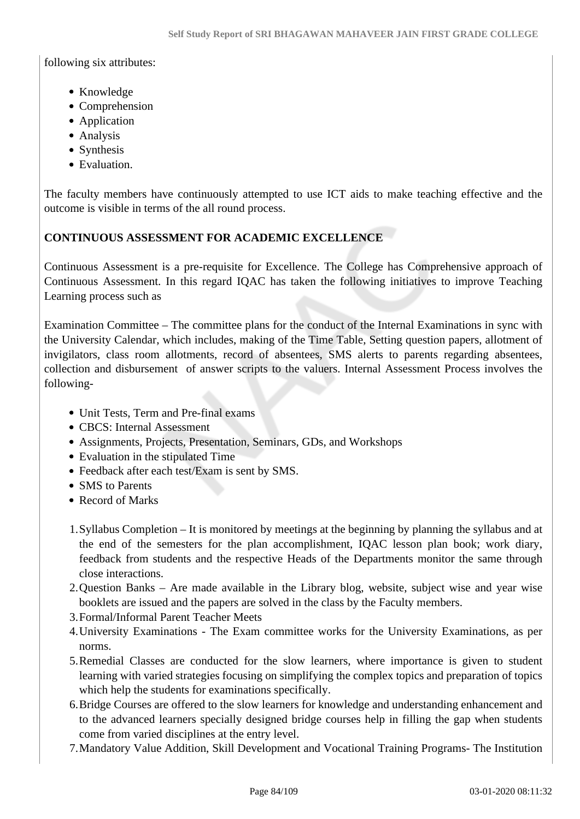following six attributes:

- Knowledge
- Comprehension
- Application
- Analysis
- Synthesis
- Evaluation.

The faculty members have continuously attempted to use ICT aids to make teaching effective and the outcome is visible in terms of the all round process.

## **CONTINUOUS ASSESSMENT FOR ACADEMIC EXCELLENCE**

Continuous Assessment is a pre-requisite for Excellence. The College has Comprehensive approach of Continuous Assessment. In this regard IQAC has taken the following initiatives to improve Teaching Learning process such as

Examination Committee – The committee plans for the conduct of the Internal Examinations in sync with the University Calendar, which includes, making of the Time Table, Setting question papers, allotment of invigilators, class room allotments, record of absentees, SMS alerts to parents regarding absentees, collection and disbursement of answer scripts to the valuers. Internal Assessment Process involves the following-

- Unit Tests, Term and Pre-final exams
- CBCS: Internal Assessment
- Assignments, Projects, Presentation, Seminars, GDs, and Workshops
- Evaluation in the stipulated Time
- Feedback after each test/Exam is sent by SMS.
- SMS to Parents
- Record of Marks
- 1.Syllabus Completion It is monitored by meetings at the beginning by planning the syllabus and at the end of the semesters for the plan accomplishment, IQAC lesson plan book; work diary, feedback from students and the respective Heads of the Departments monitor the same through close interactions.
- 2.Question Banks Are made available in the Library blog, website, subject wise and year wise booklets are issued and the papers are solved in the class by the Faculty members.
- 3.Formal/Informal Parent Teacher Meets
- 4.University Examinations The Exam committee works for the University Examinations, as per norms.
- 5.Remedial Classes are conducted for the slow learners, where importance is given to student learning with varied strategies focusing on simplifying the complex topics and preparation of topics which help the students for examinations specifically.
- 6.Bridge Courses are offered to the slow learners for knowledge and understanding enhancement and to the advanced learners specially designed bridge courses help in filling the gap when students come from varied disciplines at the entry level.
- 7.Mandatory Value Addition, Skill Development and Vocational Training Programs- The Institution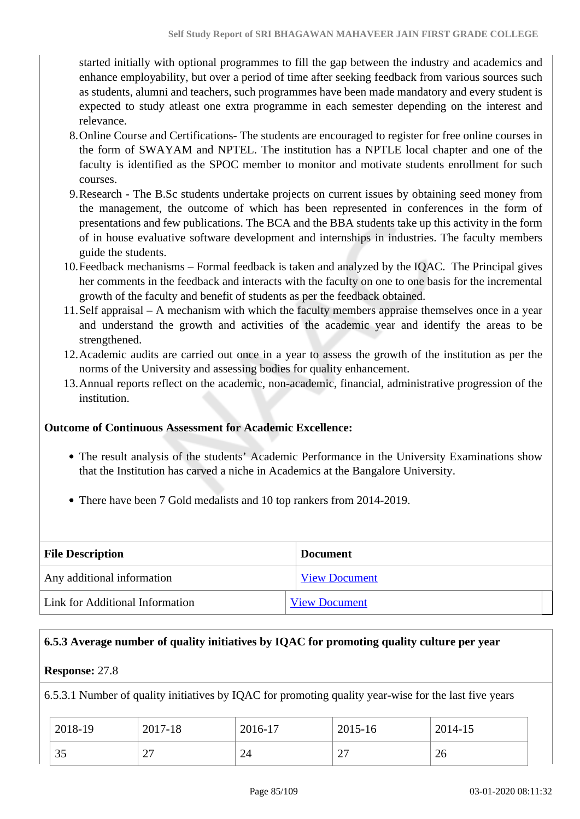started initially with optional programmes to fill the gap between the industry and academics and enhance employability, but over a period of time after seeking feedback from various sources such as students, alumni and teachers, such programmes have been made mandatory and every student is expected to study atleast one extra programme in each semester depending on the interest and relevance.

- 8.Online Course and Certifications- The students are encouraged to register for free online courses in the form of SWAYAM and NPTEL. The institution has a NPTLE local chapter and one of the faculty is identified as the SPOC member to monitor and motivate students enrollment for such courses.
- 9.Research The B.Sc students undertake projects on current issues by obtaining seed money from the management, the outcome of which has been represented in conferences in the form of presentations and few publications. The BCA and the BBA students take up this activity in the form of in house evaluative software development and internships in industries. The faculty members guide the students.
- 10.Feedback mechanisms Formal feedback is taken and analyzed by the IQAC. The Principal gives her comments in the feedback and interacts with the faculty on one to one basis for the incremental growth of the faculty and benefit of students as per the feedback obtained.
- 11.Self appraisal A mechanism with which the faculty members appraise themselves once in a year and understand the growth and activities of the academic year and identify the areas to be strengthened.
- 12.Academic audits are carried out once in a year to assess the growth of the institution as per the norms of the University and assessing bodies for quality enhancement.
- 13.Annual reports reflect on the academic, non-academic, financial, administrative progression of the institution.

## **Outcome of Continuous Assessment for Academic Excellence:**

- The result analysis of the students' Academic Performance in the University Examinations show that the Institution has carved a niche in Academics at the Bangalore University.
- There have been 7 Gold medalists and 10 top rankers from 2014-2019.

| <b>File Description</b>         | <b>Document</b>      |
|---------------------------------|----------------------|
| Any additional information      | <b>View Document</b> |
| Link for Additional Information | <b>View Document</b> |

## **6.5.3 Average number of quality initiatives by IQAC for promoting quality culture per year**

## **Response:** 27.8

6.5.3.1 Number of quality initiatives by IQAC for promoting quality year-wise for the last five years

| 2018-19 | 2017-18                            | 2016-17 | 2015-16    | 2014-15 |
|---------|------------------------------------|---------|------------|---------|
| 35      | $\sim$<br>$\overline{\phantom{a}}$ | 24      | n –<br>ا ک | 26      |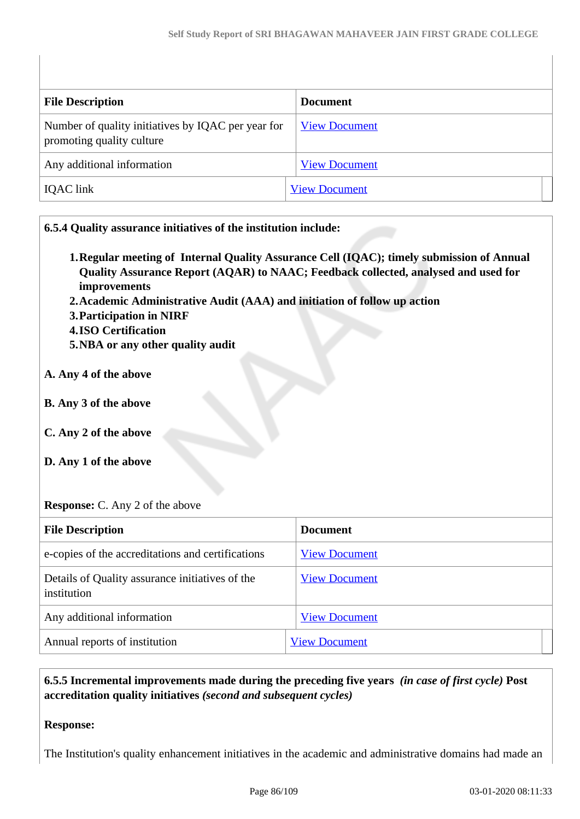| <b>File Description</b>                                                         | <b>Document</b>      |
|---------------------------------------------------------------------------------|----------------------|
| Number of quality initiatives by IQAC per year for<br>promoting quality culture | <b>View Document</b> |
| Any additional information                                                      | <b>View Document</b> |
| <b>IQAC</b> link                                                                | <b>View Document</b> |

**6.5.4 Quality assurance initiatives of the institution include:**

- **1.Regular meeting of Internal Quality Assurance Cell (IQAC); timely submission of Annual Quality Assurance Report (AQAR) to NAAC; Feedback collected, analysed and used for improvements**
- **2.Academic Administrative Audit (AAA) and initiation of follow up action**
- **3.Participation in NIRF**
- **4.ISO Certification**
- **5.NBA or any other quality audit**
- **A. Any 4 of the above**
- **B. Any 3 of the above**
- **C. Any 2 of the above**
- **D. Any 1 of the above**

#### **Response:** C. Any 2 of the above

| <b>File Description</b>                                        | <b>Document</b>      |
|----------------------------------------------------------------|----------------------|
| e-copies of the accreditations and certifications              | <b>View Document</b> |
| Details of Quality assurance initiatives of the<br>institution | <b>View Document</b> |
| Any additional information                                     | <b>View Document</b> |
| Annual reports of institution                                  | <b>View Document</b> |

## **6.5.5 Incremental improvements made during the preceding five years** *(in case of first cycle)* **Post accreditation quality initiatives** *(second and subsequent cycles)*

#### **Response:**

The Institution's quality enhancement initiatives in the academic and administrative domains had made an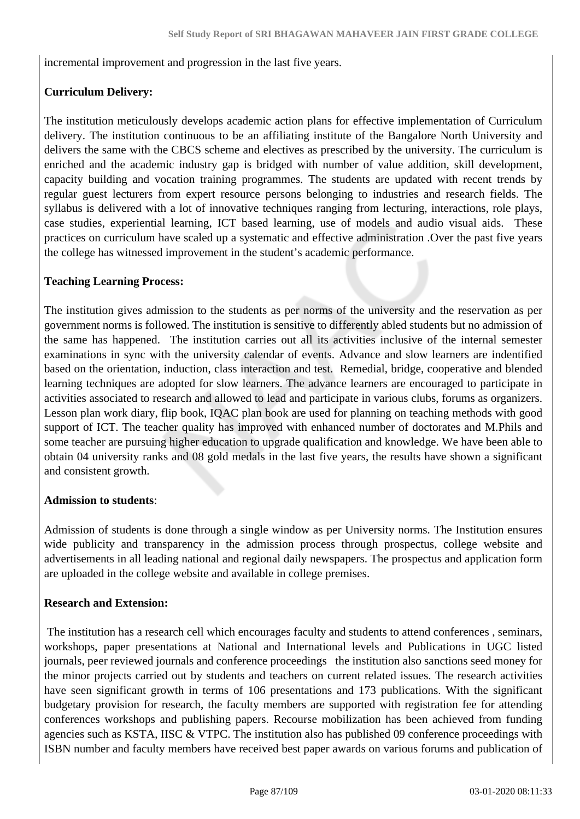incremental improvement and progression in the last five years.

## **Curriculum Delivery:**

The institution meticulously develops academic action plans for effective implementation of Curriculum delivery. The institution continuous to be an affiliating institute of the Bangalore North University and delivers the same with the CBCS scheme and electives as prescribed by the university. The curriculum is enriched and the academic industry gap is bridged with number of value addition, skill development, capacity building and vocation training programmes. The students are updated with recent trends by regular guest lecturers from expert resource persons belonging to industries and research fields. The syllabus is delivered with a lot of innovative techniques ranging from lecturing, interactions, role plays, case studies, experiential learning, ICT based learning, use of models and audio visual aids. These practices on curriculum have scaled up a systematic and effective administration .Over the past five years the college has witnessed improvement in the student's academic performance.

#### **Teaching Learning Process:**

The institution gives admission to the students as per norms of the university and the reservation as per government norms is followed. The institution is sensitive to differently abled students but no admission of the same has happened. The institution carries out all its activities inclusive of the internal semester examinations in sync with the university calendar of events. Advance and slow learners are indentified based on the orientation, induction, class interaction and test. Remedial, bridge, cooperative and blended learning techniques are adopted for slow learners. The advance learners are encouraged to participate in activities associated to research and allowed to lead and participate in various clubs, forums as organizers. Lesson plan work diary, flip book, IQAC plan book are used for planning on teaching methods with good support of ICT. The teacher quality has improved with enhanced number of doctorates and M.Phils and some teacher are pursuing higher education to upgrade qualification and knowledge. We have been able to obtain 04 university ranks and 08 gold medals in the last five years, the results have shown a significant and consistent growth.

#### **Admission to students**:

Admission of students is done through a single window as per University norms. The Institution ensures wide publicity and transparency in the admission process through prospectus, college website and advertisements in all leading national and regional daily newspapers. The prospectus and application form are uploaded in the college website and available in college premises.

#### **Research and Extension:**

 The institution has a research cell which encourages faculty and students to attend conferences , seminars, workshops, paper presentations at National and International levels and Publications in UGC listed journals, peer reviewed journals and conference proceedings the institution also sanctions seed money for the minor projects carried out by students and teachers on current related issues. The research activities have seen significant growth in terms of 106 presentations and 173 publications. With the significant budgetary provision for research, the faculty members are supported with registration fee for attending conferences workshops and publishing papers. Recourse mobilization has been achieved from funding agencies such as KSTA, IISC & VTPC. The institution also has published 09 conference proceedings with ISBN number and faculty members have received best paper awards on various forums and publication of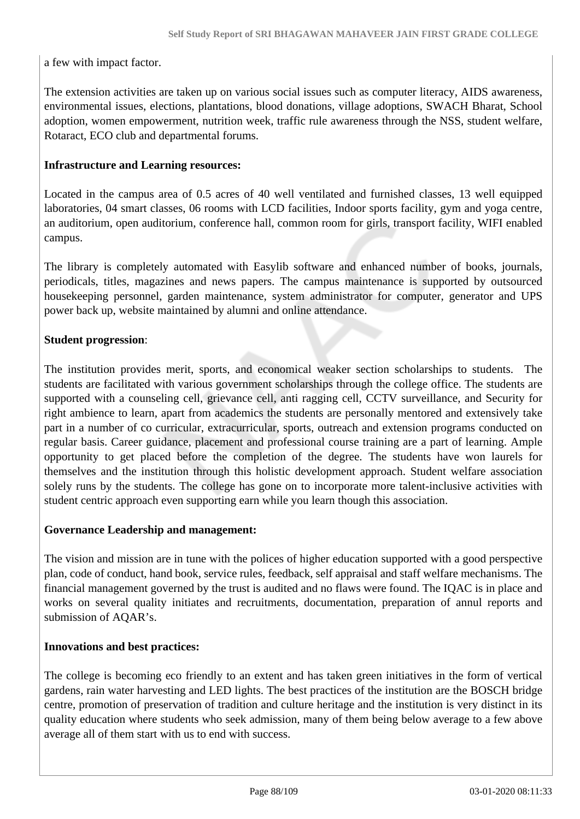a few with impact factor.

The extension activities are taken up on various social issues such as computer literacy, AIDS awareness, environmental issues, elections, plantations, blood donations, village adoptions, SWACH Bharat, School adoption, women empowerment, nutrition week, traffic rule awareness through the NSS, student welfare, Rotaract, ECO club and departmental forums.

## **Infrastructure and Learning resources:**

Located in the campus area of 0.5 acres of 40 well ventilated and furnished classes, 13 well equipped laboratories, 04 smart classes, 06 rooms with LCD facilities, Indoor sports facility, gym and yoga centre, an auditorium, open auditorium, conference hall, common room for girls, transport facility, WIFI enabled campus.

The library is completely automated with Easylib software and enhanced number of books, journals, periodicals, titles, magazines and news papers. The campus maintenance is supported by outsourced housekeeping personnel, garden maintenance, system administrator for computer, generator and UPS power back up, website maintained by alumni and online attendance.

## **Student progression**:

The institution provides merit, sports, and economical weaker section scholarships to students. The students are facilitated with various government scholarships through the college office. The students are supported with a counseling cell, grievance cell, anti ragging cell, CCTV surveillance, and Security for right ambience to learn, apart from academics the students are personally mentored and extensively take part in a number of co curricular, extracurricular, sports, outreach and extension programs conducted on regular basis. Career guidance, placement and professional course training are a part of learning. Ample opportunity to get placed before the completion of the degree. The students have won laurels for themselves and the institution through this holistic development approach. Student welfare association solely runs by the students. The college has gone on to incorporate more talent-inclusive activities with student centric approach even supporting earn while you learn though this association.

## **Governance Leadership and management:**

The vision and mission are in tune with the polices of higher education supported with a good perspective plan, code of conduct, hand book, service rules, feedback, self appraisal and staff welfare mechanisms. The financial management governed by the trust is audited and no flaws were found. The IQAC is in place and works on several quality initiates and recruitments, documentation, preparation of annul reports and submission of AQAR's.

## **Innovations and best practices:**

The college is becoming eco friendly to an extent and has taken green initiatives in the form of vertical gardens, rain water harvesting and LED lights. The best practices of the institution are the BOSCH bridge centre, promotion of preservation of tradition and culture heritage and the institution is very distinct in its quality education where students who seek admission, many of them being below average to a few above average all of them start with us to end with success.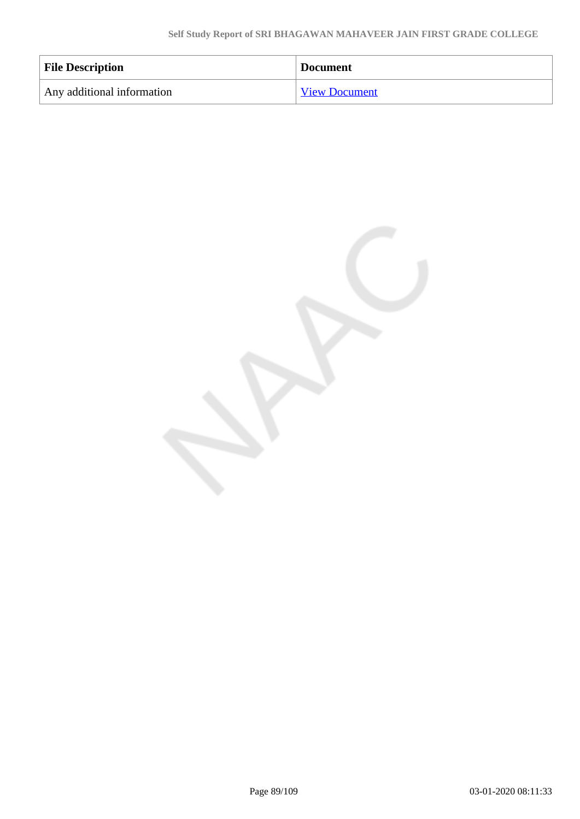| <b>File Description</b>    | <b>Document</b>      |
|----------------------------|----------------------|
| Any additional information | <b>View Document</b> |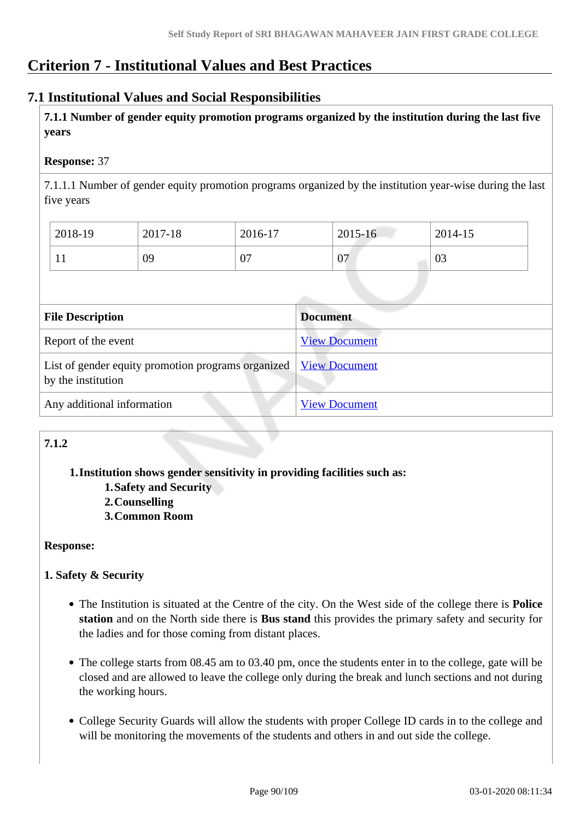# **Criterion 7 - Institutional Values and Best Practices**

## **7.1 Institutional Values and Social Responsibilities**

 **7.1.1 Number of gender equity promotion programs organized by the institution during the last five years** 

## **Response:** 37

7.1.1.1 Number of gender equity promotion programs organized by the institution year-wise during the last five years

| 2018-19 | 2017-18 | 2016-17 | 2015-16 | 2014-15 |
|---------|---------|---------|---------|---------|
|         | 09      | 07      | 07      | 03      |

| <b>File Description</b>                                                  | <b>Document</b>      |
|--------------------------------------------------------------------------|----------------------|
| Report of the event                                                      | <b>View Document</b> |
| List of gender equity promotion programs organized<br>by the institution | <b>View Document</b> |
| Any additional information                                               | <b>View Document</b> |

## **7.1.2**

## **1.Institution shows gender sensitivity in providing facilities such as:**

- **1.Safety and Security**
- **2.Counselling**
- **3.Common Room**

## **Response:**

## **1. Safety & Security**

- The Institution is situated at the Centre of the city. On the West side of the college there is **Police station** and on the North side there is **Bus stand** this provides the primary safety and security for the ladies and for those coming from distant places.
- The college starts from 08.45 am to 03.40 pm, once the students enter in to the college, gate will be closed and are allowed to leave the college only during the break and lunch sections and not during the working hours.
- College Security Guards will allow the students with proper College ID cards in to the college and will be monitoring the movements of the students and others in and out side the college.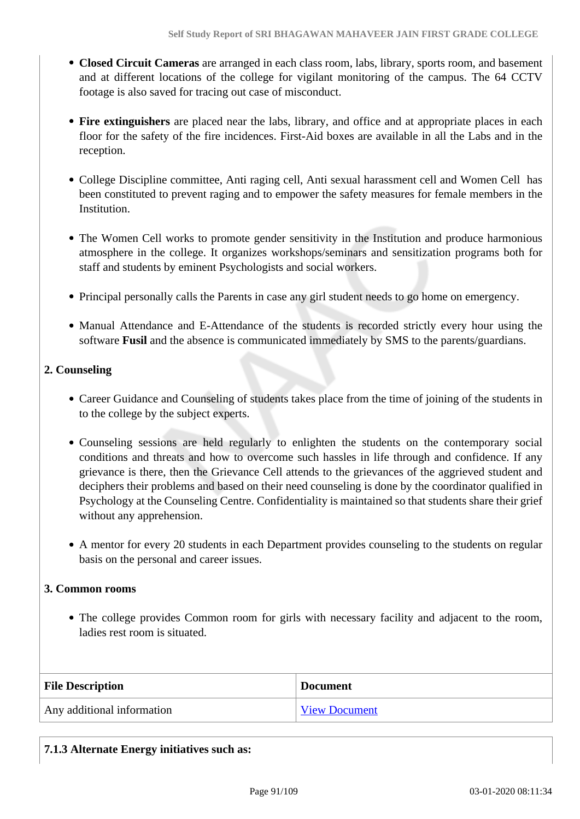- **Closed Circuit Cameras** are arranged in each class room, labs, library, sports room, and basement and at different locations of the college for vigilant monitoring of the campus. The 64 CCTV footage is also saved for tracing out case of misconduct.
- **Fire extinguishers** are placed near the labs, library, and office and at appropriate places in each floor for the safety of the fire incidences. First-Aid boxes are available in all the Labs and in the reception.
- College Discipline committee, Anti raging cell, Anti sexual harassment cell and Women Cell has been constituted to prevent raging and to empower the safety measures for female members in the Institution.
- The Women Cell works to promote gender sensitivity in the Institution and produce harmonious atmosphere in the college. It organizes workshops/seminars and sensitization programs both for staff and students by eminent Psychologists and social workers.
- Principal personally calls the Parents in case any girl student needs to go home on emergency.
- Manual Attendance and E-Attendance of the students is recorded strictly every hour using the software **Fusil** and the absence is communicated immediately by SMS to the parents/guardians.

## **2. Counseling**

- Career Guidance and Counseling of students takes place from the time of joining of the students in to the college by the subject experts.
- Counseling sessions are held regularly to enlighten the students on the contemporary social conditions and threats and how to overcome such hassles in life through and confidence. If any grievance is there, then the Grievance Cell attends to the grievances of the aggrieved student and deciphers their problems and based on their need counseling is done by the coordinator qualified in Psychology at the Counseling Centre. Confidentiality is maintained so that students share their grief without any apprehension.
- A mentor for every 20 students in each Department provides counseling to the students on regular basis on the personal and career issues.

## **3. Common rooms**

The college provides Common room for girls with necessary facility and adjacent to the room, ladies rest room is situated.

| <b>File Description</b>    | <b>Document</b>      |
|----------------------------|----------------------|
| Any additional information | <b>View Document</b> |

## **7.1.3 Alternate Energy initiatives such as:**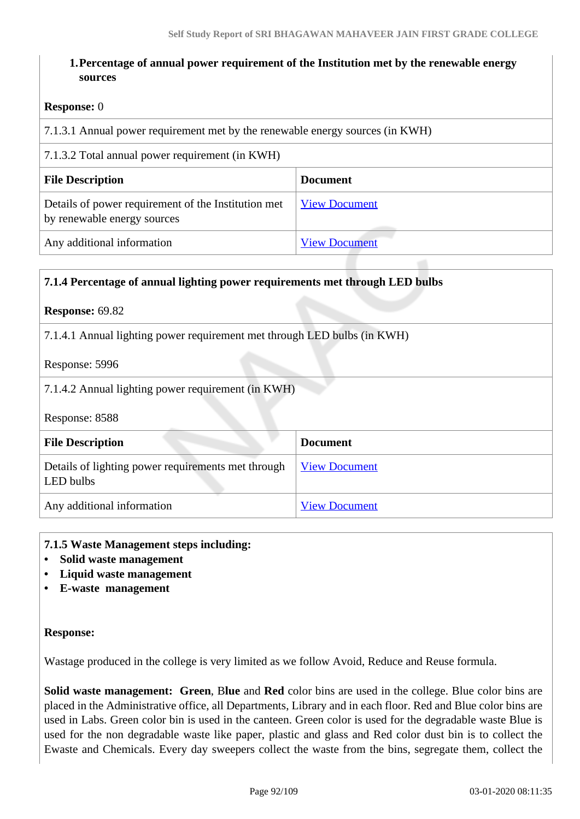## **1.Percentage of annual power requirement of the Institution met by the renewable energy sources**

#### **Response:** 0

7.1.3.1 Annual power requirement met by the renewable energy sources (in KWH)

## 7.1.3.2 Total annual power requirement (in KWH)

| <b>File Description</b>                                                            | <b>Document</b>      |
|------------------------------------------------------------------------------------|----------------------|
| Details of power requirement of the Institution met<br>by renewable energy sources | <b>View Document</b> |
| Any additional information                                                         | <b>View Document</b> |

## **7.1.4 Percentage of annual lighting power requirements met through LED bulbs**

#### **Response:** 69.82

7.1.4.1 Annual lighting power requirement met through LED bulbs (in KWH)

Response: 5996

7.1.4.2 Annual lighting power requirement (in KWH)

Response: 8588

| <b>File Description</b>                                         | <b>Document</b>      |
|-----------------------------------------------------------------|----------------------|
| Details of lighting power requirements met through<br>LED bulbs | <b>View Document</b> |
| Any additional information                                      | <b>View Document</b> |

#### **7.1.5 Waste Management steps including:**

- **Solid waste management**
- **Liquid waste management**
- **E-waste management**

#### **Response:**

Wastage produced in the college is very limited as we follow Avoid, Reduce and Reuse formula.

**Solid waste management: Green**, B**lue** and **Red** color bins are used in the college. Blue color bins are placed in the Administrative office, all Departments, Library and in each floor. Red and Blue color bins are used in Labs. Green color bin is used in the canteen. Green color is used for the degradable waste Blue is used for the non degradable waste like paper, plastic and glass and Red color dust bin is to collect the Ewaste and Chemicals. Every day sweepers collect the waste from the bins, segregate them, collect the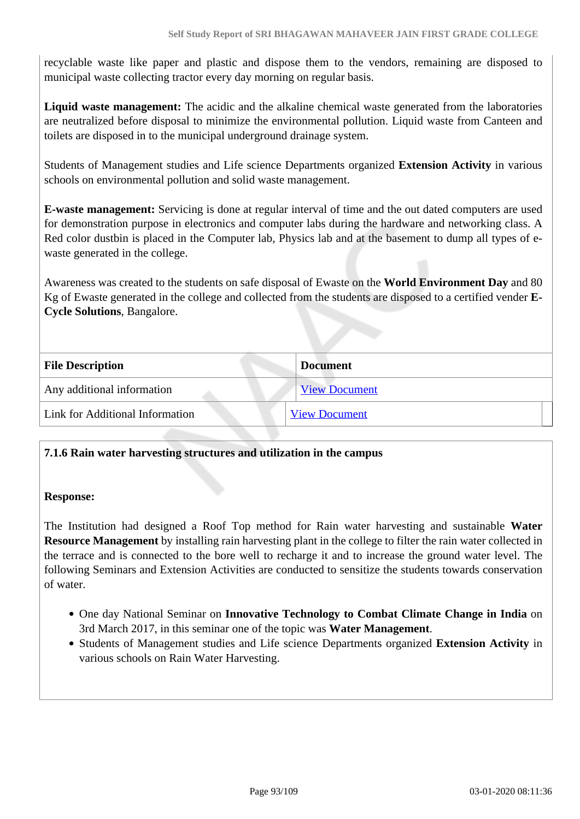recyclable waste like paper and plastic and dispose them to the vendors, remaining are disposed to municipal waste collecting tractor every day morning on regular basis.

**Liquid waste management:** The acidic and the alkaline chemical waste generated from the laboratories are neutralized before disposal to minimize the environmental pollution. Liquid waste from Canteen and toilets are disposed in to the municipal underground drainage system.

Students of Management studies and Life science Departments organized **Extension Activity** in various schools on environmental pollution and solid waste management.

**E-waste management:** Servicing is done at regular interval of time and the out dated computers are used for demonstration purpose in electronics and computer labs during the hardware and networking class. A Red color dustbin is placed in the Computer lab, Physics lab and at the basement to dump all types of ewaste generated in the college.

Awareness was created to the students on safe disposal of Ewaste on the **World Environment Day** and 80 Kg of Ewaste generated in the college and collected from the students are disposed to a certified vender **E-Cycle Solutions**, Bangalore.

| <b>File Description</b>         | <b>Document</b>      |
|---------------------------------|----------------------|
| Any additional information      | <b>View Document</b> |
| Link for Additional Information | <b>View Document</b> |
|                                 |                      |

## **7.1.6 Rain water harvesting structures and utilization in the campus**

#### **Response:**

The Institution had designed a Roof Top method for Rain water harvesting and sustainable **Water Resource Management** by installing rain harvesting plant in the college to filter the rain water collected in the terrace and is connected to the bore well to recharge it and to increase the ground water level. The following Seminars and Extension Activities are conducted to sensitize the students towards conservation of water.

- One day National Seminar on **Innovative Technology to Combat Climate Change in India** on 3rd March 2017, in this seminar one of the topic was **Water Management**.
- Students of Management studies and Life science Departments organized **Extension Activity** in various schools on Rain Water Harvesting.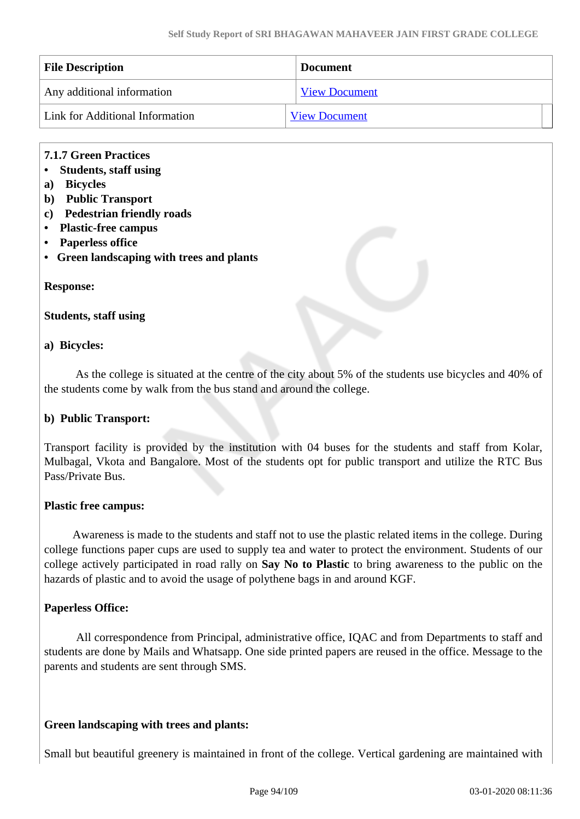| <b>File Description</b>         | <b>Document</b>      |
|---------------------------------|----------------------|
| Any additional information      | <b>View Document</b> |
| Link for Additional Information | <b>View Document</b> |

## **7.1.7 Green Practices**

- **Students, staff using**
- **a) Bicycles**
- **b) Public Transport**
- **c) Pedestrian friendly roads**
- **Plastic-free campus**
- **Paperless office**
- **Green landscaping with trees and plants**

#### **Response:**

**Students, staff using**

#### **a) Bicycles:**

As the college is situated at the centre of the city about 5% of the students use bicycles and 40% of the students come by walk from the bus stand and around the college.

#### **b) Public Transport:**

Transport facility is provided by the institution with 04 buses for the students and staff from Kolar, Mulbagal, Vkota and Bangalore. Most of the students opt for public transport and utilize the RTC Bus Pass/Private Bus.

## **Plastic free campus:**

 Awareness is made to the students and staff not to use the plastic related items in the college. During college functions paper cups are used to supply tea and water to protect the environment. Students of our college actively participated in road rally on **Say No to Plastic** to bring awareness to the public on the hazards of plastic and to avoid the usage of polythene bags in and around KGF.

## **Paperless Office:**

 All correspondence from Principal, administrative office, IQAC and from Departments to staff and students are done by Mails and Whatsapp. One side printed papers are reused in the office. Message to the parents and students are sent through SMS.

#### **Green landscaping with trees and plants:**

Small but beautiful greenery is maintained in front of the college. Vertical gardening are maintained with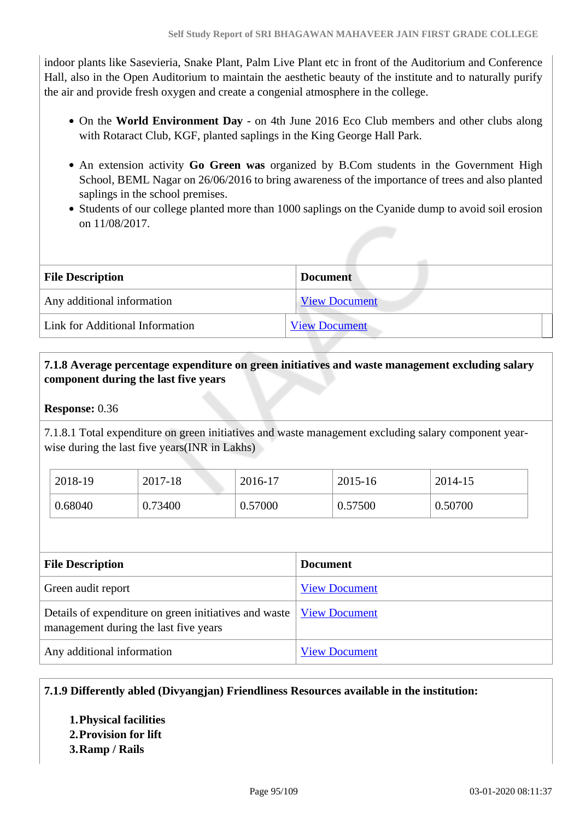indoor plants like Sasevieria, Snake Plant, Palm Live Plant etc in front of the Auditorium and Conference Hall, also in the Open Auditorium to maintain the aesthetic beauty of the institute and to naturally purify the air and provide fresh oxygen and create a congenial atmosphere in the college.

- On the **World Environment Day** on 4th June 2016 Eco Club members and other clubs along with Rotaract Club, KGF, planted saplings in the King George Hall Park.
- An extension activity **Go Green was** organized by B.Com students in the Government High School, BEML Nagar on 26/06/2016 to bring awareness of the importance of trees and also planted saplings in the school premises.
- Students of our college planted more than 1000 saplings on the Cyanide dump to avoid soil erosion on 11/08/2017.

| <b>File Description</b>         | <b>Document</b>      |
|---------------------------------|----------------------|
| Any additional information      | <b>View Document</b> |
| Link for Additional Information | <b>View Document</b> |

## **7.1.8 Average percentage expenditure on green initiatives and waste management excluding salary component during the last five years**

**Response:** 0.36

7.1.8.1 Total expenditure on green initiatives and waste management excluding salary component yearwise during the last five years(INR in Lakhs)

| 2018-19 | 2017-18 | 2016-17 | 2015-16 | 2014-15 |
|---------|---------|---------|---------|---------|
| 0.68040 | 0.73400 | 0.57000 | 0.57500 | 0.50700 |

| <b>File Description</b>                                                                                        | <b>Document</b>      |
|----------------------------------------------------------------------------------------------------------------|----------------------|
| Green audit report                                                                                             | <b>View Document</b> |
| Details of expenditure on green initiatives and waste   View Document<br>management during the last five years |                      |
| Any additional information                                                                                     | <b>View Document</b> |

## **7.1.9 Differently abled (Divyangjan) Friendliness Resources available in the institution:**

**1.Physical facilities**

- **2.Provision for lift**
- **3.Ramp / Rails**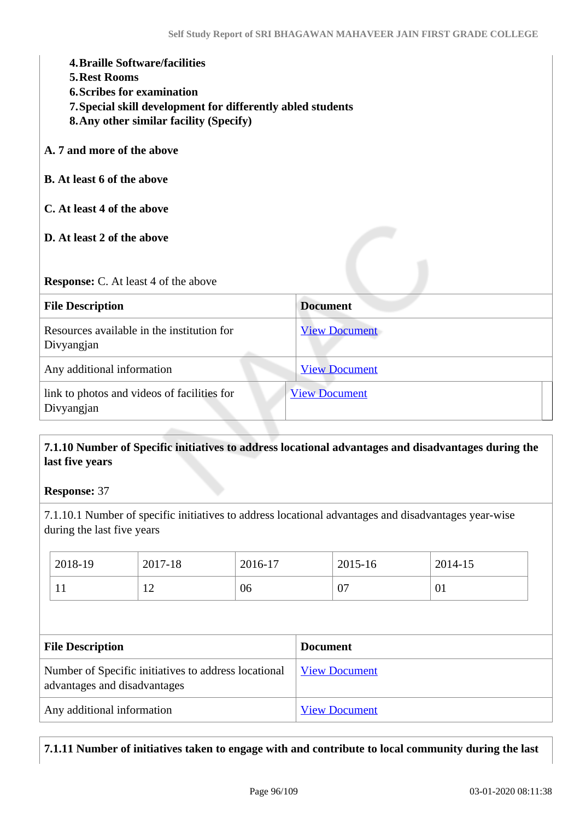| <b>6. Scribes for examination</b><br>7. Special skill development for differently abled students<br><b>8. Any other similar facility (Specify)</b> |                      |  |  |
|----------------------------------------------------------------------------------------------------------------------------------------------------|----------------------|--|--|
| A. 7 and more of the above                                                                                                                         |                      |  |  |
| <b>B.</b> At least 6 of the above                                                                                                                  |                      |  |  |
| C. At least 4 of the above                                                                                                                         |                      |  |  |
| D. At least 2 of the above                                                                                                                         |                      |  |  |
| <b>Response:</b> C. At least 4 of the above                                                                                                        |                      |  |  |
| <b>File Description</b>                                                                                                                            | <b>Document</b>      |  |  |
| Resources available in the institution for<br>Divyangjan                                                                                           | <b>View Document</b> |  |  |
| Any additional information                                                                                                                         | <b>View Document</b> |  |  |
| link to photos and videos of facilities for<br>Divyangjan                                                                                          | <b>View Document</b> |  |  |

## **7.1.10 Number of Specific initiatives to address locational advantages and disadvantages during the last five years**

**Response:** 37

**4.Braille Software/facilities**

**5.Rest Rooms**

7.1.10.1 Number of specific initiatives to address locational advantages and disadvantages year-wise during the last five years

| 2018-19      | 2017-18                  | 2016-17 | 2015-16 | 2014-15 |
|--------------|--------------------------|---------|---------|---------|
| $\mathbf{r}$ | $\overline{\phantom{0}}$ | 06      | 07      | ΩT.     |

| <b>File Description</b>                                                              | <b>Document</b>      |
|--------------------------------------------------------------------------------------|----------------------|
| Number of Specific initiatives to address locational<br>advantages and disadvantages | <b>View Document</b> |
| Any additional information                                                           | <b>View Document</b> |

**7.1.11 Number of initiatives taken to engage with and contribute to local community during the last**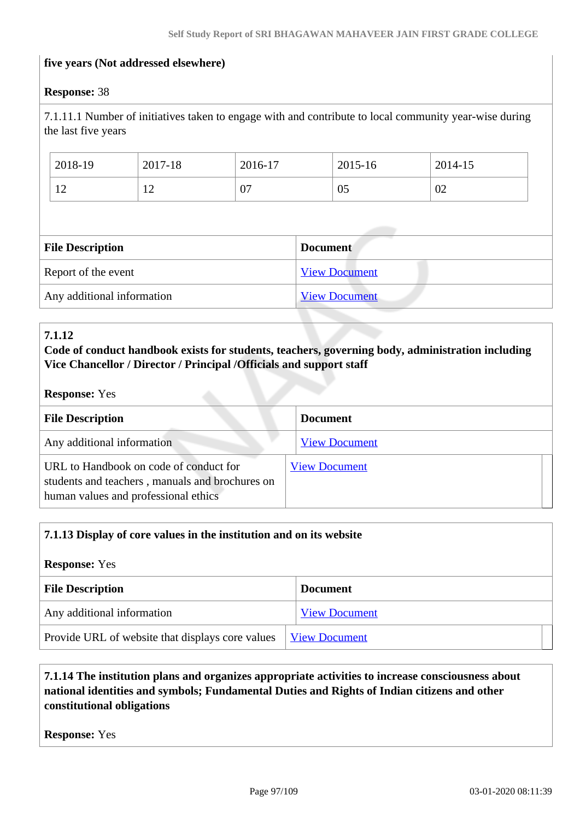#### **five years (Not addressed elsewhere)**

## **Response:** 38

7.1.11.1 Number of initiatives taken to engage with and contribute to local community year-wise during the last five years

| 2018-19         | 2017-18 | 2016-17 | 2015-16  | 2014-15 |
|-----------------|---------|---------|----------|---------|
| $\sqrt{2}$<br>∸ | ∸       | 07      | ∩⊄<br>UJ | 02      |

| <b>File Description</b>    | <b>Document</b>      |  |
|----------------------------|----------------------|--|
| Report of the event        | <b>View Document</b> |  |
| Any additional information | <b>View Document</b> |  |

## **7.1.12**

## **Code of conduct handbook exists for students, teachers, governing body, administration including Vice Chancellor / Director / Principal /Officials and support staff**

#### **Response:** Yes

| <b>File Description</b>                                                                                                           | <b>Document</b>      |
|-----------------------------------------------------------------------------------------------------------------------------------|----------------------|
| Any additional information                                                                                                        | <b>View Document</b> |
| URL to Handbook on code of conduct for<br>students and teachers, manuals and brochures on<br>human values and professional ethics | <b>View Document</b> |

# **7.1.13 Display of core values in the institution and on its website Response:** Yes **File Description Document** Any additional information <br>
<u>[View Document](https://assessmentonline.naac.gov.in/storage/app/hei/SSR/102034/7.1.13_1577373666_2269.pdf)</u> Provide URL of website that displays core values  $\frac{V_i}{V_i}$  Document

## **7.1.14 The institution plans and organizes appropriate activities to increase consciousness about national identities and symbols; Fundamental Duties and Rights of Indian citizens and other constitutional obligations**

**Response:** Yes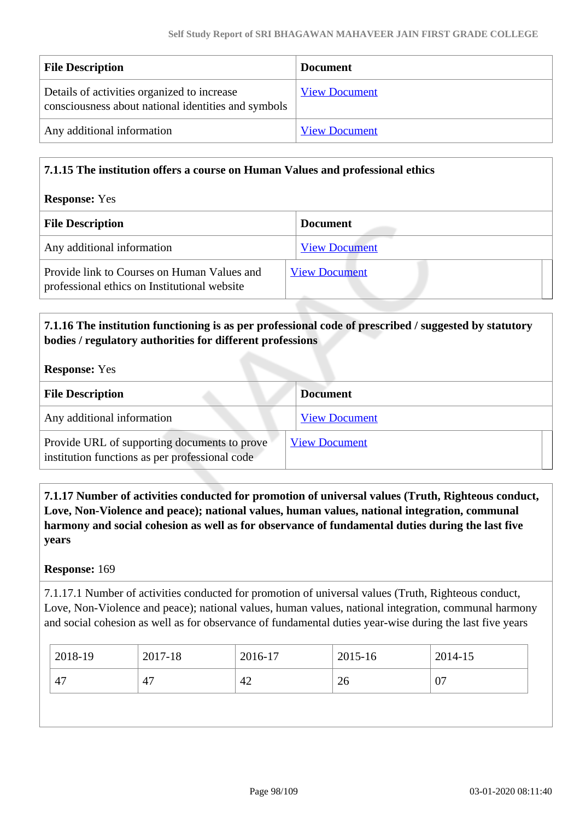| <b>File Description</b>                                                                            | <b>Document</b>      |
|----------------------------------------------------------------------------------------------------|----------------------|
| Details of activities organized to increase<br>consciousness about national identities and symbols | <b>View Document</b> |
| Any additional information                                                                         | <b>View Document</b> |

## **7.1.15 The institution offers a course on Human Values and professional ethics**

#### **Response:** Yes

| <b>File Description</b>                                                                     | <b>Document</b>      |
|---------------------------------------------------------------------------------------------|----------------------|
| Any additional information                                                                  | <b>View Document</b> |
| Provide link to Courses on Human Values and<br>professional ethics on Institutional website | <b>View Document</b> |

## **7.1.16 The institution functioning is as per professional code of prescribed / suggested by statutory bodies / regulatory authorities for different professions**

**Response:** Yes

| <b>File Description</b>                                                                        | <b>Document</b>      |
|------------------------------------------------------------------------------------------------|----------------------|
| Any additional information                                                                     | <b>View Document</b> |
| Provide URL of supporting documents to prove<br>institution functions as per professional code | <b>View Document</b> |

 **7.1.17 Number of activities conducted for promotion of universal values (Truth, Righteous conduct, Love, Non-Violence and peace); national values, human values, national integration, communal harmony and social cohesion as well as for observance of fundamental duties during the last five years**

#### **Response:** 169

7.1.17.1 Number of activities conducted for promotion of universal values (Truth, Righteous conduct, Love, Non-Violence and peace); national values, human values, national integration, communal harmony and social cohesion as well as for observance of fundamental duties year-wise during the last five years

| 2018-19 | 2017-18 | 2016-17 | $2015 - 16$ | 2014-15 |
|---------|---------|---------|-------------|---------|
| 47      | 47      | 42      | 26          | 07      |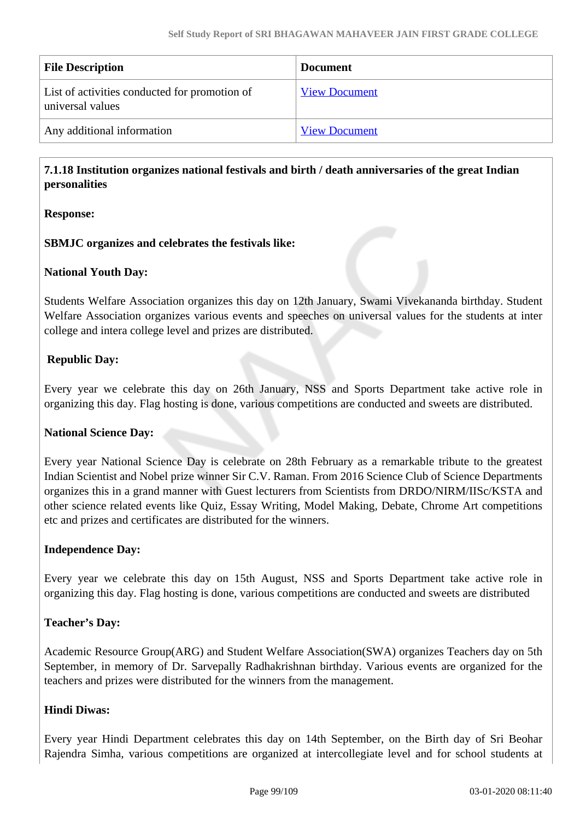| <b>File Description</b>                                           | <b>Document</b>      |
|-------------------------------------------------------------------|----------------------|
| List of activities conducted for promotion of<br>universal values | <b>View Document</b> |
| Any additional information                                        | <b>View Document</b> |

## **7.1.18 Institution organizes national festivals and birth / death anniversaries of the great Indian personalities**

## **Response:**

## **SBMJC organizes and celebrates the festivals like:**

## **National Youth Day:**

Students Welfare Association organizes this day on 12th January, Swami Vivekananda birthday. Student Welfare Association organizes various events and speeches on universal values for the students at inter college and intera college level and prizes are distributed.

## **Republic Day:**

Every year we celebrate this day on 26th January, NSS and Sports Department take active role in organizing this day. Flag hosting is done, various competitions are conducted and sweets are distributed.

## **National Science Day:**

Every year National Science Day is celebrate on 28th February as a remarkable tribute to the greatest Indian Scientist and Nobel prize winner Sir C.V. Raman. From 2016 Science Club of Science Departments organizes this in a grand manner with Guest lecturers from Scientists from DRDO/NIRM/IISc/KSTA and other science related events like Quiz, Essay Writing, Model Making, Debate, Chrome Art competitions etc and prizes and certificates are distributed for the winners.

## **Independence Day:**

Every year we celebrate this day on 15th August, NSS and Sports Department take active role in organizing this day. Flag hosting is done, various competitions are conducted and sweets are distributed

## **Teacher's Day:**

Academic Resource Group(ARG) and Student Welfare Association(SWA) organizes Teachers day on 5th September, in memory of Dr. Sarvepally Radhakrishnan birthday. Various events are organized for the teachers and prizes were distributed for the winners from the management.

## **Hindi Diwas:**

Every year Hindi Department celebrates this day on 14th September, on the Birth day of Sri Beohar Rajendra Simha, various competitions are organized at intercollegiate level and for school students at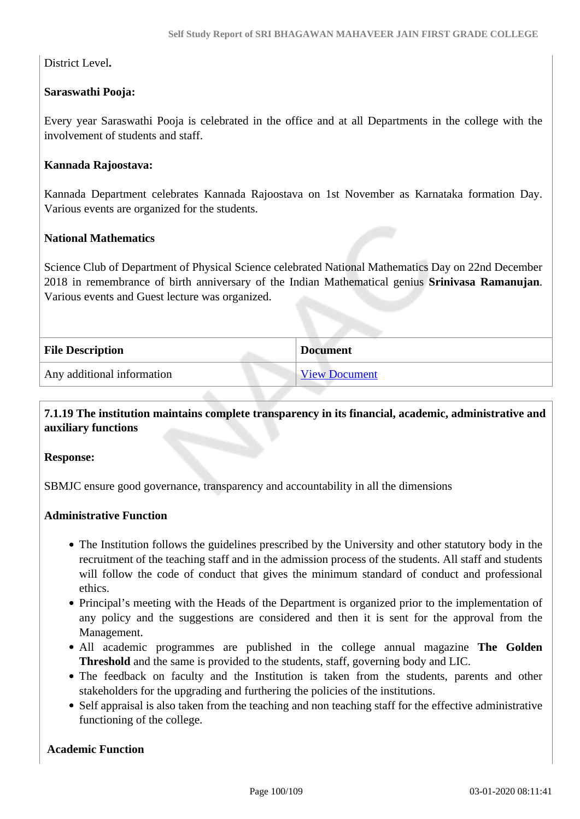District Level**.**

## **Saraswathi Pooja:**

Every year Saraswathi Pooja is celebrated in the office and at all Departments in the college with the involvement of students and staff.

#### **Kannada Rajoostava:**

Kannada Department celebrates Kannada Rajoostava on 1st November as Karnataka formation Day. Various events are organized for the students.

#### **National Mathematics**

Science Club of Department of Physical Science celebrated National Mathematics Day on 22nd December 2018 in remembrance of birth anniversary of the Indian Mathematical genius **Srinivasa Ramanujan**. Various events and Guest lecture was organized.

| <b>File Description</b>    | <b>Document</b>      |
|----------------------------|----------------------|
| Any additional information | <b>View Document</b> |

 **7.1.19 The institution maintains complete transparency in its financial, academic, administrative and auxiliary functions**

#### **Response:**

SBMJC ensure good governance, transparency and accountability in all the dimensions

#### **Administrative Function**

- The Institution follows the guidelines prescribed by the University and other statutory body in the recruitment of the teaching staff and in the admission process of the students. All staff and students will follow the code of conduct that gives the minimum standard of conduct and professional ethics.
- Principal's meeting with the Heads of the Department is organized prior to the implementation of any policy and the suggestions are considered and then it is sent for the approval from the Management.
- All academic programmes are published in the college annual magazine **The Golden Threshold** and the same is provided to the students, staff, governing body and LIC.
- The feedback on faculty and the Institution is taken from the students, parents and other stakeholders for the upgrading and furthering the policies of the institutions.
- Self appraisal is also taken from the teaching and non teaching staff for the effective administrative functioning of the college.

#### **Academic Function**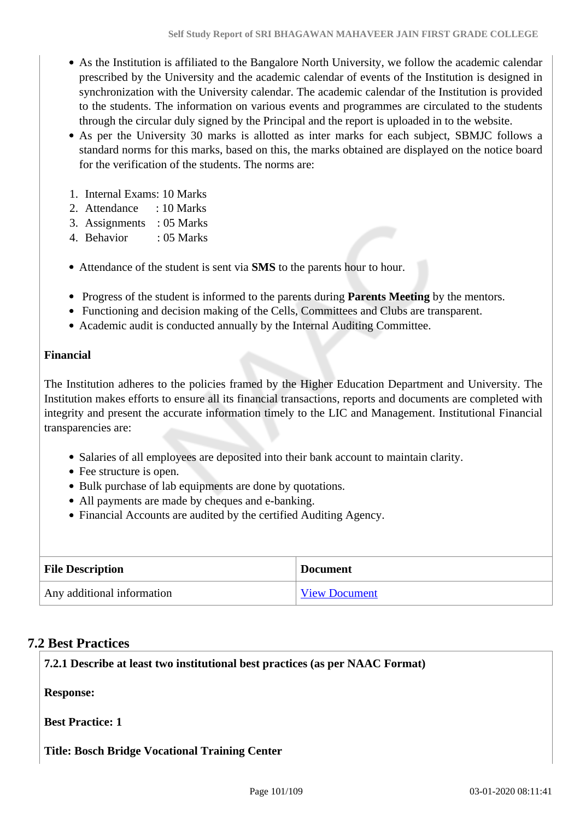- As the Institution is affiliated to the Bangalore North University, we follow the academic calendar prescribed by the University and the academic calendar of events of the Institution is designed in synchronization with the University calendar. The academic calendar of the Institution is provided to the students. The information on various events and programmes are circulated to the students through the circular duly signed by the Principal and the report is uploaded in to the website.
- As per the University 30 marks is allotted as inter marks for each subject, SBMJC follows a standard norms for this marks, based on this, the marks obtained are displayed on the notice board for the verification of the students. The norms are:
- 1. Internal Exams: 10 Marks
- 2. Attendance : 10 Marks
- 3. Assignments : 05 Marks
- 4. Behavior : 05 Marks

Attendance of the student is sent via **SMS** to the parents hour to hour.

- Progress of the student is informed to the parents during **Parents Meeting** by the mentors.
- Functioning and decision making of the Cells, Committees and Clubs are transparent.
- Academic audit is conducted annually by the Internal Auditing Committee.

#### **Financial**

The Institution adheres to the policies framed by the Higher Education Department and University. The Institution makes efforts to ensure all its financial transactions, reports and documents are completed with integrity and present the accurate information timely to the LIC and Management. Institutional Financial transparencies are:

- Salaries of all employees are deposited into their bank account to maintain clarity.
- Fee structure is open.
- Bulk purchase of lab equipments are done by quotations.
- All payments are made by cheques and e-banking.
- Financial Accounts are audited by the certified Auditing Agency.

| <b>File Description</b>            | <b>Document</b>      |
|------------------------------------|----------------------|
| $\perp$ Any additional information | <b>View Document</b> |

## **7.2 Best Practices**

| 7.2.1 Describe at least two institutional best practices (as per NAAC Format) |
|-------------------------------------------------------------------------------|
| <b>Response:</b>                                                              |
| <b>Best Practice: 1</b>                                                       |

**Title: Bosch Bridge Vocational Training Center**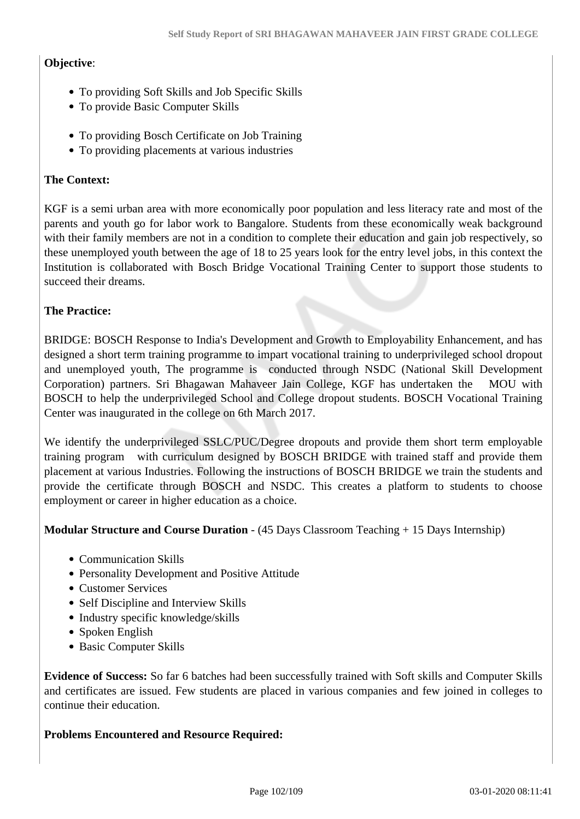## **Objective**:

- To providing Soft Skills and Job Specific Skills
- To provide Basic Computer Skills
- To providing Bosch Certificate on Job Training
- To providing placements at various industries

## **The Context:**

KGF is a semi urban area with more economically poor population and less literacy rate and most of the parents and youth go for labor work to Bangalore. Students from these economically weak background with their family members are not in a condition to complete their education and gain job respectively, so these unemployed youth between the age of 18 to 25 years look for the entry level jobs, in this context the Institution is collaborated with Bosch Bridge Vocational Training Center to support those students to succeed their dreams.

## **The Practice:**

BRIDGE: BOSCH Response to India's Development and Growth to Employability Enhancement, and has designed a short term training programme to impart vocational training to underprivileged school dropout and unemployed youth, The programme is conducted through NSDC (National Skill Development Corporation) partners. Sri Bhagawan Mahaveer Jain College, KGF has undertaken the MOU with BOSCH to help the underprivileged School and College dropout students. BOSCH Vocational Training Center was inaugurated in the college on 6th March 2017.

We identify the underprivileged SSLC/PUC/Degree dropouts and provide them short term employable training program with curriculum designed by BOSCH BRIDGE with trained staff and provide them placement at various Industries. Following the instructions of BOSCH BRIDGE we train the students and provide the certificate through BOSCH and NSDC. This creates a platform to students to choose employment or career in higher education as a choice.

## **Modular Structure and Course Duration** - (45 Days Classroom Teaching + 15 Days Internship)

- Communication Skills
- Personality Development and Positive Attitude
- Customer Services
- Self Discipline and Interview Skills
- Industry specific knowledge/skills
- Spoken English
- Basic Computer Skills

**Evidence of Success:** So far 6 batches had been successfully trained with Soft skills and Computer Skills and certificates are issued. Few students are placed in various companies and few joined in colleges to continue their education.

## **Problems Encountered and Resource Required:**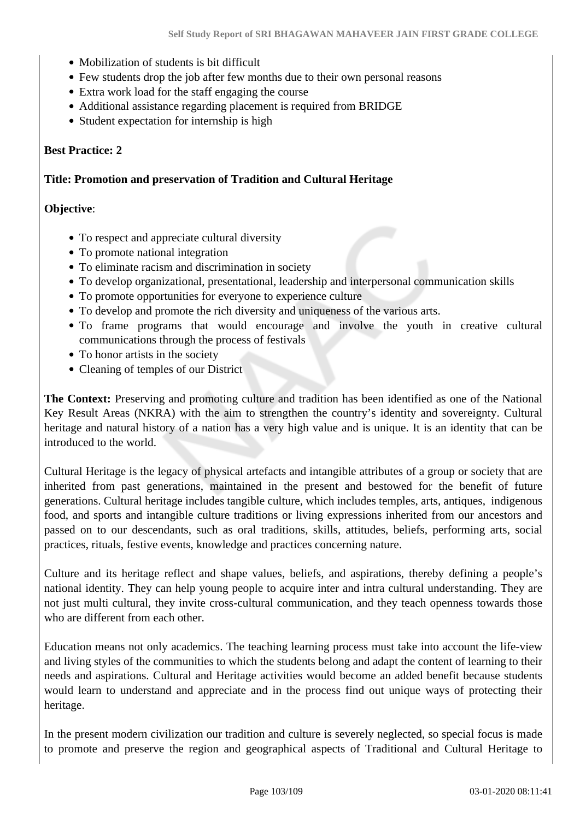- Mobilization of students is bit difficult
- Few students drop the job after few months due to their own personal reasons
- Extra work load for the staff engaging the course
- Additional assistance regarding placement is required from BRIDGE
- Student expectation for internship is high

## **Best Practice: 2**

## **Title: Promotion and preservation of Tradition and Cultural Heritage**

## **Objective**:

- To respect and appreciate cultural diversity
- To promote national integration
- To eliminate racism and discrimination in society
- To develop organizational, presentational, leadership and interpersonal communication skills
- To promote opportunities for everyone to experience culture
- To develop and promote the rich diversity and uniqueness of the various arts.
- To frame programs that would encourage and involve the youth in creative cultural communications through the process of festivals
- To honor artists in the society
- Cleaning of temples of our District

**The Context:** Preserving and promoting culture and tradition has been identified as one of the National Key Result Areas (NKRA) with the aim to strengthen the country's identity and sovereignty. Cultural heritage and natural history of a nation has a very high value and is unique. It is an identity that can be introduced to the world.

Cultural Heritage is the legacy of physical artefacts and intangible attributes of a group or society that are inherited from past generations, maintained in the present and bestowed for the benefit of future generations. Cultural heritage includes tangible culture, which includes temples, arts, antiques, indigenous food, and sports and intangible culture traditions or living expressions inherited from our ancestors and passed on to our descendants, such as oral traditions, skills, attitudes, beliefs, performing arts, social practices, rituals, festive events, knowledge and practices concerning nature.

Culture and its heritage reflect and shape values, beliefs, and aspirations, thereby defining a people's national identity. They can help young people to acquire inter and intra cultural understanding. They are not just multi cultural, they invite cross-cultural communication, and they teach openness towards those who are different from each other.

Education means not only academics. The teaching learning process must take into account the life-view and living styles of the communities to which the students belong and adapt the content of learning to their needs and aspirations. Cultural and Heritage activities would become an added benefit because students would learn to understand and appreciate and in the process find out unique ways of protecting their heritage.

In the present modern civilization our tradition and culture is severely neglected, so special focus is made to promote and preserve the region and geographical aspects of Traditional and Cultural Heritage to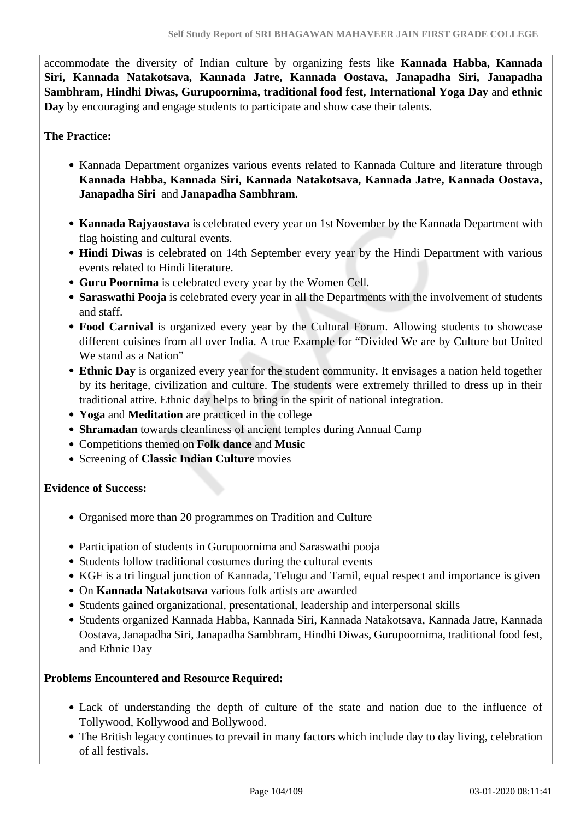accommodate the diversity of Indian culture by organizing fests like **Kannada Habba, Kannada Siri, Kannada Natakotsava, Kannada Jatre, Kannada Oostava, Janapadha Siri, Janapadha Sambhram, Hindhi Diwas, Gurupoornima, traditional food fest, International Yoga Day** and **ethnic Day** by encouraging and engage students to participate and show case their talents.

## **The Practice:**

- Kannada Department organizes various events related to Kannada Culture and literature through **Kannada Habba, Kannada Siri, Kannada Natakotsava, Kannada Jatre, Kannada Oostava, Janapadha Siri** and **Janapadha Sambhram.**
- **Kannada Rajyaostava** is celebrated every year on 1st November by the Kannada Department with flag hoisting and cultural events.
- **Hindi Diwas** is celebrated on 14th September every year by the Hindi Department with various events related to Hindi literature.
- **Guru Poornima** is celebrated every year by the Women Cell.
- **Saraswathi Pooja** is celebrated every year in all the Departments with the involvement of students and staff.
- **Food Carnival** is organized every year by the Cultural Forum. Allowing students to showcase different cuisines from all over India. A true Example for "Divided We are by Culture but United We stand as a Nation"
- **Ethnic Day** is organized every year for the student community. It envisages a nation held together by its heritage, civilization and culture. The students were extremely thrilled to dress up in their traditional attire. Ethnic day helps to bring in the spirit of national integration.
- **Yoga** and **Meditation** are practiced in the college
- **Shramadan** towards cleanliness of ancient temples during Annual Camp
- Competitions themed on **Folk dance** and **Music**
- Screening of **Classic Indian Culture** movies

## **Evidence of Success:**

- Organised more than 20 programmes on Tradition and Culture
- Participation of students in Gurupoornima and Saraswathi pooja
- Students follow traditional costumes during the cultural events
- KGF is a tri lingual junction of Kannada, Telugu and Tamil, equal respect and importance is given
- On **Kannada Natakotsava** various folk artists are awarded
- Students gained organizational, presentational, leadership and interpersonal skills
- Students organized Kannada Habba, Kannada Siri, Kannada Natakotsava, Kannada Jatre, Kannada Oostava, Janapadha Siri, Janapadha Sambhram, Hindhi Diwas, Gurupoornima, traditional food fest, and Ethnic Day

## **Problems Encountered and Resource Required:**

- Lack of understanding the depth of culture of the state and nation due to the influence of Tollywood, Kollywood and Bollywood.
- The British legacy continues to prevail in many factors which include day to day living, celebration of all festivals.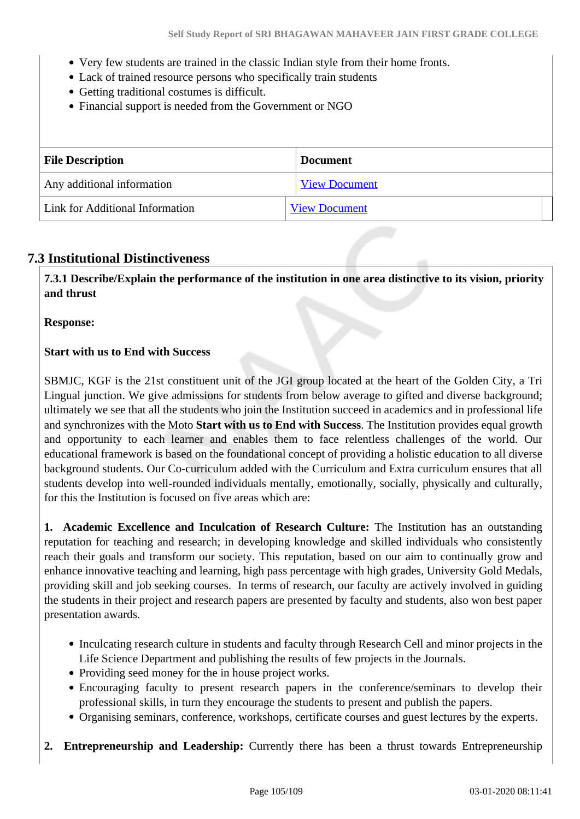- Very few students are trained in the classic Indian style from their home fronts.
- Lack of trained resource persons who specifically train students
- Getting traditional costumes is difficult.
- Financial support is needed from the Government or NGO

| <b>File Description</b>         | <b>Document</b>      |  |
|---------------------------------|----------------------|--|
| Any additional information      | <b>View Document</b> |  |
| Link for Additional Information | <b>View Document</b> |  |

## **7.3 Institutional Distinctiveness**

 **7.3.1 Describe/Explain the performance of the institution in one area distinctive to its vision, priority and thrust**

**Response:** 

## **Start with us to End with Success**

SBMJC, KGF is the 21st constituent unit of the JGI group located at the heart of the Golden City, a Tri Lingual junction. We give admissions for students from below average to gifted and diverse background; ultimately we see that all the students who join the Institution succeed in academics and in professional life and synchronizes with the Moto **Start with us to End with Success**. The Institution provides equal growth and opportunity to each learner and enables them to face relentless challenges of the world. Our educational framework is based on the foundational concept of providing a holistic education to all diverse background students. Our Co-curriculum added with the Curriculum and Extra curriculum ensures that all students develop into well-rounded individuals mentally, emotionally, socially, physically and culturally, for this the Institution is focused on five areas which are:

**1. Academic Excellence and Inculcation of Research Culture:** The Institution has an outstanding reputation for teaching and research; in developing knowledge and skilled individuals who consistently reach their goals and transform our society. This reputation, based on our aim to continually grow and enhance innovative teaching and learning, high pass percentage with high grades, University Gold Medals, providing skill and job seeking courses. In terms of research, our faculty are actively involved in guiding the students in their project and research papers are presented by faculty and students, also won best paper presentation awards.

- Inculcating research culture in students and faculty through Research Cell and minor projects in the Life Science Department and publishing the results of few projects in the Journals.
- Providing seed money for the in house project works.
- Encouraging faculty to present research papers in the conference/seminars to develop their professional skills, in turn they encourage the students to present and publish the papers.
- Organising seminars, conference, workshops, certificate courses and guest lectures by the experts.

**2. Entrepreneurship and Leadership:** Currently there has been a thrust towards Entrepreneurship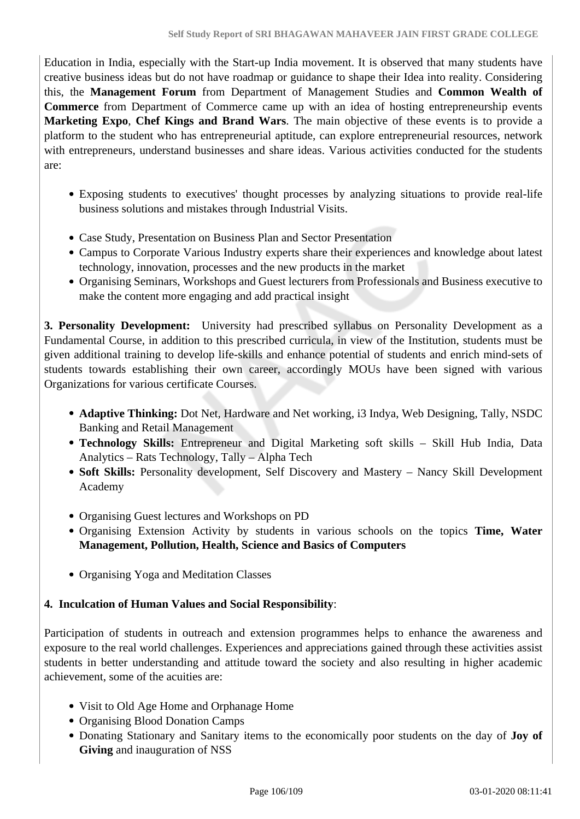Education in India, especially with the Start-up India movement. It is observed that many students have creative business ideas but do not have roadmap or guidance to shape their Idea into reality. Considering this, the **Management Forum** from Department of Management Studies and **Common Wealth of Commerce** from Department of Commerce came up with an idea of hosting entrepreneurship events **Marketing Expo**, **Chef Kings and Brand Wars**. The main objective of these events is to provide a platform to the student who has entrepreneurial aptitude, can explore entrepreneurial resources, network with entrepreneurs, understand businesses and share ideas. Various activities conducted for the students are:

- Exposing students to executives' thought processes by analyzing situations to provide real-life business solutions and mistakes through Industrial Visits.
- Case Study, Presentation on Business Plan and Sector Presentation
- Campus to Corporate Various Industry experts share their experiences and knowledge about latest technology, innovation, processes and the new products in the market
- Organising Seminars, Workshops and Guest lecturers from Professionals and Business executive to make the content more engaging and add practical insight

**3. Personality Development:** University had prescribed syllabus on Personality Development as a Fundamental Course, in addition to this prescribed curricula, in view of the Institution, students must be given additional training to develop life-skills and enhance potential of students and enrich mind-sets of students towards establishing their own career, accordingly MOUs have been signed with various Organizations for various certificate Courses.

- **Adaptive Thinking:** Dot Net, Hardware and Net working, i3 Indya, Web Designing, Tally, NSDC Banking and Retail Management
- **Technology Skills:** Entrepreneur and Digital Marketing soft skills Skill Hub India, Data Analytics – Rats Technology, Tally – Alpha Tech
- **Soft Skills:** Personality development, Self Discovery and Mastery Nancy Skill Development Academy
- Organising Guest lectures and Workshops on PD
- Organising Extension Activity by students in various schools on the topics **Time, Water Management, Pollution, Health, Science and Basics of Computers**
- Organising Yoga and Meditation Classes

## **4. Inculcation of Human Values and Social Responsibility**:

Participation of students in outreach and extension programmes helps to enhance the awareness and exposure to the real world challenges. Experiences and appreciations gained through these activities assist students in better understanding and attitude toward the society and also resulting in higher academic achievement, some of the acuities are:

- Visit to Old Age Home and Orphanage Home
- Organising Blood Donation Camps
- Donating Stationary and Sanitary items to the economically poor students on the day of **Joy of Giving** and inauguration of NSS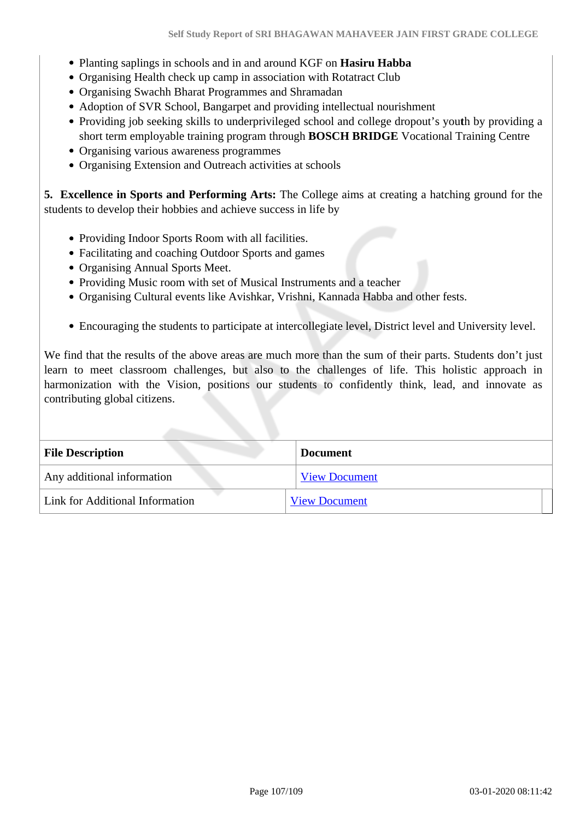- Planting saplings in schools and in and around KGF on **Hasiru Habba**
- Organising Health check up camp in association with Rotatract Club
- Organising Swachh Bharat Programmes and Shramadan
- Adoption of SVR School, Bangarpet and providing intellectual nourishment
- Providing job seeking skills to underprivileged school and college dropout's you**t**h by providing a short term employable training program through **BOSCH BRIDGE** Vocational Training Centre
- Organising various awareness programmes
- Organising Extension and Outreach activities at schools

**5. Excellence in Sports and Performing Arts:** The College aims at creating a hatching ground for the students to develop their hobbies and achieve success in life by

- Providing Indoor Sports Room with all facilities.
- Facilitating and coaching Outdoor Sports and games
- Organising Annual Sports Meet.
- Providing Music room with set of Musical Instruments and a teacher
- Organising Cultural events like Avishkar, Vrishni, Kannada Habba and other fests.
- Encouraging the students to participate at intercollegiate level, District level and University level.

We find that the results of the above areas are much more than the sum of their parts. Students don't just learn to meet classroom challenges, but also to the challenges of life. This holistic approach in harmonization with the Vision, positions our students to confidently think, lead, and innovate as contributing global citizens.

| <b>File Description</b>         | <b>Document</b>      |  |
|---------------------------------|----------------------|--|
| Any additional information      | <b>View Document</b> |  |
| Link for Additional Information | <b>View Document</b> |  |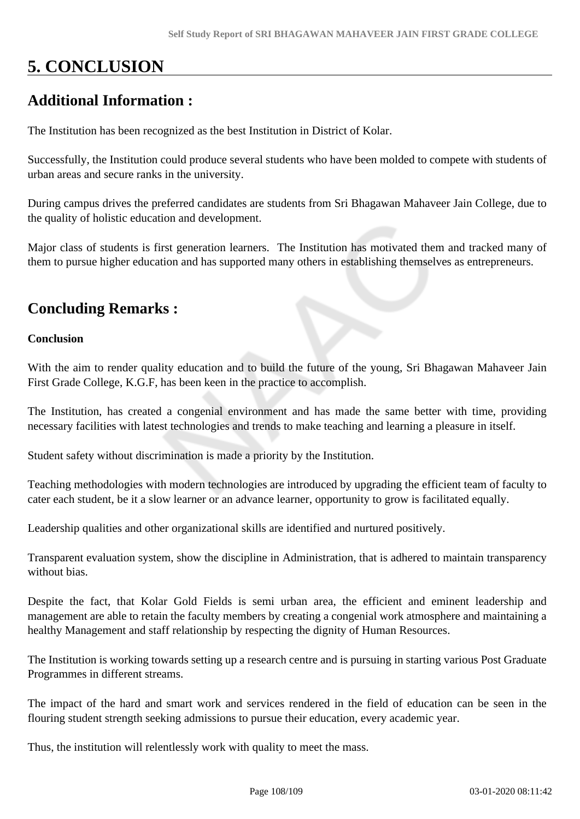# **5. CONCLUSION**

# **Additional Information :**

The Institution has been recognized as the best Institution in District of Kolar.

Successfully, the Institution could produce several students who have been molded to compete with students of urban areas and secure ranks in the university.

During campus drives the preferred candidates are students from Sri Bhagawan Mahaveer Jain College, due to the quality of holistic education and development.

Major class of students is first generation learners. The Institution has motivated them and tracked many of them to pursue higher education and has supported many others in establishing themselves as entrepreneurs.

# **Concluding Remarks :**

#### **Conclusion**

With the aim to render quality education and to build the future of the young, Sri Bhagawan Mahaveer Jain First Grade College, K.G.F, has been keen in the practice to accomplish.

The Institution, has created a congenial environment and has made the same better with time, providing necessary facilities with latest technologies and trends to make teaching and learning a pleasure in itself.

Student safety without discrimination is made a priority by the Institution.

Teaching methodologies with modern technologies are introduced by upgrading the efficient team of faculty to cater each student, be it a slow learner or an advance learner, opportunity to grow is facilitated equally.

Leadership qualities and other organizational skills are identified and nurtured positively.

Transparent evaluation system, show the discipline in Administration, that is adhered to maintain transparency without bias.

Despite the fact, that Kolar Gold Fields is semi urban area, the efficient and eminent leadership and management are able to retain the faculty members by creating a congenial work atmosphere and maintaining a healthy Management and staff relationship by respecting the dignity of Human Resources.

The Institution is working towards setting up a research centre and is pursuing in starting various Post Graduate Programmes in different streams.

The impact of the hard and smart work and services rendered in the field of education can be seen in the flouring student strength seeking admissions to pursue their education, every academic year.

Thus, the institution will relentlessly work with quality to meet the mass.